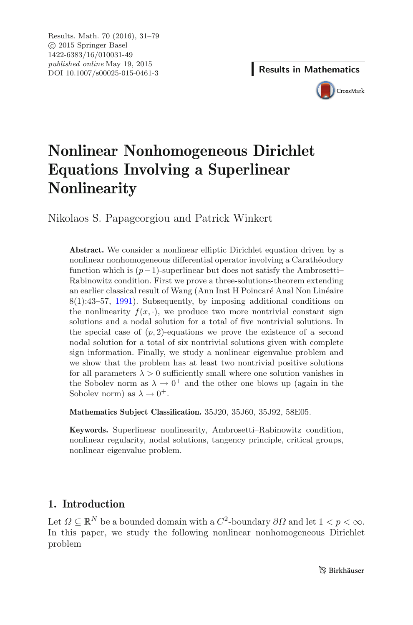

# **Nonlinear Nonhomogeneous Dirichlet Equations Involving a Superlinear Nonlinearity**

Nikolaos S. Papageorgiou and Patrick Winkert

**Abstract.** We consider a nonlinear elliptic Dirichlet equation driven by a nonlinear nonhomogeneous differential operator involving a Carathéodory function which is  $(p-1)$ -superlinear but does not satisfy the Ambrosetti– Rabinowitz condition. First we prove a three-solutions-theorem extending an earlier classical result of Wang (Ann Inst H Poincaré Anal Non Linéaire 8(1):43–57, [1991\)](#page-48-0). Subsequently, by imposing additional conditions on the nonlinearity  $f(x, \cdot)$ , we produce two more nontrivial constant sign solutions and a nodal solution for a total of five nontrivial solutions. In the special case of  $(p, 2)$ -equations we prove the existence of a second nodal solution for a total of six nontrivial solutions given with complete sign information. Finally, we study a nonlinear eigenvalue problem and we show that the problem has at least two nontrivial positive solutions for all parameters  $\lambda > 0$  sufficiently small where one solution vanishes in the Sobolev norm as  $\lambda \to 0^+$  and the other one blows up (again in the Sobolev norm) as  $\lambda \to 0^+$ .

**Mathematics Subject Classification.** 35J20, 35J60, 35J92, 58E05.

**Keywords.** Superlinear nonlinearity, Ambrosetti–Rabinowitz condition, nonlinear regularity, nodal solutions, tangency principle, critical groups, nonlinear eigenvalue problem.

## **1. Introduction**

Let  $\Omega \subseteq \mathbb{R}^N$  be a bounded domain with a  $C^2$ -boundary  $\partial\Omega$  and let  $1 < p < \infty$ . In this paper, we study the following nonlinear nonhomogeneous Dirichlet problem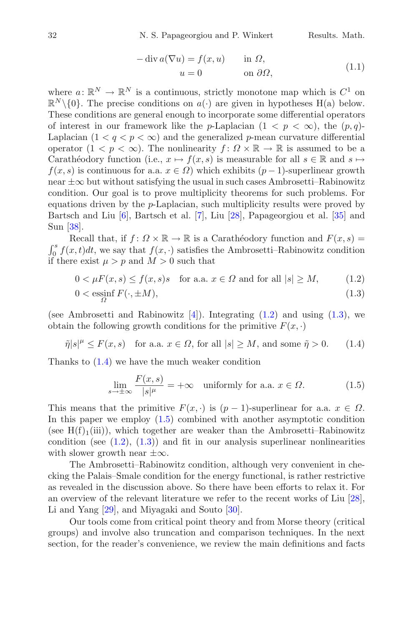$$
-\operatorname{div} a(\nabla u) = f(x, u) \quad \text{in } \Omega,
$$
  

$$
u = 0 \quad \text{on } \partial\Omega,
$$
 (1.1)

<span id="page-1-4"></span>where  $a: \mathbb{R}^N \to \mathbb{R}^N$  is a continuous, strictly monotone map which is  $C^1$  on  $\mathbb{R}^N \setminus \{0\}$ . The precise conditions on  $a(\cdot)$  are given in hypotheses H(a) below. These conditions are general enough to incorporate some differential operators of interest in our framework like the p-Laplacian  $(1 < p < \infty)$ , the  $(p,q)$ -Laplacian  $(1 < q < p < \infty)$  and the generalized p-mean curvature differential operator  $(1 \lt p \lt \infty)$ . The nonlinearity  $f : \Omega \times \mathbb{R} \to \mathbb{R}$  is assumed to be a Carathéodory function (i.e.,  $x \mapsto f(x, s)$  is measurable for all  $s \in \mathbb{R}$  and  $s \mapsto$  $f(x, s)$  is continuous for a.a.  $x \in \Omega$ ) which exhibits  $(p-1)$ -superlinear growth near  $\pm\infty$  but without satisfying the usual in such cases Ambrosetti–Rabinowitz condition. Our goal is to prove multiplicity theorems for such problems. For equations driven by the  $p$ -Laplacian, such multiplicity results were proved by Bartsch and Liu [\[6](#page-46-0)], Bartsch et al. [\[7\]](#page-46-1), Liu [\[28](#page-47-0)], Papageorgiou et al. [\[35\]](#page-48-1) and Sun [\[38\]](#page-48-2).

Recall that, if  $f: \Omega \times \mathbb{R} \to \mathbb{R}$  is a Carathéodory function and  $F(x, s) =$  $\int_0^s f(x,t)dt$ , we say that  $f(x, \cdot)$  satisfies the Ambrosetti–Rabinowitz condition if there exist  $\mu > p$  and  $M > 0$  such that

$$
0 < \mu F(x, s) \le f(x, s)s \quad \text{for a.a. } x \in \Omega \text{ and for all } |s| \ge M, \tag{1.2}
$$

$$
0 < \operatorname{essinf}_{\Omega} F(\cdot, \pm M),\tag{1.3}
$$

(see Ambrosetti and Rabinowitz  $[4]$  $[4]$ ). Integrating  $(1.2)$  and using  $(1.3)$ , we obtain the following growth conditions for the primitive  $F(x, \cdot)$ 

$$
\tilde{\eta}|s|^{\mu} \le F(x,s) \quad \text{for a.a. } x \in \Omega \text{, for all } |s| \ge M \text{, and some } \tilde{\eta} > 0. \tag{1.4}
$$

Thanks to [\(1.4\)](#page-1-2) we have the much weaker condition

<span id="page-1-3"></span><span id="page-1-2"></span><span id="page-1-1"></span><span id="page-1-0"></span>
$$
\lim_{s \to \pm \infty} \frac{F(x, s)}{|s|^{\mu}} = +\infty \quad \text{uniformly for a.a. } x \in \Omega.
$$
 (1.5)

This means that the primitive  $F(x, \cdot)$  is  $(p-1)$ -superlinear for a.a.  $x \in \Omega$ . In this paper we employ [\(1.5\)](#page-1-3) combined with another asymptotic condition (see  $H(f)<sub>1</sub>(iii)$ ), which together are weaker than the Ambrosetti–Rabinowitz condition (see  $(1.2)$ ,  $(1.3)$ ) and fit in our analysis superlinear nonlinearities with slower growth near  $\pm \infty$ .

The Ambrosetti–Rabinowitz condition, although very convenient in checking the Palais–Smale condition for the energy functional, is rather restrictive as revealed in the discussion above. So there have been efforts to relax it. For an overview of the relevant literature we refer to the recent works of Liu [\[28\]](#page-47-0), Li and Yang [\[29](#page-48-3)], and Miyagaki and Souto [\[30\]](#page-48-4).

Our tools come from critical point theory and from Morse theory (critical groups) and involve also truncation and comparison techniques. In the next section, for the reader's convenience, we review the main definitions and facts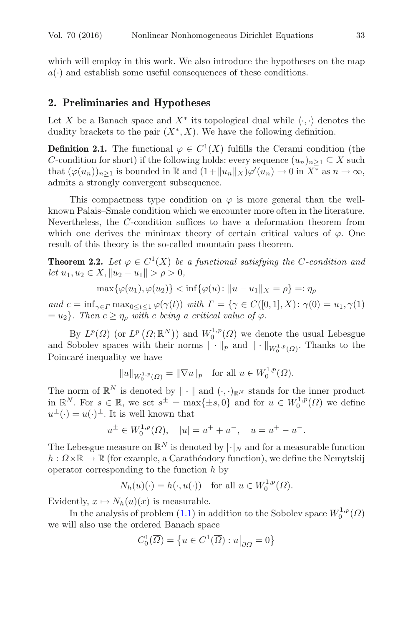which will employ in this work. We also introduce the hypotheses on the map  $a(\cdot)$  and establish some useful consequences of these conditions.

### <span id="page-2-1"></span>**2. Preliminaries and Hypotheses**

Let X be a Banach space and  $X^*$  its topological dual while  $\langle \cdot, \cdot \rangle$  denotes the duality brackets to the pair  $(X^*, X)$ . We have the following definition.

**Definition 2.1.** The functional  $\varphi \in C^1(X)$  fulfills the Cerami condition (the C-condition for short) if the following holds: every sequence  $(u_n)_{n\geq 1} \subseteq X$  such that  $(\varphi(u_n))_{n\geq 1}$  is bounded in  $\mathbb R$  and  $(1+\|u_n\|_X)\varphi'(u_n)\to 0$  in  $X^*$  as  $n\to\infty$ , admits a strongly convergent subsequence.

This compactness type condition on  $\varphi$  is more general than the wellknown Palais–Smale condition which we encounter more often in the literature. Nevertheless, the C-condition suffices to have a deformation theorem from which one derives the minimax theory of certain critical values of  $\varphi$ . One result of this theory is the so-called mountain pass theorem.

<span id="page-2-0"></span>**Theorem 2.2.** Let  $\varphi \in C^1(X)$  be a functional satisfying the C-condition and  $let u_1, u_2 \in X, ||u_2 - u_1|| > \rho > 0,$ 

$$
\max{\{\varphi(u_1), \varphi(u_2)\}} < \inf{\{\varphi(u) : \|u - u_1\|_X = \rho\}} =: \eta_\rho
$$

*and*  $c = \inf_{\gamma \in \Gamma} \max_{0 \le t \le 1} \varphi(\gamma(t))$  *with*  $\Gamma = \{ \gamma \in C([0, 1], X) : \gamma(0) = u_1, \gamma(1) \}$  $= u_2$ *. Then*  $c \geq \eta_\rho$  *with* c *being* a critical value of  $\varphi$ .

By  $L^p(\Omega)$  (or  $L^p(\Omega;\mathbb{R}^N)$ ) and  $W_0^{1,p}(\Omega)$  we denote the usual Lebesgue and Sobolev spaces with their norms  $\|\cdot\|_p$  and  $\|\cdot\|_{W_0^{1,p}(\Omega)}$ . Thanks to the Poincaré inequality we have

 $||u||_{W_0^{1,p}(\Omega)} = ||\nabla u||_p \text{ for all } u \in W_0^{1,p}(\Omega).$ 

The norm of  $\mathbb{R}^N$  is denoted by  $\|\cdot\|$  and  $(\cdot, \cdot)_{\mathbb{R}^N}$  stands for the inner product in  $\mathbb{R}^N$ . For  $s \in \mathbb{R}$ , we set  $s^{\pm} = \max\{\pm s, 0\}$  and for  $u \in W_0^{1,p}(\Omega)$  we define  $u^{\pm}(\cdot) = u(\cdot)^{\pm}$ . It is well known that

$$
u^{\pm} \in W_0^{1,p}(\Omega)
$$
,  $|u| = u^+ + u^-, u = u^+ - u^-$ .

The Lebesgue measure on  $\mathbb{R}^N$  is denoted by  $|\cdot|_N$  and for a measurable function  $h: \Omega \times \mathbb{R} \to \mathbb{R}$  (for example, a Carathéodory function), we define the Nemytskij operator corresponding to the function  $h$  by

$$
N_h(u)(\cdot) = h(\cdot, u(\cdot)) \quad \text{for all } u \in W_0^{1,p}(\Omega).
$$

Evidently,  $x \mapsto N_h(u)(x)$  is measurable.

In the analysis of problem [\(1.1\)](#page-1-4) in addition to the Sobolev space  $W_0^{1,p}(\Omega)$ we will also use the ordered Banach space

$$
C_0^1(\overline{\Omega}) = \left\{ u \in C^1(\overline{\Omega}) : u \big|_{\partial \Omega} = 0 \right\}
$$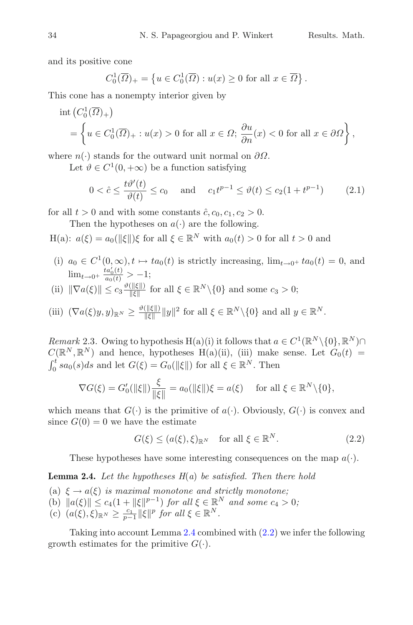and its positive cone

$$
C_0^1(\overline{\Omega})_+ = \left\{ u \in C_0^1(\overline{\Omega}) : u(x) \ge 0 \text{ for all } x \in \overline{\Omega} \right\}.
$$

This cone has a nonempty interior given by

$$
\text{int}\left(C_0^1(\overline{\Omega})_+\right)
$$
  
=  $\left\{u \in C_0^1(\overline{\Omega})_+ : u(x) > 0 \text{ for all } x \in \Omega; \frac{\partial u}{\partial n}(x) < 0 \text{ for all } x \in \partial\Omega\right\},\$ 

where  $n(\cdot)$  stands for the outward unit normal on  $\partial\Omega$ .

Let  $\vartheta \in C^1(0, +\infty)$  be a function satisfying

$$
0 < \hat{c} \le \frac{t\vartheta'(t)}{\vartheta(t)} \le c_0 \quad \text{and} \quad c_1 t^{p-1} \le \vartheta(t) \le c_2 (1 + t^{p-1}) \tag{2.1}
$$

for all  $t > 0$  and with some constants  $\hat{c}$ ,  $c_0$ ,  $c_1$ ,  $c_2 > 0$ .

Then the hypotheses on  $a(\cdot)$  are the following.

H(a):  $a(\xi) = a_0(||\xi||)\xi$  for all  $\xi \in \mathbb{R}^N$  with  $a_0(t) > 0$  for all  $t > 0$  and

(i)  $a_0 \in C^1(0,\infty), t \mapsto ta_0(t)$  is strictly increasing,  $\lim_{t\to 0^+} ta_0(t) = 0$ , and  $\lim_{t\to 0^+} \frac{ta'_0(t)}{a_0(t)} > -1;$ 

(ii) 
$$
\|\nabla a(\xi)\| \le c_3 \frac{\vartheta(\|\xi\|)}{\|\xi\|}
$$
 for all  $\xi \in \mathbb{R}^N \setminus \{0\}$  and some  $c_3 > 0$ ;

(iii) 
$$
(\nabla a(\xi)y, y)_{\mathbb{R}^N} \ge \frac{\vartheta(||\xi||)}{||\xi||} ||y||^2
$$
 for all  $\xi \in \mathbb{R}^N \setminus \{0\}$  and all  $y \in \mathbb{R}^N$ .

*Remark* 2.3. Owing to hypothesis H(a)(i) it follows that  $a \in C^1(\mathbb{R}^N \setminus \{0\}, \mathbb{R}^N) \cap$  $C(\mathbb{R}^N,\mathbb{R}^N)$  and hence, hypotheses  $H(a)(ii)$ , (iii) make sense. Let  $G_0(t)$  =  $\int_0^t sa_0(s)ds$  and let  $G(\xi) = G_0(\|\xi\|)$  for all  $\xi \in \mathbb{R}^N$ . Then

$$
\nabla G(\xi) = G_0'(\|\xi\|) \frac{\xi}{\|\xi\|} = a_0(\|\xi\|) \xi = a(\xi) \quad \text{ for all } \xi \in \mathbb{R}^N \setminus \{0\},
$$

which means that  $G(\cdot)$  is the primitive of  $a(\cdot)$ . Obviously,  $G(\cdot)$  is convex and since  $G(0) = 0$  we have the estimate

<span id="page-3-1"></span>
$$
G(\xi) \le (a(\xi), \xi)_{\mathbb{R}^N} \quad \text{for all } \xi \in \mathbb{R}^N. \tag{2.2}
$$

These hypotheses have some interesting consequences on the map  $a(\cdot)$ .

<span id="page-3-0"></span>**Lemma 2.4.** *Let the hypotheses H*(*a*) *be satisfied. Then there hold*

- (a)  $\xi \rightarrow a(\xi)$  *is maximal monotone and strictly monotone:*
- (b)  $||a(\xi)|| \leq c_4(1 + ||\xi||^{p-1})$  *for all*  $\xi \in \mathbb{R}^N$  *and some*  $c_4 > 0$ *;*
- $(c)$   $(a(\xi), \xi)_{\mathbb{R}^N} \geq \frac{c_1}{p-1} \|\xi\|^p$  for all  $\xi \in \mathbb{R}^N$ .

<span id="page-3-2"></span>Taking into account Lemma [2.4](#page-3-0) combined with [\(2.2\)](#page-3-1) we infer the following growth estimates for the primitive  $G(\cdot)$ .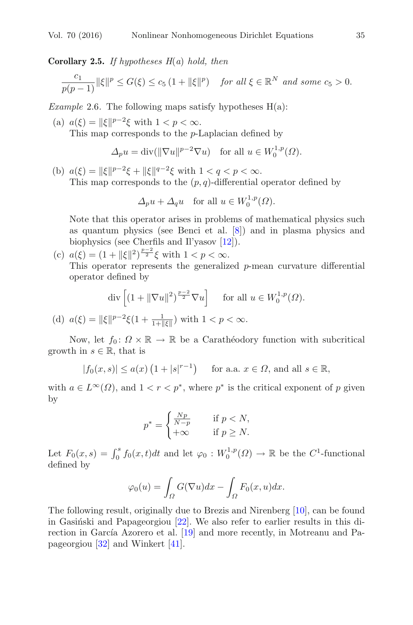**Corollary 2.5.** *If hypotheses H*(*a*) *hold, then*

$$
\frac{c_1}{p(p-1)}\|\xi\|^p \le G(\xi) \le c_5\left(1 + \|\xi\|^p\right) \quad \text{for all } \xi \in \mathbb{R}^N \text{ and some } c_5 > 0.
$$

<span id="page-4-0"></span>*Example* 2.6*.* The following maps satisfy hypotheses H(a):

(a)  $a(\xi) = ||\xi||^{p-2}\xi$  with  $1 < p < \infty$ .

This map corresponds to the p-Laplacian defined by

$$
\Delta_p u = \text{div}(\|\nabla u\|^{p-2} \nabla u) \quad \text{for all } u \in W_0^{1,p}(\Omega).
$$

(b)  $a(\xi) = ||\xi||^{p-2}\xi + ||\xi||^{q-2}\xi$  with  $1 < q < p < \infty$ . This map corresponds to the  $(p, q)$ -differential operator defined by

$$
\Delta_p u + \Delta_q u \quad \text{for all } u \in W_0^{1,p}(\Omega).
$$

Note that this operator arises in problems of mathematical physics such as quantum physics (see Benci et al. [\[8\]](#page-46-3)) and in plasma physics and biophysics (see Cherfils and Il'yasov [\[12\]](#page-47-1)).

(c)  $a(\xi) = (1 + ||\xi||^2)^{\frac{p-2}{2}} \xi$  with  $1 < p < \infty$ .

This operator represents the generalized p-mean curvature differential operator defined by

$$
\operatorname{div}\left[ (1 + \|\nabla u\|^2)^{\frac{p-2}{2}} \nabla u \right] \quad \text{ for all } u \in W_0^{1,p}(\Omega).
$$

(d)  $a(\xi) = ||\xi||^{p-2}\xi(1 + \frac{1}{1 + ||\xi||})$  with  $1 < p < \infty$ .

Now, let  $f_0: \Omega \times \mathbb{R} \to \mathbb{R}$  be a Carathéodory function with subcritical growth in  $s \in \mathbb{R}$ , that is

$$
|f_0(x,s)| \le a(x) \left(1+|s|^{r-1}\right) \quad \text{ for a.a. } x \in \Omega \text{, and all } s \in \mathbb{R},
$$

with  $a \in L^{\infty}(\Omega)$ , and  $1 < r < p^*$ , where  $p^*$  is the critical exponent of p given by

$$
p^* = \begin{cases} \frac{Np}{N-p} & \text{if } p < N, \\ +\infty & \text{if } p \ge N. \end{cases}
$$

Let  $F_0(x, s) = \int_0^s f_0(x, t) dt$  and let  $\varphi_0 : W_0^{1, p}(\Omega) \to \mathbb{R}$  be the C<sup>1</sup>-functional defined by

$$
\varphi_0(u) = \int_{\Omega} G(\nabla u) dx - \int_{\Omega} F_0(x, u) dx.
$$

<span id="page-4-1"></span>The following result, originally due to Brezis and Nirenberg [\[10](#page-47-2)], can be found in Gasiński and Papageorgiou  $[22]$ . We also refer to earlier results in this direction in García Azorero et al.  $[19]$  $[19]$  and more recently, in Motreanu and Papageorgiou [\[32](#page-48-5)] and Winkert [\[41\]](#page-48-6).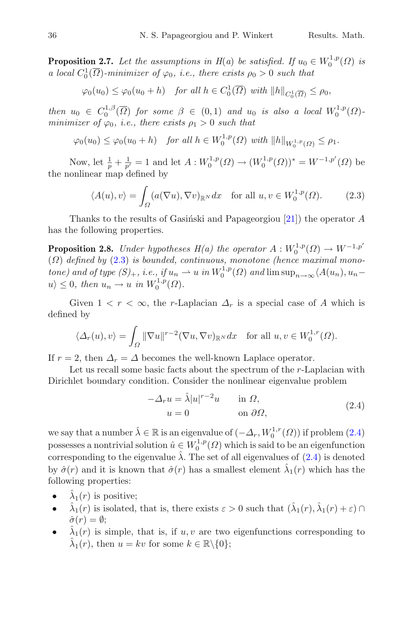**Proposition 2.7.** Let the assumptions in  $H(a)$  be satisfied. If  $u_0 \in W_0^{1,p}(\Omega)$  is *a local*  $C_0^1(\overline{\Omega})$ *-minimizer of*  $\varphi_0$ *, i.e., there exists*  $\rho_0 > 0$  *such that* 

$$
\varphi_0(u_0) \leq \varphi_0(u_0 + h) \quad \text{for all } h \in C_0^1(\overline{\Omega}) \text{ with } ||h||_{C_0^1(\overline{\Omega})} \leq \rho_0,
$$

*then*  $u_0 \in C_0^{1,\beta}(\overline{\Omega})$  *for some*  $\beta \in (0,1)$  *and*  $u_0$  *is also a local*  $W_0^{1,p}(\Omega)$ *minimizer of*  $\varphi_0$ , *i.e., there exists*  $\rho_1 > 0$  *such that* 

$$
\varphi_0(u_0) \leq \varphi_0(u_0 + h)
$$
 for all  $h \in W_0^{1,p}(\Omega)$  with  $||h||_{W_0^{1,p}(\Omega)} \leq \rho_1$ .

Now, let  $\frac{1}{p} + \frac{1}{p'} = 1$  and let  $A: W_0^{1,p}(\Omega) \to (W_0^{1,p}(\Omega))^* = W^{-1,p'}(\Omega)$  be the nonlinear map defined by

<span id="page-5-0"></span>
$$
\langle A(u), v \rangle = \int_{\Omega} (a(\nabla u), \nabla v)_{\mathbb{R}^N} dx \quad \text{for all } u, v \in W_0^{1, p}(\Omega). \tag{2.3}
$$

<span id="page-5-2"></span>Thanks to the results of Gasiński and Papageorgiou  $[21]$  $[21]$ ) the operator A has the following properties.

**Proposition 2.8.** *Under hypotheses*  $H(a)$  *the operator*  $A: W_0^{1,p}(\Omega) \to W^{-1,p'}$ (Ω) *defined by* [\(2.3\)](#page-5-0) *is bounded, continuous, monotone (hence maximal monotone)* and of type  $(S)_+$ , *i.e.*, if  $u_n \rightharpoonup u$  *in*  $W_0^{1,p}(\Omega)$  and  $\limsup_{n\to\infty} \langle A(u_n), u_n-\rangle$  $u\rangle \leq 0$ , then  $u_n \to u$  in  $W_0^{1,p}(\Omega)$ .

Given  $1 < r < \infty$ , the r-Laplacian  $\Delta_r$  is a special case of A which is defined by

$$
\langle \Delta_r(u), v \rangle = \int_{\Omega} \|\nabla u\|^{r-2} (\nabla u, \nabla v)_{\mathbb{R}^N} dx \quad \text{for all } u, v \in W_0^{1,r}(\Omega).
$$

If  $r = 2$ , then  $\Delta_r = \Delta$  becomes the well-known Laplace operator.

Let us recall some basic facts about the spectrum of the r-Laplacian with Dirichlet boundary condition. Consider the nonlinear eigenvalue problem

$$
-\Delta_r u = \hat{\lambda}|u|^{r-2}u \quad \text{in } \Omega,
$$
  
\n
$$
u = 0 \quad \text{on } \partial\Omega,
$$
\n(2.4)

<span id="page-5-1"></span>we say that a number  $\hat{\lambda} \in \mathbb{R}$  is an eigenvalue of  $(-\Delta_r, W_0^{1,r}(\Omega))$  if problem  $(2.4)$ possesses a nontrivial solution  $\hat{u} \in W_0^{1,p}(\Omega)$  which is said to be an eigenfunction corresponding to the eigenvalue  $\hat{\lambda}$ . The set of all eigenvalues of  $(2.4)$  is denoted by  $\hat{\sigma}(r)$  and it is known that  $\hat{\sigma}(r)$  has a smallest element  $\hat{\lambda}_1(r)$  which has the following properties:

- $\lambda_1(r)$  is positive;
- $\hat{\lambda}_1(r)$  is isolated, that is, there exists  $\varepsilon > 0$  such that  $(\hat{\lambda}_1(r), \hat{\lambda}_1(r) + \varepsilon) \cap$  $\hat{\sigma}(r) = \emptyset;$
- $\lambda_1(r)$  is simple, that is, if u, v are two eigenfunctions corresponding to  $\lambda_1(r)$ , then  $u = kv$  for some  $k \in \mathbb{R} \backslash \{0\};$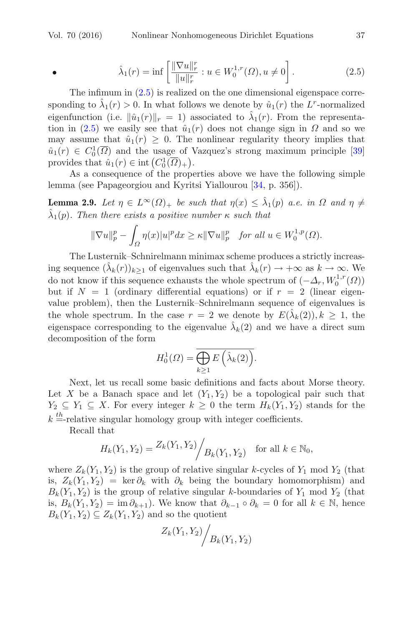<span id="page-6-0"></span>•  $\hat{\lambda}_1(r) = \inf \left[ \frac{\|\nabla u\|_r^r}{\|u\|_r^r} \right]$  $\frac{\nabla u\|_r^r}{\|u\|_r^r}$  :  $u \in W_0^{1,r}(\Omega), u \neq 0$  $(2.5)$ 

The infimum in [\(2.5\)](#page-6-0) is realized on the one dimensional eigenspace corresponding to  $\hat{\lambda}_1(r) > 0$ . In what follows we denote by  $\hat{u}_1(r)$  the L<sup>r</sup>-normalized eigenfunction (i.e.  $\|\hat{u}_1(r)\|_r = 1$ ) associated to  $\hat{\lambda}_1(r)$ . From the representa-tion in [\(2.5\)](#page-6-0) we easily see that  $\hat{u}_1(r)$  does not change sign in  $\Omega$  and so we may assume that  $\hat{u}_1(r) \geq 0$ . The nonlinear regularity theory implies that  $\hat{u}_1(r) \in C_0^1(\overline{\Omega})$  and the usage of Vazquez's strong maximum principle [\[39\]](#page-48-7) provides that  $\hat{u}_1(r) \in \text{int}\left(C_0^1(\overline{\Omega})_+\right)$ .

<span id="page-6-1"></span>As a consequence of the properties above we have the following simple lemma (see Papageorgiou and Kyritsi Yiallourou [\[34,](#page-48-8) p. 356]).

**Lemma 2.9.** Let  $\eta \in L^{\infty}(\Omega)$  *be such that*  $\eta(x) \leq \lambda_1(p)$  *a.e. in*  $\Omega$  *and*  $\eta \neq$  $\hat{\lambda}_1(p)$ *. Then there exists a positive number*  $\kappa$  *such that* 

$$
\|\nabla u\|_p^p - \int_{\Omega} \eta(x)|u|^p dx \ge \kappa \|\nabla u\|_p^p \quad \text{for all } u \in W_0^{1,p}(\Omega).
$$

The Lusternik–Schnirelmann minimax scheme produces a strictly increasing sequence  $(\hat{\lambda}_k(r))_{k\geq 1}$  of eigenvalues such that  $\hat{\lambda}_k(r) \to +\infty$  as  $k \to \infty$ . We do not know if this sequence exhausts the whole spectrum of  $(-\Delta_r, W_0^{1,r}(\Omega))$ but if  $N = 1$  (ordinary differential equations) or if  $r = 2$  (linear eigenvalue problem), then the Lusternik–Schnirelmann sequence of eigenvalues is the whole spectrum. In the case  $r = 2$  we denote by  $E(\lambda_k(2)), k \geq 1$ , the eigenspace corresponding to the eigenvalue  $\lambda_k(2)$  and we have a direct sum decomposition of the form

$$
H_0^1(\Omega) = \overline{\bigoplus_{k \ge 1} E\left(\hat{\lambda}_k(2)\right)}.
$$

Next, let us recall some basic definitions and facts about Morse theory. Let X be a Banach space and let  $(Y_1, Y_2)$  be a topological pair such that  $Y_2 \subseteq Y_1 \subseteq X$ . For every integer  $k \geq 0$  the term  $H_k(Y_1, Y_2)$  stands for the  $k =$ -relative singular homology group with integer coefficients.

Recall that

$$
H_k(Y_1, Y_2) = \frac{Z_k(Y_1, Y_2)}{B_k(Y_1, Y_2)}
$$
 for all  $k \in \mathbb{N}_0$ ,

where  $Z_k(Y_1, Y_2)$  is the group of relative singular k-cycles of  $Y_1$  mod  $Y_2$  (that is,  $Z_k(Y_1, Y_2) = \ker \partial_k$  with  $\partial_k$  being the boundary homomorphism) and  $B_k(Y_1, Y_2)$  is the group of relative singular k-boundaries of  $Y_1$  mod  $Y_2$  (that is,  $B_k(Y_1, Y_2) = \text{im } \partial_{k+1}$ . We know that  $\partial_{k-1} \circ \partial_k = 0$  for all  $k \in \mathbb{N}$ , hence  $B_k(Y_1, Y_2) \subseteq Z_k(Y_1, Y_2)$  and so the quotient

$$
Z_k(Y_1, Y_2)\Bigg/ B_k(Y_1, Y_2)
$$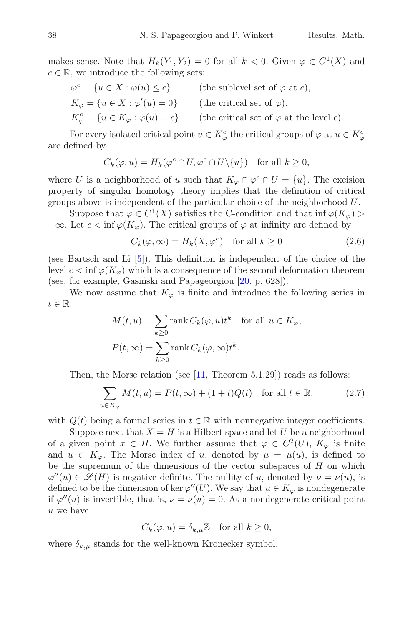makes sense. Note that  $H_k(Y_1, Y_2) = 0$  for all  $k < 0$ . Given  $\varphi \in C^1(X)$  and  $c \in \mathbb{R}$ , we introduce the following sets:

$$
\varphi^c = \{ u \in X : \varphi(u) \le c \} \qquad \text{(the sublevel set of } \varphi \text{ at } c),
$$
  
\n
$$
K_{\varphi} = \{ u \in X : \varphi'(u) = 0 \} \qquad \text{(the critical set of } \varphi),
$$
  
\n
$$
K_{\varphi}^c = \{ u \in K_{\varphi} : \varphi(u) = c \} \qquad \text{(the critical set of } \varphi \text{ at the level } c).
$$

For every isolated critical point  $u \in K^c_\varphi$  the critical groups of  $\varphi$  at  $u \in K^c_\varphi$ are defined by

$$
C_k(\varphi, u) = H_k(\varphi^c \cap U, \varphi^c \cap U \setminus \{u\}) \quad \text{for all } k \ge 0,
$$

where U is a neighborhood of u such that  $K_{\varphi} \cap \varphi^c \cap U = \{u\}$ . The excision property of singular homology theory implies that the definition of critical groups above is independent of the particular choice of the neighborhood U.

Suppose that  $\varphi \in C^1(X)$  satisfies the C-condition and that inf  $\varphi(K_{\varphi})$  $-\infty$ . Let  $c < \inf \varphi(K_{\varphi})$ . The critical groups of  $\varphi$  at infinity are defined by

<span id="page-7-0"></span>
$$
C_k(\varphi,\infty) = H_k(X,\varphi^c) \quad \text{for all } k \ge 0 \tag{2.6}
$$

(see Bartsch and Li [\[5\]](#page-46-4)). This definition is independent of the choice of the level  $c < \inf \varphi(K_{\varphi})$  which is a consequence of the second deformation theorem (see, for example, Gasiński and Papageorgiou  $[20, p. 628]$  $[20, p. 628]$ ).

We now assume that  $K_{\varphi}$  is finite and introduce the following series in  $t \in \mathbb{R}$ :

$$
M(t, u) = \sum_{k \ge 0} \text{rank } C_k(\varphi, u)t^k \quad \text{for all } u \in K_{\varphi},
$$
  

$$
P(t, \infty) = \sum_{k \ge 0} \text{rank } C_k(\varphi, \infty)t^k.
$$

Then, the Morse relation (see  $[11,$  Theorem 5.1.29]) reads as follows:

<span id="page-7-1"></span>
$$
\sum_{u \in K_{\varphi}} M(t, u) = P(t, \infty) + (1 + t)Q(t) \quad \text{for all } t \in \mathbb{R},\tag{2.7}
$$

with  $Q(t)$  being a formal series in  $t \in \mathbb{R}$  with nonnegative integer coefficients.

Suppose next that  $X = H$  is a Hilbert space and let U be a neighborhood of a given point  $x \in H$ . We further assume that  $\varphi \in C^2(U)$ ,  $K_{\varphi}$  is finite and  $u \in K_{\varphi}$ . The Morse index of u, denoted by  $\mu = \mu(u)$ , is defined to be the supremum of the dimensions of the vector subspaces of  $H$  on which  $\varphi''(u) \in \mathscr{L}(H)$  is negative definite. The nullity of u, denoted by  $\nu = \nu(u)$ , is defined to be the dimension of ker  $\varphi''(U)$ . We say that  $u \in K_{\varphi}$  is nondegenerate if  $\varphi''(u)$  is invertible, that is,  $\nu = \nu(u) = 0$ . At a nondegenerate critical point u we have

$$
C_k(\varphi, u) = \delta_{k,\mu} \mathbb{Z} \quad \text{for all } k \ge 0,
$$

where  $\delta_{k,\mu}$  stands for the well-known Kronecker symbol.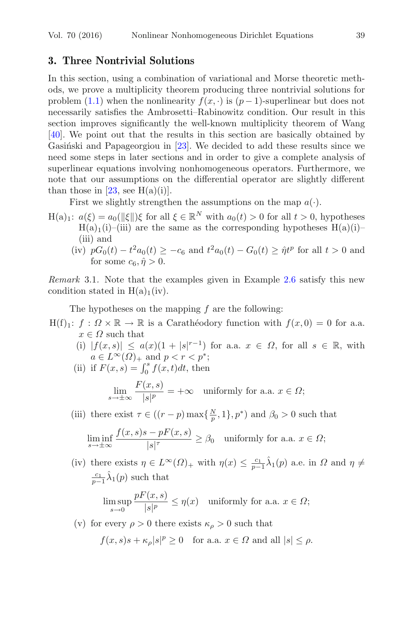### **3. Three Nontrivial Solutions**

In this section, using a combination of variational and Morse theoretic methods, we prove a multiplicity theorem producing three nontrivial solutions for problem [\(1.1\)](#page-1-4) when the nonlinearity  $f(x, \cdot)$  is  $(p-1)$ -superlinear but does not necessarily satisfies the Ambrosetti–Rabinowitz condition. Our result in this section improves significantly the well-known multiplicity theorem of Wang [\[40\]](#page-48-0). We point out that the results in this section are basically obtained by Gasinski and Papageorgiou in  $[23]$ . We decided to add these results since we need some steps in later sections and in order to give a complete analysis of superlinear equations involving nonhomogeneous operators. Furthermore, we note that our assumptions on the differential operator are slightly different than those in [\[23,](#page-47-8) see H(a)(i)].

First we slightly strengthen the assumptions on the map  $a(\cdot)$ .

- $H(a)_1: a(\xi) = a_0(||\xi||)\xi$  for all  $\xi \in \mathbb{R}^N$  with  $a_0(t) > 0$  for all  $t > 0$ , hypotheses  $H(a)_1(i)$ –(iii) are the same as the corresponding hypotheses  $H(a)(i)$ – (iii) and
	- (iv)  $pG_0(t) t^2 a_0(t) \geq -c_6$  and  $t^2 a_0(t) G_0(t) \geq \hat{\eta} t^p$  for all  $t > 0$  and for some  $c_6$ ,  $\hat{\eta} > 0$ .

*Remark* 3.1*.* Note that the examples given in Example [2.6](#page-4-0) satisfy this new condition stated in  $H(a)_1(iv)$ .

The hypotheses on the mapping  $f$  are the following:

- $H(f)_1: f: \Omega \times \mathbb{R} \to \mathbb{R}$  is a Carathéodory function with  $f(x, 0) = 0$  for a.a.  $x \in \Omega$  such that
	- (i)  $|f(x, s)| \leq a(x)(1 + |s|^{r-1})$  for a.a.  $x \in \Omega$ , for all  $s \in \mathbb{R}$ , with  $a \in L^{\infty}(\Omega)_{+}$  and  $p < r < p^*$ ;

(ii) if 
$$
F(x, s) = \int_0^s f(x, t)dt
$$
, then

$$
\lim_{s \to \pm \infty} \frac{F(x, s)}{|s|^p} = +\infty \quad \text{uniformly for a.a. } x \in \Omega;
$$

(iii) there exist  $\tau \in ((r-p)\max\{\frac{N}{p},1\},p^*)$  and  $\beta_0 > 0$  such that

$$
\liminf_{s\to\pm\infty}\frac{f(x,s)s - pF(x,s)}{|s|^\tau}\geq \beta_0\quad\text{uniformly for a.a. }x\in\varOmega;
$$

(iv) there exists  $\eta \in L^{\infty}(\Omega)_{+}$  with  $\eta(x) \leq \frac{c_1}{p-1}\hat{\lambda}_1(p)$  a.e. in  $\Omega$  and  $\eta \neq$  $\frac{c_1}{p-1}\hat{\lambda}_1(p)$  such that

$$
\limsup_{s \to 0} \frac{pF(x, s)}{|s|^p} \le \eta(x) \quad \text{uniformly for a.a. } x \in \Omega;
$$

(v) for every  $\rho > 0$  there exists  $\kappa_{\rho} > 0$  such that

$$
f(x, s)s + \kappa_{\rho}|s|^{p} \ge 0
$$
 for a.a.  $x \in \Omega$  and all  $|s| \le \rho$ .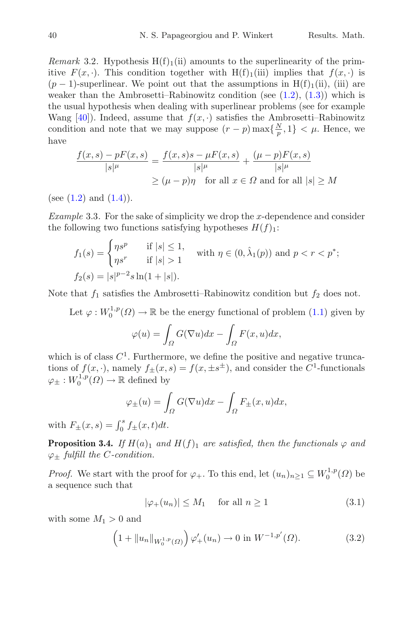*Remark* 3.2. Hypothesis  $H(f)$ <sub>1</sub>(ii) amounts to the superlinearity of the primitive  $F(x, \cdot)$ . This condition together with  $H(f)_{1}(\text{iii})$  implies that  $f(x, \cdot)$  is  $(p-1)$ -superlinear. We point out that the assumptions in H(f)<sub>1</sub>(ii), (iii) are weaker than the Ambrosetti–Rabinowitz condition (see  $(1.2)$ ,  $(1.3)$ ) which is the usual hypothesis when dealing with superlinear problems (see for example Wang [\[40\]](#page-48-0)). Indeed, assume that  $f(x, \cdot)$  satisfies the Ambrosetti–Rabinowitz condition and note that we may suppose  $(r - p) \max\{\frac{N}{p}, 1\} < \mu$ . Hence, we have

$$
\frac{f(x,s) - pF(x,s)}{|s|^{\mu}} = \frac{f(x,s)s - \mu F(x,s)}{|s|^{\mu}} + \frac{(\mu - p)F(x,s)}{|s|^{\mu}}
$$

$$
\geq (\mu - p)\eta \text{ for all } x \in \Omega \text{ and for all } |s| \geq M
$$

(see  $(1.2)$  and  $(1.4)$ ).

*Example* 3.3. For the sake of simplicity we drop the x-dependence and consider the following two functions satisfying hypotheses  $H(f)_1$ :

$$
f_1(s) = \begin{cases} \eta s^p & \text{if } |s| \le 1, \\ \eta s^r & \text{if } |s| > 1 \end{cases} \text{ with } \eta \in (0, \hat{\lambda}_1(p)) \text{ and } p < r < p^*;
$$
  

$$
f_2(s) = |s|^{p-2} s \ln(1+|s|).
$$

Note that  $f_1$  satisfies the Ambrosetti–Rabinowitz condition but  $f_2$  does not.

Let  $\varphi: W_0^{1,p}(\Omega) \to \mathbb{R}$  be the energy functional of problem  $(1.1)$  given by

$$
\varphi(u) = \int_{\Omega} G(\nabla u) dx - \int_{\Omega} F(x, u) dx,
$$

which is of class  $C^1$ . Furthermore, we define the positive and negative truncations of  $f(x, \cdot)$ , namely  $f_{\pm}(x, s) = f(x, \pm s^{\pm})$ , and consider the  $\check{C}^1$ -functionals  $\varphi_{\pm}: W_0^{1,p}(\Omega) \to \mathbb{R}$  defined by

$$
\varphi_{\pm}(u) = \int_{\Omega} G(\nabla u) dx - \int_{\Omega} F_{\pm}(x, u) dx,
$$

with  $F_{\pm}(x, s) = \int_0^s f_{\pm}(x, t) dt$ .

<span id="page-9-2"></span>**Proposition 3.4.** *If*  $H(a)_1$  *and*  $H(f)_1$  *are satisfied, then the functionals*  $\varphi$  *and*  $\varphi_+$  *fulfill the C-condition.* 

*Proof.* We start with the proof for  $\varphi_+$ . To this end, let  $(u_n)_{n\geq 1} \subseteq W_0^{1,p}(\Omega)$  be a sequence such that

<span id="page-9-1"></span><span id="page-9-0"></span>
$$
|\varphi_{+}(u_{n})| \le M_{1} \quad \text{ for all } n \ge 1 \tag{3.1}
$$

with some  $M_1 > 0$  and

$$
\left(1 + \|u_n\|_{W_0^{1,p}(\Omega)}\right)\varphi'_+(u_n) \to 0 \text{ in } W^{-1,p'}(\Omega). \tag{3.2}
$$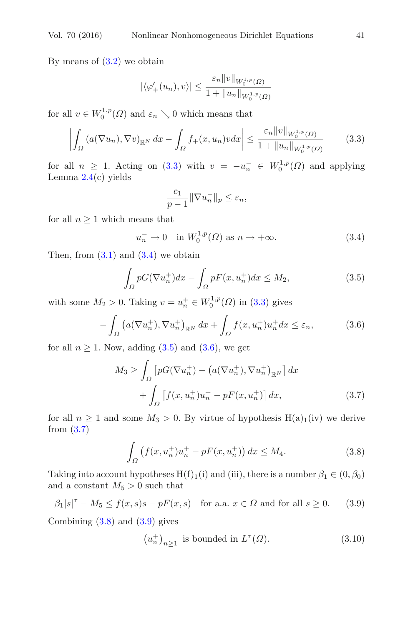By means of  $(3.2)$  we obtain

$$
|\langle \varphi'_+(u_n), v \rangle| \leq \frac{\varepsilon_n \|v\|_{W_0^{1,p}(\varOmega)}}{1 + \|u_n\|_{W_0^{1,p}(\varOmega)}}
$$

for all  $v \in W_0^{1,p}(\Omega)$  and  $\varepsilon_n \searrow 0$  which means that

$$
\left| \int_{\Omega} \left( a(\nabla u_n), \nabla v \right)_{\mathbb{R}^N} dx - \int_{\Omega} f_+(x, u_n) v dx \right| \leq \frac{\varepsilon_n \|v\|_{W_0^{1, p}(\Omega)}}{1 + \|u_n\|_{W_0^{1, p}(\Omega)}} \tag{3.3}
$$

for all  $n \geq 1$ . Acting on [\(3.3\)](#page-10-0) with  $v = -u_n^- \in W_0^{1,p}(\Omega)$  and applying Lemma  $2.4(c)$  $2.4(c)$  yields

<span id="page-10-2"></span><span id="page-10-1"></span><span id="page-10-0"></span>
$$
\frac{c_1}{p-1} \|\nabla u_n^-\|_p \le \varepsilon_n,
$$

for all  $n \geq 1$  which means that

$$
u_n^- \to 0 \quad \text{in } W_0^{1,p}(\Omega) \text{ as } n \to +\infty. \tag{3.4}
$$

Then, from  $(3.1)$  and  $(3.4)$  we obtain

<span id="page-10-3"></span>
$$
\int_{\Omega} pG(\nabla u_n^+)dx - \int_{\Omega} pF(x, u_n^+)dx \le M_2,
$$
\n(3.5)

with some  $M_2 > 0$ . Taking  $v = u_n^+ \in W_0^{1,p}(\Omega)$  in [\(3.3\)](#page-10-0) gives

$$
-\int_{\Omega} \left( a(\nabla u_n^+), \nabla u_n^+ \right)_{\mathbb{R}^N} dx + \int_{\Omega} f(x, u_n^+) u_n^+ dx \le \varepsilon_n,
$$
\n(3.6)

for all  $n \geq 1$ . Now, adding  $(3.5)$  and  $(3.6)$ , we get

$$
M_3 \ge \int_{\Omega} \left[ pG(\nabla u_n^+) - \left( a(\nabla u_n^+), \nabla u_n^+ \right)_{\mathbb{R}^N} \right] dx
$$

$$
+ \int_{\Omega} \left[ f(x, u_n^+) u_n^+ - pF(x, u_n^+) \right] dx, \tag{3.7}
$$

for all  $n \geq 1$  and some  $M_3 > 0$ . By virtue of hypothesis H(a)<sub>1</sub>(iv) we derive from [\(3.7\)](#page-10-4)

<span id="page-10-5"></span><span id="page-10-4"></span>
$$
\int_{\Omega} \left( f(x, u_n^+) u_n^+ - pF(x, u_n^+) \right) dx \le M_4. \tag{3.8}
$$

Taking into account hypotheses  $H(f)_1(i)$  and (iii), there is a number  $\beta_1 \in (0, \beta_0)$ and a constant  $M_5 > 0$  such that

$$
\beta_1|s|^\tau - M_5 \le f(x,s)s - pF(x,s) \quad \text{for a.a. } x \in \Omega \text{ and for all } s \ge 0. \tag{3.9}
$$

Combining  $(3.8)$  and  $(3.9)$  gives

<span id="page-10-7"></span><span id="page-10-6"></span>
$$
(u_n^+)_{n\geq 1} \text{ is bounded in } L^\tau(\Omega). \tag{3.10}
$$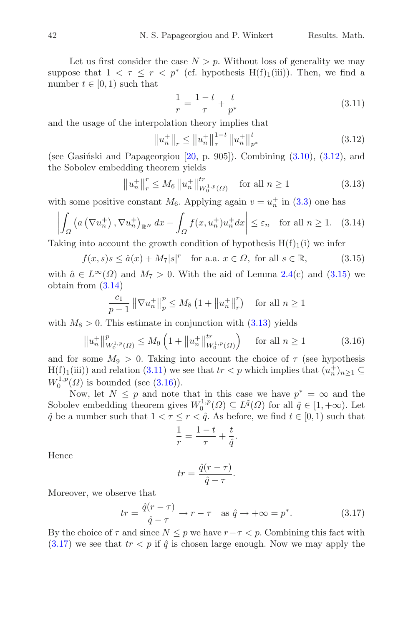Let us first consider the case  $N>p$ . Without loss of generality we may suppose that  $1 \leq \tau \leq r \leq p^*$  (cf. hypothesis H(f)<sub>1</sub>(iii)). Then, we find a number  $t \in [0, 1)$  such that

<span id="page-11-4"></span><span id="page-11-0"></span>
$$
\frac{1}{r} = \frac{1-t}{\tau} + \frac{t}{p^*}
$$
\n(3.11)

and the usage of the interpolation theory implies that

<span id="page-11-3"></span><span id="page-11-2"></span>
$$
\left\|u_{n}^{+}\right\|_{r} \leq \left\|u_{n}^{+}\right\|_{\tau}^{1-t} \left\|u_{n}^{+}\right\|_{p^{*}}^{t}
$$
\n(3.12)

(see Gasinski and Papageorgiou  $[20, p. 905]$  $[20, p. 905]$ ). Combining  $(3.10), (3.12)$  $(3.10), (3.12)$  $(3.10), (3.12)$ , and the Sobolev embedding theorem yields

<span id="page-11-1"></span>
$$
\left\|u_{n}^{+}\right\|_{r}^{r} \le M_{6} \left\|u_{n}^{+}\right\|_{W_{0}^{1,p}\left(\Omega\right)}^{tr} \quad \text{for all } n \ge 1 \tag{3.13}
$$

with some positive constant  $M_6$ . Applying again  $v = u_n^+$  in [\(3.3\)](#page-10-0) one has

$$
\left| \int_{\Omega} \left( a \left( \nabla u_n^+ \right), \nabla u_n^+ \right)_{\mathbb{R}^N} dx - \int_{\Omega} f(x, u_n^+) u_n^+ dx \right| \le \varepsilon_n \quad \text{for all } n \ge 1. \tag{3.14}
$$

Taking into account the growth condition of hypothesis  $H(f)_{1}(i)$  we infer

$$
f(x,s)s \le \hat{a}(x) + M_7|s|^r \quad \text{for a.a. } x \in \Omega, \text{ for all } s \in \mathbb{R},\tag{3.15}
$$

with  $\hat{a} \in L^{\infty}(\Omega)$  and  $M_7 > 0$ . With the aid of Lemma [2.4\(](#page-3-0)c) and [\(3.15\)](#page-11-1) we obtain from [\(3.14\)](#page-11-2)

$$
\frac{c_1}{p-1} \left\| \nabla u_n^+ \right\|_p^p \le M_8 \left( 1 + \left\| u_n^+ \right\|_r^r \right) \quad \text{for all } n \ge 1
$$

with  $M_8 > 0$ . This estimate in conjunction with  $(3.13)$  yields

$$
\left\|u_{n}^{+}\right\|_{W_{0}^{1,p}\left(\Omega\right)}^{p}\leq M_{9}\left(1+\left\|u_{n}^{+}\right\|_{W_{0}^{1,p}\left(\Omega\right)}^{tr}\right)\quad\text{ for all }n\geq1\tag{3.16}
$$

and for some  $M_9 > 0$ . Taking into account the choice of  $\tau$  (see hypothesis  $H(f)_{1}(iii)$  and relation [\(3.11\)](#page-11-4) we see that  $tr < p$  which implies that  $(u_n^+)_{n \geq 1} \subseteq$  $W_0^{1,p}(\Omega)$  is bounded (see [\(3.16\)](#page-11-5)).

Now, let  $N \leq p$  and note that in this case we have  $p^* = \infty$  and the Sobolev embedding theorem gives  $W_0^{1,p}(\Omega) \subseteq L^{\tilde{q}}(\Omega)$  for all  $\tilde{q} \in [1, +\infty)$ . Let  $\hat{q}$  be a number such that  $1 < \tau \leq r < \hat{q}$ . As before, we find  $t \in [0,1)$  such that

<span id="page-11-5"></span>
$$
\frac{1}{r} = \frac{1-t}{\tau} + \frac{t}{\hat{q}}.
$$

Hence

<span id="page-11-6"></span>
$$
tr = \frac{\hat{q}(r-\tau)}{\hat{q}-\tau}.
$$

Moreover, we observe that

$$
tr = \frac{\hat{q}(r-\tau)}{\hat{q}-\tau} \to r-\tau \quad \text{as } \hat{q} \to +\infty = p^*.
$$
 (3.17)

By the choice of  $\tau$  and since  $N \leq p$  we have  $r - \tau < p$ . Combining this fact with  $(3.17)$  we see that  $tr < p$  if  $\hat{q}$  is chosen large enough. Now we may apply the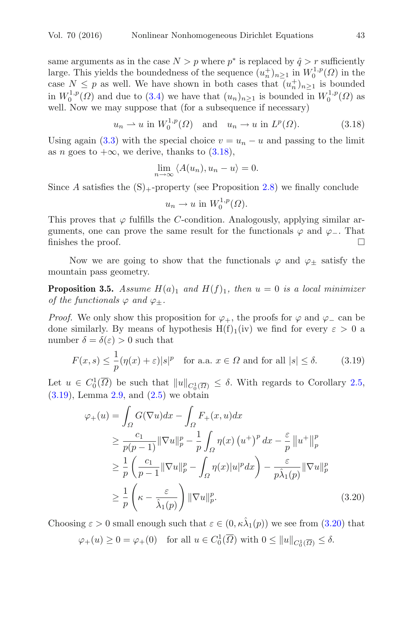same arguments as in the case  $N>p$  where  $p^*$  is replaced by  $\hat{q}>r$  sufficiently large. This yields the boundedness of the sequence  $(u_n^+)_{n\geq 1}$  in  $W_0^{1,p}(\Omega)$  in the case  $N \leq p$  as well. We have shown in both cases that  $(u_n^+)_{n\geq 1}$  is bounded in  $W_0^{1,p}(\Omega)$  and due to [\(3.4\)](#page-10-1) we have that  $(u_n)_{n\geq 1}$  is bounded in  $W_0^{1,p}(\Omega)$  as well. Now we may suppose that (for a subsequence if necessary)

$$
u_n \rightharpoonup u
$$
 in  $W_0^{1,p}(\Omega)$  and  $u_n \rightharpoonup u$  in  $L^p(\Omega)$ . (3.18)

Using again [\(3.3\)](#page-10-0) with the special choice  $v = u_n - u$  and passing to the limit as n goes to  $+\infty$ , we derive, thanks to [\(3.18\)](#page-12-0),

<span id="page-12-0"></span>
$$
\lim_{n \to \infty} \langle A(u_n), u_n - u \rangle = 0.
$$

Since A satisfies the  $(S)$ <sub>+</sub>-property (see Proposition [2.8\)](#page-5-2) we finally conclude

<span id="page-12-1"></span>
$$
u_n \to u \text{ in } W_0^{1,p}(\Omega).
$$

This proves that  $\varphi$  fulfills the C-condition. Analogously, applying similar arguments, one can prove the same result for the functionals  $\varphi$  and  $\varphi$ <sub>−</sub>. That finishes the proof finishes the proof.

<span id="page-12-3"></span>Now we are going to show that the functionals  $\varphi$  and  $\varphi_{\pm}$  satisfy the mountain pass geometry.

**Proposition 3.5.** *Assume*  $H(a)_1$  *and*  $H(f)_1$ *, then*  $u = 0$  *is a local minimizer of the functionals*  $\varphi$  *and*  $\varphi$ <sub>+</sub>.

*Proof.* We only show this proposition for  $\varphi_+$ , the proofs for  $\varphi$  and  $\varphi_-$  can be done similarly. By means of hypothesis  $H(f)_1(iv)$  we find for every  $\varepsilon > 0$  a number  $\delta = \delta(\varepsilon) > 0$  such that

$$
F(x,s) \le \frac{1}{p} (\eta(x) + \varepsilon) |s|^p \quad \text{for a.a. } x \in \Omega \text{ and for all } |s| \le \delta. \tag{3.19}
$$

Let  $u \in C_0^1(\overline{\Omega})$  be such that  $||u||_{C_0^1(\overline{\Omega})} \leq \delta$ . With regards to Corollary [2.5,](#page-3-2)  $(3.19)$ , Lemma [2.9,](#page-6-1) and  $(2.5)$  we obtain

<span id="page-12-2"></span>
$$
\varphi_{+}(u) = \int_{\Omega} G(\nabla u) dx - \int_{\Omega} F_{+}(x, u) dx
$$
  
\n
$$
\geq \frac{c_{1}}{p(p-1)} ||\nabla u||_{p}^{p} - \frac{1}{p} \int_{\Omega} \eta(x) (u^{+})^{p} dx - \frac{\varepsilon}{p} ||u^{+}||_{p}^{p}
$$
  
\n
$$
\geq \frac{1}{p} \left( \frac{c_{1}}{p-1} ||\nabla u||_{p}^{p} - \int_{\Omega} \eta(x) |u|^{p} dx \right) - \frac{\varepsilon}{p \hat{\lambda}_{1}(p)} ||\nabla u||_{p}^{p}
$$
  
\n
$$
\geq \frac{1}{p} \left( \kappa - \frac{\varepsilon}{\hat{\lambda}_{1}(p)} \right) ||\nabla u||_{p}^{p}. \tag{3.20}
$$

Choosing  $\varepsilon > 0$  small enough such that  $\varepsilon \in (0, \kappa \hat{\lambda}_1(p))$  we see from  $(3.20)$  that  $\varphi_+(u) \geq 0 = \varphi_+(0)$  for all  $u \in C_0^1(\overline{\Omega})$  with  $0 \leq ||u||_{C_0^1(\overline{\Omega})} \leq \delta$ .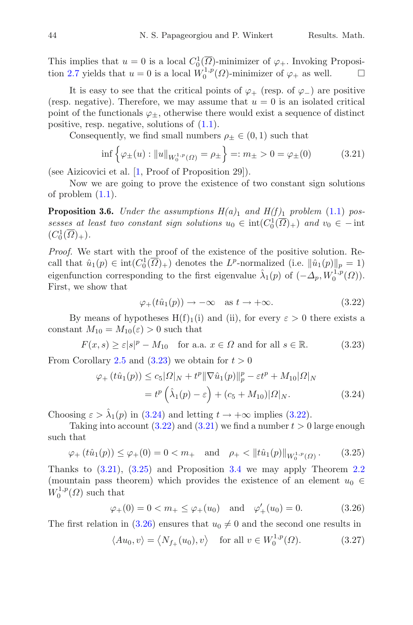It is easy to see that the critical points of  $\varphi_+$  (resp. of  $\varphi_-$ ) are positive (resp. negative). Therefore, we may assume that  $u = 0$  is an isolated critical point of the functionals  $\varphi_+$ , otherwise there would exist a sequence of distinct positive, resp. negative, solutions of [\(1.1\)](#page-1-4).

Consequently, we find small numbers  $\rho_{\pm} \in (0,1)$  such that

<span id="page-13-3"></span>
$$
\inf \left\{ \varphi_{\pm}(u) : \|u\|_{W_0^{1,p}(\Omega)} = \rho_{\pm} \right\} =: m_{\pm} > 0 = \varphi_{\pm}(0) \tag{3.21}
$$

(see Aizicovici et al. [\[1](#page-46-5), Proof of Proposition 29]).

<span id="page-13-7"></span>Now we are going to prove the existence of two constant sign solutions of problem  $(1.1)$ .

**Proposition 3.6.** *Under the assumptions*  $H(a)_1$  *and*  $H(f)_1$  *problem* [\(1.1\)](#page-1-4) *possesses at least two constant sign solutions*  $u_0 \in \text{int}(C_0^1(\overline{\Omega})_+)$  *and*  $v_0 \in -\text{int}$  $(C_0^1(\overline{\Omega})_+).$ 

*Proof.* We start with the proof of the existence of the positive solution. Recall that  $\hat{u}_1(p) \in \text{int}(C_0^1(\overline{\Omega})_+)$  denotes the L<sup>p</sup>-normalized (i.e.  $\|\hat{u}_1(p)\|_p = 1$ ) eigenfunction corresponding to the first eigenvalue  $\hat{\lambda}_1(p)$  of  $(-\hat{\Delta}_p, W_0^{1,p}(\Omega)).$ First, we show that

<span id="page-13-2"></span><span id="page-13-1"></span><span id="page-13-0"></span>
$$
\varphi_+(t\hat{u}_1(p)) \to -\infty \quad \text{as } t \to +\infty. \tag{3.22}
$$

By means of hypotheses  $H(f)_1(i)$  and (ii), for every  $\varepsilon > 0$  there exists a constant  $M_{10} = M_{10}(\varepsilon) > 0$  such that

 $F(x, s) \ge \varepsilon |s|^p - M_{10}$  for a.a.  $x \in \Omega$  and for all  $s \in \mathbb{R}$ . (3.23)

From Corollary [2.5](#page-3-2) and  $(3.23)$  we obtain for  $t > 0$ 

$$
\varphi_{+}\left(t\hat{u}_{1}(p)\right) \leq c_{5}|\Omega|_{N} + t^{p} \|\nabla \hat{u}_{1}(p)\|_{p}^{p} - \varepsilon t^{p} + M_{10}|\Omega|_{N}
$$

$$
= t^{p} \left(\hat{\lambda}_{1}(p) - \varepsilon\right) + (c_{5} + M_{10})|\Omega|_{N}. \tag{3.24}
$$

Choosing  $\varepsilon > \hat{\lambda}_1(p)$  in [\(3.24\)](#page-13-1) and letting  $t \to +\infty$  implies [\(3.22\)](#page-13-2).

Taking into account  $(3.22)$  and  $(3.21)$  we find a number  $t > 0$  large enough such that

$$
\varphi_+(t\hat{u}_1(p)) \le \varphi_+(0) = 0 < m_+ \quad \text{and} \quad \rho_+ < \|t\hat{u}_1(p)\|_{W_0^{1,p}(\Omega)}.
$$
\n
$$
(3.25)
$$

Thanks to  $(3.21)$ ,  $(3.25)$  and Proposition [3.4](#page-9-2) we may apply Theorem [2.2](#page-2-0) (mountain pass theorem) which provides the existence of an element  $u_0 \in$  $W_0^{1,p}(\Omega)$  such that

<span id="page-13-5"></span><span id="page-13-4"></span>
$$
\varphi_{+}(0) = 0 < m_{+} \leq \varphi_{+}(u_{0}) \quad \text{and} \quad \varphi'_{+}(u_{0}) = 0.
$$
\n
$$
(3.26)
$$

The first relation in [\(3.26\)](#page-13-5) ensures that  $u_0 \neq 0$  and the second one results in

<span id="page-13-6"></span>
$$
\langle Au_0, v \rangle = \langle N_{f_+}(u_0), v \rangle \quad \text{for all } v \in W_0^{1,p}(\Omega). \tag{3.27}
$$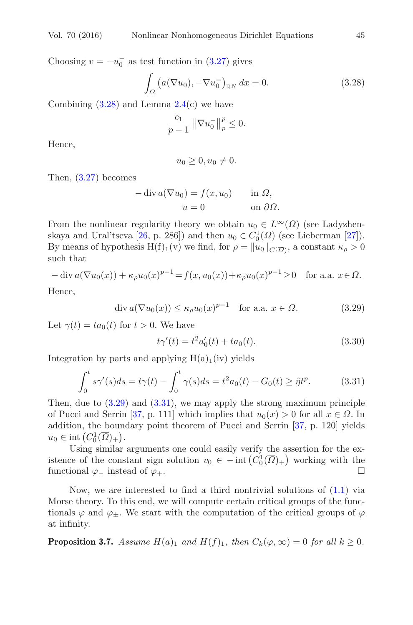Choosing  $v = -u_0^-$  as test function in [\(3.27\)](#page-13-6) gives

$$
\int_{\Omega} \left( a(\nabla u_0), -\nabla u_0^- \right)_{\mathbb{R}^N} dx = 0.
$$
\n(3.28)

Combining  $(3.28)$  and Lemma  $2.4(c)$  $2.4(c)$  we have

<span id="page-14-0"></span>
$$
\frac{c_1}{p-1} \left\| \nabla u_0^- \right\|_p^p \le 0.
$$

Hence,

$$
u_0 \ge 0, u_0 \ne 0.
$$

Then, [\(3.27\)](#page-13-6) becomes

$$
-\operatorname{div} a(\nabla u_0) = f(x, u_0) \quad \text{in } \Omega,
$$
  

$$
u = 0 \quad \text{on } \partial\Omega.
$$

From the nonlinear regularity theory we obtain  $u_0 \in L^{\infty}(\Omega)$  (see Ladyzhen-skaya and Ural'tseva [\[26](#page-47-9), p. 286]) and then  $u_0 \in C_0^1(\overline{\Omega})$  (see Lieberman [\[27](#page-47-10)]). By means of hypothesis  $H(f)_1(v)$  we find, for  $\rho = ||u_0||_{C(\overline{\Omega})}$ , a constant  $\kappa_\rho > 0$ such that

$$
-\operatorname{div} a(\nabla u_0(x)) + \kappa_\rho u_0(x)^{p-1} = f(x, u_0(x)) + \kappa_\rho u_0(x)^{p-1} \ge 0 \quad \text{for a.a. } x \in \Omega.
$$

Hence,

$$
\operatorname{div} a(\nabla u_0(x)) \le \kappa_\rho u_0(x)^{p-1} \quad \text{for a.a. } x \in \Omega. \tag{3.29}
$$

Let  $\gamma(t) = ta_0(t)$  for  $t > 0$ . We have

<span id="page-14-2"></span><span id="page-14-1"></span>
$$
t\gamma'(t) = t^2 a'_0(t) + t a_0(t). \tag{3.30}
$$

Integration by parts and applying  $H(a)_1(iv)$  yields

$$
\int_0^t s\gamma'(s)ds = t\gamma(t) - \int_0^t \gamma(s)ds = t^2 a_0(t) - G_0(t) \geq \hat{\eta}t^p.
$$
 (3.31)

Then, due to  $(3.29)$  and  $(3.31)$ , we may apply the strong maximum principle of Pucci and Serrin [\[37,](#page-48-9) p. 111] which implies that  $u_0(x) > 0$  for all  $x \in \Omega$ . In addition, the boundary point theorem of Pucci and Serrin [\[37,](#page-48-9) p. 120] yields  $u_0 \in \text{int}\left(C_0^1(\overline{\Omega})_+\right).$ 

Using similar arguments one could easily verify the assertion for the existence of the constant sign solution  $v_0 \in - \text{int} (C_0^1(\overline{\Omega})_+)$  working with the functional  $\varphi_-\text{ instead of }\varphi_+\text{.}$ 

Now, we are interested to find a third nontrivial solutions of  $(1.1)$  via Morse theory. To this end, we will compute certain critical groups of the functionals  $\varphi$  and  $\varphi_{\pm}$ . We start with the computation of the critical groups of  $\varphi$ at infinity.

<span id="page-14-3"></span>**Proposition 3.7.** *Assume*  $H(a)_1$  *and*  $H(f)_1$ *, then*  $C_k(\varphi, \infty) = 0$  *for all*  $k \geq 0$ *.*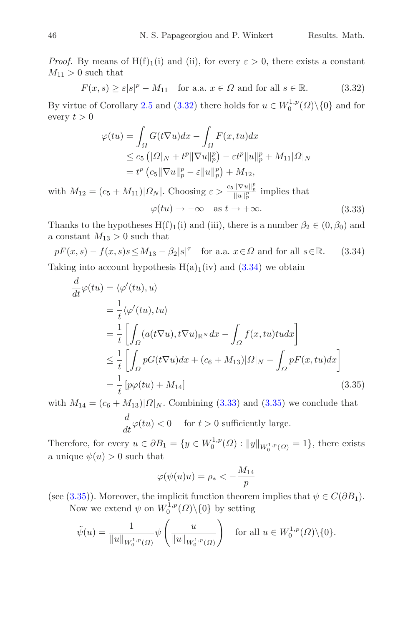*Proof.* By means of  $H(f)_{1}(i)$  and (ii), for every  $\varepsilon > 0$ , there exists a constant  $M_{11} > 0$  such that

$$
F(x,s) \ge \varepsilon |s|^p - M_{11} \quad \text{for a.a. } x \in \Omega \text{ and for all } s \in \mathbb{R}.
$$
 (3.32)

By virtue of Corollary [2.5](#page-3-2) and [\(3.32\)](#page-15-0) there holds for  $u \in W_0^{1,p}(\Omega) \setminus \{0\}$  and for every  $t > 0$ 

<span id="page-15-2"></span><span id="page-15-0"></span>
$$
\varphi(tu) = \int_{\Omega} G(t\nabla u)dx - \int_{\Omega} F(x, tu)dx
$$
  
\n
$$
\leq c_5 \left( |\Omega|_N + t^p \|\nabla u\|_p^p \right) - \varepsilon t^p \|u\|_p^p + M_{11} |\Omega|_N
$$
  
\n
$$
= t^p \left( c_5 \|\nabla u\|_p^p - \varepsilon \|u\|_p^p \right) + M_{12},
$$

with  $M_{12} = (c_5 + M_{11}) | \Omega_N |$ . Choosing  $\varepsilon > \frac{c_5 || \nabla u ||_p^p}{||u||_p^p}$  implies that  $\varphi(tu) \to -\infty \quad \text{as } t \to +\infty.$  (3.33)

Thanks to the hypotheses  $H(f)_1(i)$  and (iii), there is a number  $\beta_2 \in (0, \beta_0)$  and a constant  $M_{13} > 0$  such that

 $pF(x, s) - f(x, s)s \le M_{13} - \beta_2|s|^\tau$  for a.a.  $x \in \Omega$  and for all  $s \in \mathbb{R}$ . (3.34) Taking into account hypothesis  $H(a)_1(iv)$  and  $(3.34)$  we obtain

<span id="page-15-1"></span>
$$
\frac{d}{dt}\varphi(tu) = \langle \varphi'(tu), u \rangle \n= \frac{1}{t} \langle \varphi'(tu), tu \rangle \n= \frac{1}{t} \left[ \int_{\Omega} (a(t\nabla u), t\nabla u)_{\mathbb{R}^N} dx - \int_{\Omega} f(x, tu) t u dx \right] \n\leq \frac{1}{t} \left[ \int_{\Omega} pG(t\nabla u) dx + (c_6 + M_{13}) |\Omega|_N - \int_{\Omega} pF(x, tu) dx \right] \n= \frac{1}{t} [p\varphi(tu) + M_{14}]
$$
\n(3.35)

with  $M_{14} = (c_6 + M_{13}) | \Omega | N$ . Combining [\(3.33\)](#page-15-2) and [\(3.35\)](#page-15-3) we conclude that  $\frac{d}{dt}\varphi(tu) < 0$  for  $t > 0$  sufficiently large.

Therefore, for every  $u \in \partial B_1 = \{y \in W_0^{1,p}(\Omega) : ||y||_{W_0^{1,p}(\Omega)} = 1\}$ , there exists a unique  $\psi(u) > 0$  such that

<span id="page-15-3"></span>
$$
\varphi(\psi(u)u) = \rho_* < -\frac{M_{14}}{p}
$$

(see [\(3.35\)](#page-15-3)). Moreover, the implicit function theorem implies that  $\psi \in C(\partial B_1)$ . Now we extend  $\psi$  on  $W_0^{1,p}(\Omega)\backslash\{0\}$  by setting

$$
\tilde{\psi}(u) = \frac{1}{\|u\|_{W_0^{1,p}(\Omega)}} \psi\left(\frac{u}{\|u\|_{W_0^{1,p}(\Omega)}}\right) \quad \text{for all } u \in W_0^{1,p}(\Omega) \setminus \{0\}.
$$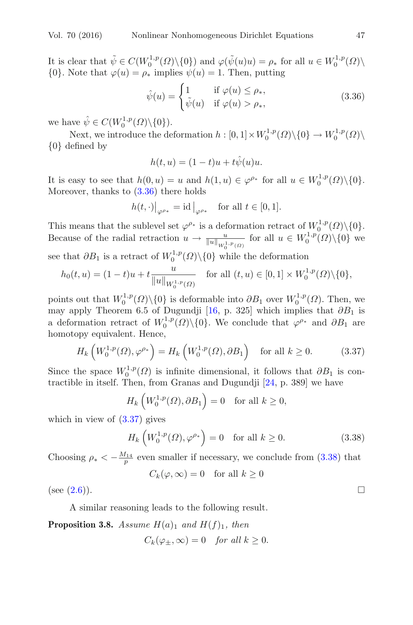It is clear that  $\tilde{\psi} \in C(W_0^{1,p}(\Omega) \setminus \{0\})$  and  $\varphi(\tilde{\psi}(u)u) = \rho_*$  for all  $u \in W_0^{1,p}(\Omega) \setminus$  $\{0\}$ . Note that  $\varphi(u) = \rho_*$  implies  $\psi(u) = 1$ . Then, putting

<span id="page-16-0"></span>
$$
\hat{\psi}(u) = \begin{cases}\n1 & \text{if } \varphi(u) \le \rho_*, \\
\tilde{\psi}(u) & \text{if } \varphi(u) > \rho_*,\n\end{cases}
$$
\n(3.36)

we have  $\hat{\psi} \in C(W_0^{1,p}(\Omega) \backslash {\{0\}}).$ 

Next, we introduce the deformation  $h : [0,1] \times W_0^{1,p}(\Omega) \setminus \{0\} \to W_0^{1,p}(\Omega) \setminus W_0^{1,p}(\Omega)$ {0} defined by

$$
h(t, u) = (1 - t)u + t\hat{\psi}(u)u.
$$

It is easy to see that  $h(0, u) = u$  and  $h(1, u) \in \varphi^{\rho_*}$  for all  $u \in W_0^{1, p}(\Omega) \setminus \{0\}.$ Moreover, thanks to  $(3.36)$  there holds

$$
h(t,\cdot)|_{\varphi^{\rho_*}} = \mathrm{id}\left|_{\varphi^{\rho_*}} \quad \text{for all } t \in [0,1].
$$

This means that the sublevel set  $\varphi^{\rho_*}$  is a deformation retract of  $W_0^{1,p}(\Omega)\setminus\{0\}.$ Because of the radial retraction  $u \to \frac{u}{\|u\|_{W_0^{1,p}(\Omega)}}$  for all  $u \in W_0^{1,p}(\Omega)\backslash\{0\}$  we see that  $\partial B_1$  is a retract of  $W_0^{1,p}(\Omega)\backslash\{0\}$  while the deformation

$$
h_0(t, u) = (1 - t)u + t \frac{u}{\|u\|_{W_0^{1, p}(\Omega)}} \quad \text{for all } (t, u) \in [0, 1] \times W_0^{1, p}(\Omega) \setminus \{0\},
$$

points out that  $W_0^{1,p}(\Omega)\backslash\{0\}$  is deformable into  $\partial B_1$  over  $W_0^{1,p}(\Omega)$ . Then, we may apply Theorem 6.5 of Dugundji [\[16,](#page-47-11) p. 325] which implies that  $\partial B_1$  is a deformation retract of  $W_0^{1,p}(\Omega)\backslash\{0\}$ . We conclude that  $\varphi^{\rho_*}$  and  $\partial B_1$  are homotopy equivalent. Hence,

$$
H_k\left(W_0^{1,p}(\Omega), \varphi^{\rho_*}\right) = H_k\left(W_0^{1,p}(\Omega), \partial B_1\right) \quad \text{for all } k \ge 0. \tag{3.37}
$$

Since the space  $W_0^{1,p}(\Omega)$  is infinite dimensional, it follows that  $\partial B_1$  is contractible in itself. Then, from Granas and Dugundji [\[24](#page-47-12), p. 389] we have

<span id="page-16-1"></span>
$$
H_k\left(W_0^{1,p}(\Omega),\partial B_1\right) = 0 \quad \text{for all } k \ge 0,
$$

which in view of  $(3.37)$  gives

<span id="page-16-2"></span>
$$
H_k\left(W_0^{1,p}(\Omega),\varphi^{\rho_*}\right) = 0 \quad \text{for all } k \ge 0. \tag{3.38}
$$

Choosing  $\rho_* < -\frac{M_{14}}{p}$  even smaller if necessary, we conclude from [\(3.38\)](#page-16-2) that  $C_k(\varphi,\infty) = 0$  for all  $k \geq 0$ 

$$
\circ_{\kappa(\gamma,\infty)} = 0 \quad \text{for } \alpha
$$

(see  $(2.6)$ ).

A similar reasoning leads to the following result.

<span id="page-16-3"></span>**Proposition 3.8.** *Assume*  $H(a)_1$  *and*  $H(f)_1$ *, then* 

$$
C_k(\varphi_\pm,\infty)=0 \quad \text{for all } k\geq 0.
$$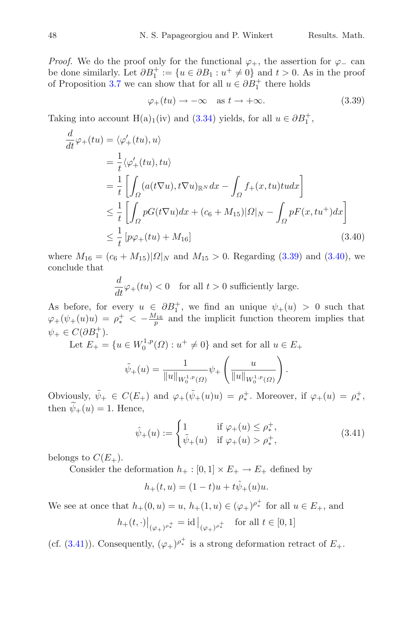*Proof.* We do the proof only for the functional  $\varphi_+$ , the assertion for  $\varphi_-$  can be done similarly. Let  $\partial B_1^+ := \{u \in \partial B_1 : u^+ \neq 0\}$  and  $t > 0$ . As in the proof of Proposition [3.7](#page-14-3) we can show that for all  $u \in \partial B_1^+$  there holds

<span id="page-17-0"></span>
$$
\varphi_+(tu) \to -\infty \quad \text{as } t \to +\infty. \tag{3.39}
$$

Taking into account H(a)<sub>1</sub>(iv) and [\(3.34\)](#page-15-1) yields, for all  $u \in \partial B_1^+$ ,

$$
\frac{d}{dt}\varphi_{+}(tu) = \langle \varphi'_{+}(tu), u \rangle \n= \frac{1}{t} \langle \varphi'_{+}(tu), tu \rangle \n= \frac{1}{t} \left[ \int_{\Omega} (a(t\nabla u), t\nabla u)_{\mathbb{R}^{N}} dx - \int_{\Omega} f_{+}(x, tu) t u dx \right] \n\leq \frac{1}{t} \left[ \int_{\Omega} pG(t\nabla u) dx + (c_{6} + M_{15}) |\Omega|_{N} - \int_{\Omega} pF(x, tu^{+}) dx \right] \n\leq \frac{1}{t} \left[ p\varphi_{+}(tu) + M_{16} \right]
$$
\n(3.40)

where  $M_{16} = (c_6 + M_{15})|\Omega|_N$  and  $M_{15} > 0$ . Regarding [\(3.39\)](#page-17-0) and [\(3.40\)](#page-17-1), we conclude that

<span id="page-17-1"></span>
$$
\frac{d}{dt}\varphi_+(tu) < 0 \quad \text{for all } t > 0 \text{ sufficiently large.}
$$

As before, for every  $u \in \partial B_1^+$ , we find an unique  $\psi_+(u) > 0$  such that  $\varphi_+(\psi_+(u)u) = \rho_*^+ < -\frac{M_{16}}{p}$  and the implicit function theorem implies that  $\psi_+ \in C(\partial B_1^+).$ 

Let  $E_+ = \{u \in W_0^{1,p}(\Omega) : u^+ \neq 0\}$  and set for all  $u \in E_+$ 

$$
\tilde{\psi}_{+}(u) = \frac{1}{\|u\|_{W_{0}^{1,p}(\Omega)}} \psi_{+}\left(\frac{u}{\|u\|_{W_{0}^{1,p}(\Omega)}}\right).
$$

Obviously,  $\tilde{\psi}_+ \in C(E_+)$  and  $\varphi_+(\tilde{\psi}_+(u)u) = \rho_*^+$ . Moreover, if  $\varphi_+(u) = \rho_*^+$ , then  $\psi_+(u) = 1$ . Hence,

<span id="page-17-2"></span>
$$
\hat{\psi}_{+}(u) := \begin{cases} 1 & \text{if } \varphi_{+}(u) \leq \rho_{*}^{+}, \\ \tilde{\psi}_{+}(u) & \text{if } \varphi_{+}(u) > \rho_{*}^{+}, \end{cases}
$$
(3.41)

belongs to  $C(E_+).$ 

Consider the deformation  $h_+ : [0,1] \times E_+ \to E_+$  defined by

$$
h_+(t, u) = (1 - t)u + t\hat{\psi}_+(u)u.
$$

We see at once that  $h_+(0, u) = u$ ,  $h_+(1, u) \in (\varphi_+)^{\rho_*^+}$  for all  $u \in E_+$ , and  $h_+(t, \cdot)|_{(\varphi_+)^{\rho_*^+}} = \mathrm{id} \big|_{(\varphi_+)^{\rho_*^+}} \quad \text{for all } t \in [0, 1]$ 

(cf. [\(3.41\)](#page-17-2)). Consequently,  $(\varphi_+)^{\rho_*^+}$  is a strong deformation retract of  $E_+$ .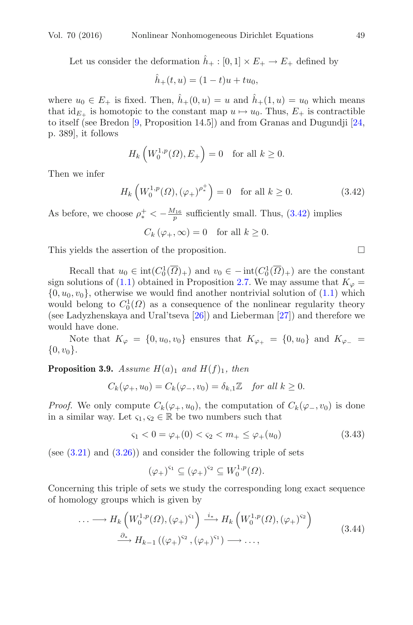Let us consider the deformation  $\hat{h}_+ : [0,1] \times E_+ \to E_+$  defined by

$$
\hat{h}_+(t, u) = (1 - t)u + tu_0,
$$

where  $u_0 \in E_+$  is fixed. Then,  $h_+(0, u) = u$  and  $h_+(1, u) = u_0$  which means that  $id_{E_+}$  is homotopic to the constant map  $u \mapsto u_0$ . Thus,  $E_+$  is contractible to itself (see Bredon [\[9](#page-46-6), Proposition 14.5]) and from Granas and Dugundji [\[24,](#page-47-12) p. 389], it follows

$$
H_k\left(W_0^{1,p}(\Omega), E_+\right) = 0 \quad \text{for all } k \ge 0.
$$

Then we infer

$$
H_k\left(W_0^{1,p}(\Omega), \left(\varphi_+\right)^{\rho_*^+}\right) = 0 \quad \text{for all } k \ge 0. \tag{3.42}
$$

As before, we choose  $\rho_*^+ < -\frac{M_{16}}{p}$  sufficiently small. Thus, [\(3.42\)](#page-18-0) implies

 $C_k(\varphi_+,\infty) = 0$  for all  $k \geq 0$ .

This yields the assertion of the proposition.  $\Box$ 

Recall that  $u_0 \in \text{int}(C_0^1(\overline{\Omega})_+)$  and  $v_0 \in -\text{int}(C_0^1(\overline{\Omega})_+)$  are the constant sign solutions of [\(1.1\)](#page-1-4) obtained in Proposition [2.7.](#page-4-1) We may assume that  $K_{\varphi} =$  $\{0, u_0, v_0\}$ , otherwise we would find another nontrivial solution of  $(1.1)$  which would belong to  $C_0^1(\Omega)$  as a consequence of the nonlinear regularity theory (see Ladyzhenskaya and Ural'tseva [\[26](#page-47-9)]) and Lieberman [\[27](#page-47-10)]) and therefore we would have done.

<span id="page-18-3"></span>Note that  $K_{\varphi} = \{0, u_0, v_0\}$  ensures that  $K_{\varphi_+} = \{0, u_0\}$  and  $K_{\varphi_-} =$  $\{0, v_0\}.$ 

**Proposition 3.9.** *Assume*  $H(a)_1$  *and*  $H(f)_1$ *, then* 

$$
C_k(\varphi_+, u_0) = C_k(\varphi_-, v_0) = \delta_{k,1} \mathbb{Z} \quad \text{for all } k \ge 0.
$$

*Proof.* We only compute  $C_k(\varphi_+, u_0)$ , the computation of  $C_k(\varphi_-, v_0)$  is done in a similar way. Let  $\varsigma_1, \varsigma_2 \in \mathbb{R}$  be two numbers such that

$$
\varsigma_1 < 0 = \varphi_+(0) < \varsigma_2 < m_+ \leq \varphi_+(u_0) \tag{3.43}
$$

(see  $(3.21)$ ) and  $(3.26)$ ) and consider the following triple of sets

<span id="page-18-2"></span><span id="page-18-1"></span>
$$
(\varphi_+)^{\varsigma_1}\subseteq (\varphi_+)^{\varsigma_2}\subseteq W^{1,p}_0(\varOmega).
$$

Concerning this triple of sets we study the corresponding long exact sequence of homology groups which is given by

$$
\cdots \longrightarrow H_k\left(W_0^{1,p}(\Omega), (\varphi_+)^{\varsigma_1}\right) \xrightarrow{i_*} H_k\left(W_0^{1,p}(\Omega), (\varphi_+)^{\varsigma_2}\right)
$$
  

$$
\xrightarrow{\partial_*} H_{k-1}\left((\varphi_+)^{\varsigma_2}, (\varphi_+)^{\varsigma_1}\right) \longrightarrow \dots,
$$
 (3.44)

<span id="page-18-0"></span>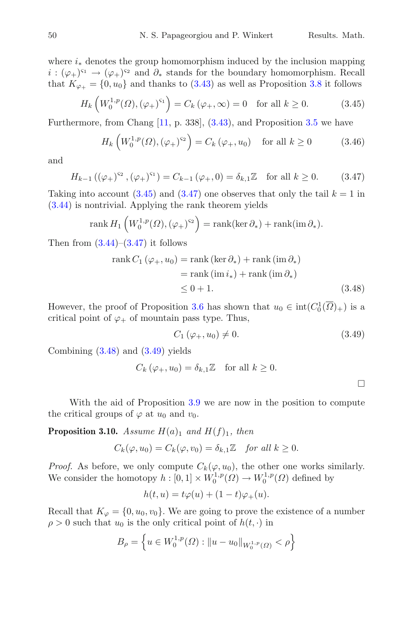where  $i_{\ast}$  denotes the group homomorphism induced by the inclusion mapping  $i : (\varphi_+)^{s_1} \to (\varphi_+)^{s_2}$  and  $\partial_*$  stands for the boundary homomorphism. Recall that  $K_{\varphi_+} = \{0, u_0\}$  and thanks to  $(3.43)$  as well as Proposition [3.8](#page-16-3) it follows

$$
H_k\left(W_0^{1,p}(\Omega),(\varphi_+)^{s_1}\right) = C_k\left(\varphi_+,\infty\right) = 0 \quad \text{for all } k \ge 0. \tag{3.45}
$$

Furthermore, from Chang [\[11,](#page-47-7) p. 338], [\(3.43\)](#page-18-1), and Proposition [3.5](#page-12-3) we have

<span id="page-19-1"></span><span id="page-19-0"></span>
$$
H_k\left(W_0^{1,p}(\Omega),(\varphi_+)^{s_2}\right) = C_k\left(\varphi_+,u_0\right) \quad \text{for all } k \ge 0 \tag{3.46}
$$

and

$$
H_{k-1}((\varphi_+)^{s_2}, (\varphi_+)^{s_1}) = C_{k-1}(\varphi_+, 0) = \delta_{k,1}\mathbb{Z} \text{ for all } k \ge 0.
$$
 (3.47)

Taking into account  $(3.45)$  and  $(3.47)$  one observes that only the tail  $k = 1$  in [\(3.44\)](#page-18-2) is nontrivial. Applying the rank theorem yields

rank 
$$
H_1\left(W_0^{1,p}(\Omega), (\varphi_*)^{\varsigma_2}\right) = \operatorname{rank}(\ker \partial_*) + \operatorname{rank}(\operatorname{im} \partial_*).
$$

Then from  $(3.44)$ – $(3.47)$  it follows

rank 
$$
C_1(\varphi_+, u_0) = \text{rank}(\text{ker } \partial_*) + \text{rank}(\text{im } \partial_*)
$$
  
= rank (im  $i_*)$  + rank (im  $\partial_*$ )  
 $\leq 0 + 1.$  (3.48)

However, the proof of Proposition [3.6](#page-13-7) has shown that  $u_0 \in \text{int}(C_0^1(\overline{\Omega})_+)$  is a critical point of  $\varphi_+$  of mountain pass type. Thus,

<span id="page-19-3"></span><span id="page-19-2"></span>
$$
C_1 \left( \varphi_+, u_0 \right) \neq 0. \tag{3.49}
$$

Combining [\(3.48\)](#page-19-2) and [\(3.49\)](#page-19-3) yields

$$
C_k(\varphi_+, u_0) = \delta_{k,1} \mathbb{Z} \quad \text{for all } k \ge 0.
$$

<span id="page-19-4"></span>With the aid of Proposition [3.9](#page-18-3) we are now in the position to compute the critical groups of  $\varphi$  at  $u_0$  and  $v_0$ .

**Proposition 3.10.** *Assume*  $H(a)_1$  *and*  $H(f)_1$ *, then* 

$$
C_k(\varphi, u_0) = C_k(\varphi, v_0) = \delta_{k,1} \mathbb{Z} \quad \text{for all } k \ge 0.
$$

*Proof.* As before, we only compute  $C_k(\varphi, u_0)$ , the other one works similarly. We consider the homotopy  $h: [0,1] \times W_0^{1,p}(\Omega) \to W_0^{1,p}(\Omega)$  defined by

$$
h(t,u)=t\varphi(u)+(1-t)\varphi_+(u).
$$

Recall that  $K_{\varphi} = \{0, u_0, v_0\}$ . We are going to prove the existence of a number  $\rho > 0$  such that  $u_0$  is the only critical point of  $h(t, \cdot)$  in

$$
B_{\rho} = \left\{ u \in W_0^{1,p}(\Omega) : ||u - u_0||_{W_0^{1,p}(\Omega)} < \rho \right\}
$$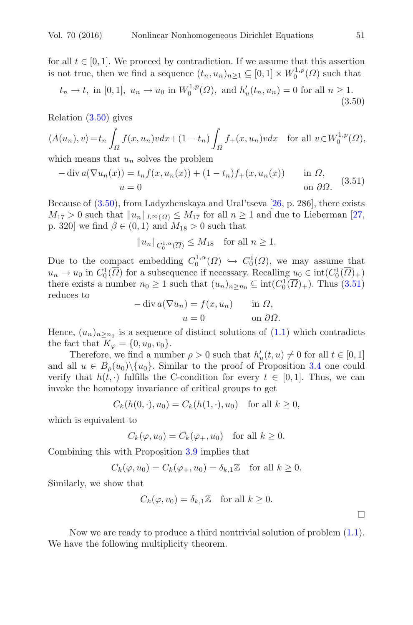for all  $t \in [0, 1]$ . We proceed by contradiction. If we assume that this assertion is not true, then we find a sequence  $(t_n, u_n)_{n \geq 1} \subseteq [0, 1] \times W_0^{1, p}(\Omega)$  such that

$$
t_n \to t
$$
, in [0, 1],  $u_n \to u_0$  in  $W_0^{1,p}(\Omega)$ , and  $h'_u(t_n, u_n) = 0$  for all  $n \ge 1$ . (3.50)

Relation [\(3.50\)](#page-20-0) gives

$$
\langle A(u_n), v \rangle = t_n \int_{\Omega} f(x, u_n) v dx + (1 - t_n) \int_{\Omega} f_+(x, u_n) v dx \quad \text{for all } v \in W_0^{1, p}(\Omega),
$$

<span id="page-20-1"></span>which means that  $u_n$  solves the problem

$$
-\operatorname{div} a(\nabla u_n(x)) = t_n f(x, u_n(x)) + (1 - t_n) f_+(x, u_n(x)) \quad \text{in } \Omega,
$$
  
\n
$$
u = 0 \quad \text{on } \partial\Omega.
$$
 (3.51)

Because of [\(3.50\)](#page-20-0), from Ladyzhenskaya and Ural'tseva [\[26,](#page-47-9) p. 286], there exists  $M_{17} > 0$  such that  $||u_n||_{L^{\infty}(\Omega)} \leq M_{17}$  for all  $n \geq 1$  and due to Lieberman [\[27,](#page-47-10) p. 320] we find  $\beta \in (0,1)$  and  $M_{18} > 0$  such that

<span id="page-20-0"></span>
$$
||u_n||_{C_0^{1,\alpha}(\overline{\Omega})} \le M_{18} \text{ for all } n \ge 1.
$$

Due to the compact embedding  $C_0^{1,\alpha}(\overline{\Omega}) \hookrightarrow C_0^1(\overline{\Omega})$ , we may assume that  $u_n \to u_0$  in  $C_0^1(\overline{\Omega})$  for a subsequence if necessary. Recalling  $u_0 \in \text{int}(C_0^1(\overline{\Omega})_+)$ there exists a number  $n_0 \ge 1$  such that  $(u_n)_{n \ge n_0} \subseteq \text{int}(C_0^1(\overline{\Omega})_+)$ . Thus  $(3.51)$ reduces to

$$
-\operatorname{div} a(\nabla u_n) = f(x, u_n) \quad \text{in } \Omega,
$$
  

$$
u = 0 \quad \text{on } \partial\Omega.
$$

Hence,  $(u_n)_{n>n_0}$  is a sequence of distinct solutions of  $(1.1)$  which contradicts the fact that  $K_{\varphi} = \{0, u_0, v_0\}.$ 

Therefore, we find a number  $\rho > 0$  such that  $h'_u(t, u) \neq 0$  for all  $t \in [0, 1]$ and all  $u \in B<sub>o</sub>(u<sub>0</sub>) \setminus \{u<sub>0</sub>\}.$  Similar to the proof of Proposition [3.4](#page-9-2) one could verify that  $h(t, \cdot)$  fulfills the C-condition for every  $t \in [0, 1]$ . Thus, we can invoke the homotopy invariance of critical groups to get

$$
C_k(h(0,\cdot),u_0) = C_k(h(1,\cdot),u_0)
$$
 for all  $k \ge 0$ ,

which is equivalent to

$$
C_k(\varphi, u_0) = C_k(\varphi_+, u_0) \text{ for all } k \ge 0.
$$

Combining this with Proposition [3.9](#page-18-3) implies that

$$
C_k(\varphi, u_0) = C_k(\varphi_+, u_0) = \delta_{k,1} \mathbb{Z} \quad \text{for all } k \ge 0.
$$

Similarly, we show that

$$
C_k(\varphi, v_0) = \delta_{k,1} \mathbb{Z} \quad \text{for all } k \ge 0.
$$

<span id="page-20-2"></span>Now we are ready to produce a third nontrivial solution of problem [\(1.1\)](#page-1-4). We have the following multiplicity theorem.

 $\Box$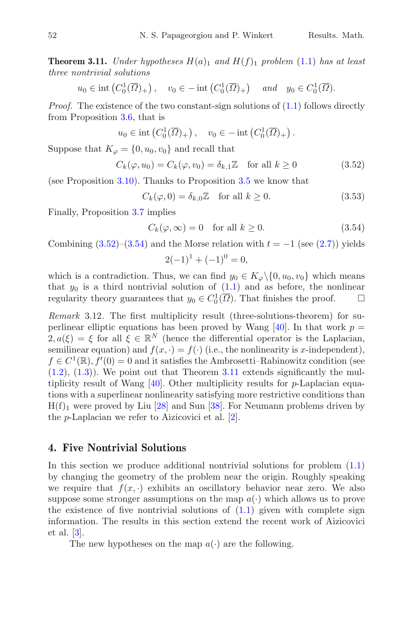**Theorem 3.11.** *Under hypotheses*  $H(a)_1$  *and*  $H(f)_1$  *problem* [\(1.1\)](#page-1-4) *has at least three nontrivial solutions*

$$
u_0 \in \text{int}\left(C_0^1(\overline{\Omega})_+\right), \quad v_0 \in -\text{int}\left(C_0^1(\overline{\Omega})_+\right) \quad \text{and} \quad y_0 \in C_0^1(\overline{\Omega}).
$$

*Proof.* The existence of the two constant-sign solutions of  $(1.1)$  follows directly from Proposition [3.6,](#page-13-7) that is

$$
u_0 \in \text{int}\left(C_0^1(\overline{\Omega})_+\right), \quad v_0 \in -\text{int}\left(C_0^1(\overline{\Omega})_+\right).
$$

Suppose that  $K_{\varphi} = \{0, u_0, v_0\}$  and recall that

$$
C_k(\varphi, u_0) = C_k(\varphi, v_0) = \delta_{k,1}\mathbb{Z} \quad \text{for all } k \ge 0 \tag{3.52}
$$

(see Proposition [3.10\)](#page-19-4). Thanks to Proposition [3.5](#page-12-3) we know that

<span id="page-21-0"></span>
$$
C_k(\varphi, 0) = \delta_{k,0} \mathbb{Z} \quad \text{for all } k \ge 0.
$$
 (3.53)

Finally, Proposition [3.7](#page-14-3) implies

$$
C_k(\varphi,\infty) = 0 \quad \text{for all } k \ge 0. \tag{3.54}
$$

Combining  $(3.52)$ – $(3.54)$  and the Morse relation with  $t = -1$  (see  $(2.7)$ ) yields

<span id="page-21-1"></span>
$$
2(-1)^{1} + (-1)^{0} = 0,
$$

which is a contradiction. Thus, we can find  $y_0 \in K_{\varphi} \setminus \{0, u_0, v_0\}$  which means that  $y_0$  is a third nontrivial solution of  $(1.1)$  and as before, the nonlinear regularity theory guarantees that  $y_0 \in C_0^1(\overline{\Omega})$ . That finishes the proof.  $\Box$ 

*Remark* 3.12*.* The first multiplicity result (three-solutions-theorem) for su-perlinear elliptic equations has been proved by Wang [\[40\]](#page-48-0). In that work  $p =$  $2, a(\xi) = \xi$  for all  $\xi \in \mathbb{R}^N$  (hence the differential operator is the Laplacian, semilinear equation) and  $f(x, \cdot) = f(\cdot)$  (i.e., the nonlinearity is x-independent),  $f \in C^1(\mathbb{R})$ ,  $f'(0) = 0$  and it satisfies the Ambrosetti–Rabinowitz condition (see  $(1.2)$ ,  $(1.3)$ ). We point out that Theorem [3.11](#page-20-2) extends significantly the multiplicity result of Wang  $[40]$  $[40]$ . Other multiplicity results for p-Laplacian equations with a superlinear nonlinearity satisfying more restrictive conditions than  $H(f)_1$  were proved by Liu [\[28\]](#page-47-0) and Sun [\[38](#page-48-2)]. For Neumann problems driven by the p-Laplacian we refer to Aizicovici et al. [\[2](#page-46-7)].

### <span id="page-21-2"></span>**4. Five Nontrivial Solutions**

In this section we produce additional nontrivial solutions for problem  $(1.1)$ by changing the geometry of the problem near the origin. Roughly speaking we require that  $f(x, \cdot)$  exhibits an oscillatory behavior near zero. We also suppose some stronger assumptions on the map  $a(\cdot)$  which allows us to prove the existence of five nontrivial solutions of  $(1.1)$  given with complete sign information. The results in this section extend the recent work of Aizicovici et al. [\[3](#page-46-8)].

The new hypotheses on the map  $a(\cdot)$  are the following.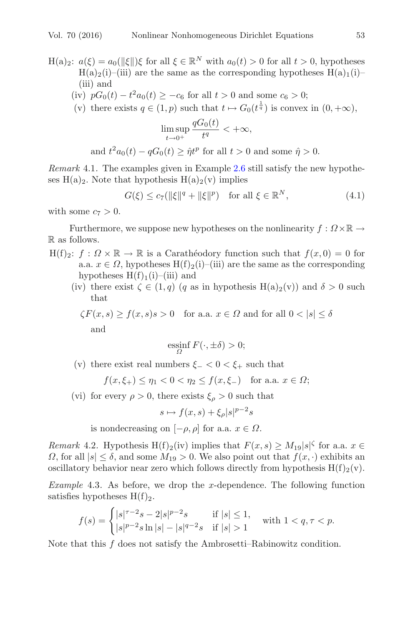H(a)<sub>2</sub>:  $a(\xi) = a_0(||\xi||)\xi$  for all  $\xi \in \mathbb{R}^N$  with  $a_0(t) > 0$  for all  $t > 0$ , hypotheses  $H(a)<sub>2</sub>(i)–(iii)$  are the same as the corresponding hypotheses  $H(a)<sub>1</sub>(i)–(i)$ (iii) and

- (iv)  $pG_0(t) t^2 a_0(t) \ge -c_6$  for all  $t > 0$  and some  $c_6 > 0$ ;
- (v) there exists  $q \in (1, p)$  such that  $t \mapsto G_0(t^{\frac{1}{q}})$  is convex in  $(0, +\infty)$ ,

<span id="page-22-0"></span>
$$
\limsup_{t \to 0^+} \frac{qG_0(t)}{t^q} < +\infty,
$$

and 
$$
t^2 a_0(t) - qG_0(t) \geq \hat{\eta} t^p
$$
 for all  $t > 0$  and some  $\hat{\eta} > 0$ .

*Remark* 4.1*.* The examples given in Example [2.6](#page-4-0) still satisfy the new hypotheses  $H(a)_2$ . Note that hypothesis  $H(a)_2(v)$  implies

$$
G(\xi) \le c_7(||\xi||^q + ||\xi||^p) \quad \text{for all } \xi \in \mathbb{R}^N,
$$
\n
$$
(4.1)
$$

with some  $c_7 > 0$ .

Furthermore, we suppose new hypotheses on the nonlinearity  $f: \Omega \times \mathbb{R} \to$ R as follows.

- $H(f)_2$ :  $f: \Omega \times \mathbb{R} \to \mathbb{R}$  is a Carathéodory function such that  $f(x, 0) = 0$  for a.a.  $x \in \Omega$ , hypotheses H(f)<sub>2</sub>(i)–(iii) are the same as the corresponding hypotheses  $H(f)<sub>1</sub>(i)–(iii)$  and
	- (iv) there exist  $\zeta \in (1,q)$  (q as in hypothesis  $H(a)_2(v)$ ) and  $\delta > 0$  such that

$$
\zeta F(x, s) \ge f(x, s)s > 0 \text{ for a.a. } x \in \Omega \text{ and for all } 0 < |s| \le \delta
$$
 and

$$
\operatorname*{ess\!inf}_{\Omega} F(\cdot, \pm \delta) > 0;
$$

(v) there exist real numbers  $\xi_$  < 0 <  $\xi_+$  such that

$$
f(x,\xi_+) \le \eta_1 < 0 < \eta_2 \le f(x,\xi_-)
$$
 for a.a.  $x \in \Omega$ ;

(vi) for every  $\rho > 0$ , there exists  $\xi_{\rho} > 0$  such that

$$
s \mapsto f(x, s) + \xi_{\rho} |s|^{p-2} s
$$

is nondecreasing on  $[-\rho, \rho]$  for a.a.  $x \in \Omega$ .

*Remark* 4.2. Hypothesis H(f)<sub>2</sub>(iv) implies that  $F(x, s) \geq M_{19}|s|^\zeta$  for a.a.  $x \in$  $\Omega$ , for all  $|s| \leq \delta$ , and some  $M_{19} > 0$ . We also point out that  $f(x, \cdot)$  exhibits an oscillatory behavior near zero which follows directly from hypothesis  $H(f)_{2}(v)$ .

*Example* 4.3*.* As before, we drop the x-dependence. The following function satisfies hypotheses  $H(f)_2$ .

$$
f(s) = \begin{cases} |s|^{\tau-2}s - 2|s|^{p-2}s & \text{if } |s| \le 1, \\ |s|^{p-2}s \ln|s| - |s|^{q-2}s & \text{if } |s| > 1 \end{cases}
$$
 with  $1 < q, \tau < p$ .

Note that this  $f$  does not satisfy the Ambrosetti–Rabinowitz condition.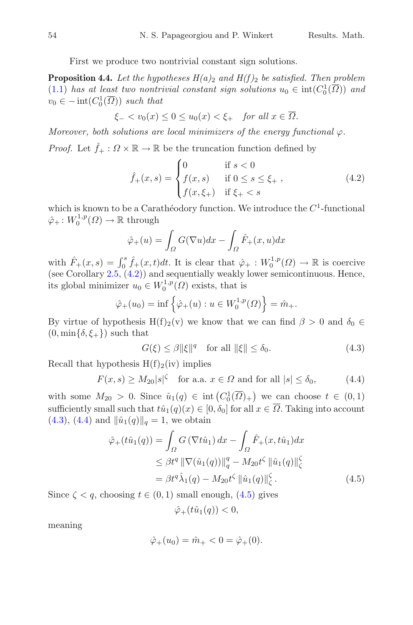First we produce two nontrivial constant sign solutions.

<span id="page-23-4"></span>**Proposition 4.4.** Let the hypotheses  $H(a)_2$  and  $H(f)_2$  be satisfied. Then problem [\(1.1\)](#page-1-4) has at least two nontrivial constant sign solutions  $u_0 \in \text{int}(C_0^1(\overline{\Omega}))$  and  $v_0 \in -\operatorname{int}(C_0^1(\overline{\Omega}))$  *such that* 

$$
\xi_- < v_0(x) \le 0 \le u_0(x) < \xi_+ \quad \text{for all } x \in \overline{\Omega}.
$$

*Moreover, both solutions are local minimizers of the energy functional*  $\varphi$ *.* 

*Proof.* Let  $\hat{f}_+ : \Omega \times \mathbb{R} \to \mathbb{R}$  be the truncation function defined by

<span id="page-23-0"></span>
$$
\hat{f}_{+}(x,s) = \begin{cases}\n0 & \text{if } s < 0 \\
f(x,s) & \text{if } 0 \le s \le \xi_{+} , \\
f(x,\xi_{+}) & \text{if } \xi_{+} < s\n\end{cases}
$$
\n(4.2)

which is known to be a Carathéodory function. We introduce the  $C<sup>1</sup>$ -functional  $\hat{\varphi}_+ \colon W_0^{1,p}(\Omega) \to \mathbb{R}$  through

$$
\hat{\varphi}_+(u) = \int_{\Omega} G(\nabla u) dx - \int_{\Omega} \hat{F}_+(x, u) dx
$$

with  $\hat{F}_+(x,s) = \int_0^s \hat{f}_+(x,t)dt$ . It is clear that  $\hat{\varphi}_+ : W_0^{1,p}(\Omega) \to \mathbb{R}$  is coercive (see Corollary  $2.5$ ,  $(4.2)$ ) and sequentially weakly lower semicontinuous. Hence, its global minimizer  $u_0 \in W_0^{1,p}(\Omega)$  exists, that is

$$
\hat{\varphi}_+(u_0) = \inf \left\{ \hat{\varphi}_+(u) : u \in W_0^{1,p}(\Omega) \right\} = \hat{m}_+.
$$

By virtue of hypothesis H(f)<sub>2</sub>(v) we know that we can find  $\beta > 0$  and  $\delta_0 \in$  $(0, \min{\delta, \xi_+})$  such that

<span id="page-23-2"></span><span id="page-23-1"></span>
$$
G(\xi) \le \beta \|\xi\|^q \quad \text{for all } \|\xi\| \le \delta_0. \tag{4.3}
$$

Recall that hypothesis  $H(f)_2(iv)$  implies

$$
F(x,s) \ge M_{20}|s|^{\zeta} \quad \text{for a.a. } x \in \Omega \text{ and for all } |s| \le \delta_0,
$$
 (4.4)

with some  $M_{20} > 0$ . Since  $\hat{u}_1(q) \in \text{int}(C_0^1(\overline{\Omega})_+)$  we can choose  $t \in (0,1)$ sufficiently small such that  $t\hat{u}_1(q)(x) \in [0, \delta_0]$  for all  $x \in \overline{\Omega}$ . Taking into account  $(4.3), (4.4)$  $(4.3), (4.4)$  $(4.3), (4.4)$  and  $\|\hat{u}_1(q)\|_q = 1$ , we obtain

$$
\hat{\varphi}_{+}(t\hat{u}_{1}(q)) = \int_{\Omega} G\left(\nabla t\hat{u}_{1}\right) dx - \int_{\Omega} \hat{F}_{+}(x, t\hat{u}_{1}) dx
$$
  
\n
$$
\leq \beta t^{q} \|\nabla(\hat{u}_{1}(q))\|_{q}^{q} - M_{20} t^{\zeta} \|\hat{u}_{1}(q)\|_{\zeta}^{\zeta}
$$
  
\n
$$
= \beta t^{q} \hat{\lambda}_{1}(q) - M_{20} t^{\zeta} \|\hat{u}_{1}(q)\|_{\zeta}^{\zeta}. \tag{4.5}
$$

Since  $\zeta < q$ , choosing  $t \in (0, 1)$  small enough, [\(4.5\)](#page-23-3) gives

<span id="page-23-3"></span>
$$
\hat{\varphi}_+(t\hat{u}_1(q)) < 0,
$$

meaning

$$
\hat{\varphi}_+(u_0) = \hat{m}_+ < 0 = \hat{\varphi}_+(0).
$$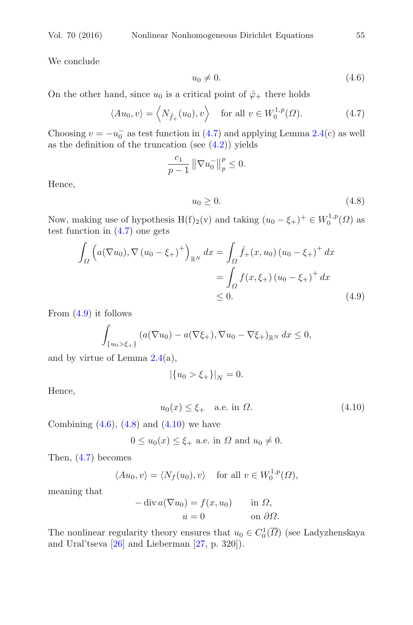We conclude

<span id="page-24-2"></span><span id="page-24-0"></span>
$$
u_0 \neq 0. \tag{4.6}
$$

On the other hand, since  $u_0$  is a critical point of  $\hat{\varphi}_+$  there holds

$$
\langle Au_0, v \rangle = \langle N_{\hat{f}_+}(u_0), v \rangle \quad \text{for all } v \in W_0^{1,p}(\Omega). \tag{4.7}
$$

Choosing  $v = -u_0^-$  as test function in [\(4.7\)](#page-24-0) and applying Lemma [2.4\(](#page-3-0)c) as well as the definition of the truncation (see  $(4.2)$ ) yields

$$
\frac{c_1}{p-1} \left\| \nabla u_0^- \right\|_p^p \le 0.
$$

Hence,

<span id="page-24-3"></span><span id="page-24-1"></span>
$$
u_0 \ge 0. \tag{4.8}
$$

Now, making use of hypothesis  $H(f)_2(v)$  and taking  $(u_0 - \xi_+)^+ \in W_0^{1,p}(\Omega)$  as test function in [\(4.7\)](#page-24-0) one gets

$$
\int_{\Omega} \left( a(\nabla u_0), \nabla (u_0 - \xi_+)^\dagger \right)_{\mathbb{R}^N} dx = \int_{\Omega} \hat{f}_+(x, u_0) (u_0 - \xi_+)^\dagger dx
$$
\n
$$
= \int_{\Omega} f(x, \xi_+) (u_0 - \xi_+)^\dagger dx
$$
\n
$$
\leq 0. \tag{4.9}
$$

From [\(4.9\)](#page-24-1) it follows

$$
\int_{\{u_0 > \xi_+\}} (a(\nabla u_0) - a(\nabla \xi_+), \nabla u_0 - \nabla \xi_+)_{\mathbb{R}^N} dx \le 0,
$$

and by virtue of Lemma  $2.4(a)$  $2.4(a)$ ,

<span id="page-24-4"></span>
$$
|\{u_0>\xi_+\}|_N=0.
$$

Hence,

$$
u_0(x) \le \xi_+ \quad \text{a.e. in } \Omega. \tag{4.10}
$$

Combining  $(4.6)$ ,  $(4.8)$  and  $(4.10)$  we have

 $0 \le u_0(x) \le \xi_+$  a.e. in  $\Omega$  and  $u_0 \neq 0$ .

Then, [\(4.7\)](#page-24-0) becomes

$$
\langle Au_0, v \rangle = \langle N_f(u_0), v \rangle \quad \text{ for all } v \in W_0^{1,p}(\Omega),
$$

meaning that

$$
-\operatorname{div} a(\nabla u_0) = f(x, u_0) \quad \text{in } \Omega,
$$
  

$$
u = 0 \quad \text{on } \partial\Omega.
$$

The nonlinear regularity theory ensures that  $u_0 \in C_0^1(\overline{\Omega})$  (see Ladyzhenskaya and Ural'tseva [\[26](#page-47-9)] and Lieberman [\[27](#page-47-10), p. 320]).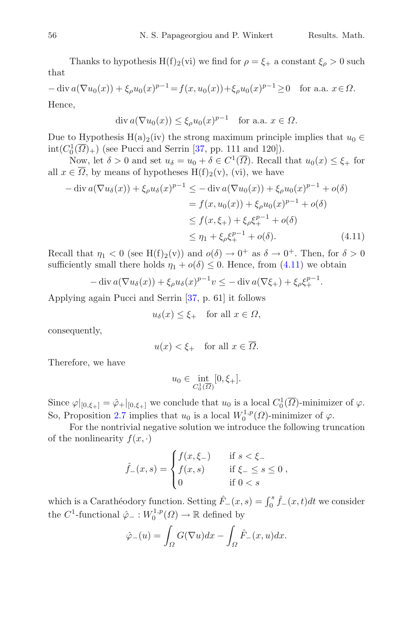Thanks to hypothesis H(f)<sub>2</sub>(vi) we find for  $\rho = \xi_{+}$  a constant  $\xi_{\rho} > 0$  such that

 $-\text{div}\,a(\nabla u_0(x)) + \xi_\rho u_0(x)^{p-1} = f(x, u_0(x)) + \xi_\rho u_0(x)^{p-1} \geq 0 \quad \text{for a.a. } x \in \Omega.$ Hence,

$$
\operatorname{div} a(\nabla u_0(x)) \le \xi_\rho u_0(x)^{p-1} \quad \text{for a.a. } x \in \Omega.
$$

Due to Hypothesis H(a)<sub>2</sub>(iv) the strong maximum principle implies that  $u_0 \in$  $\text{int}(C_0^1(\overline{\Omega})_+)$  (see Pucci and Serrin [\[37,](#page-48-9) pp. 111 and 120]).

Now, let  $\delta > 0$  and set  $u_{\delta} = u_0 + \delta \in C^1(\overline{\Omega})$ . Recall that  $u_0(x) \leq \xi_+$  for all  $x \in \overline{\Omega}$ , by means of hypotheses  $H(f)_2(v)$ , (vi), we have

$$
-\operatorname{div} a(\nabla u_{\delta}(x)) + \xi_{\rho} u_{\delta}(x)^{p-1} \le -\operatorname{div} a(\nabla u_{0}(x)) + \xi_{\rho} u_{0}(x)^{p-1} + o(\delta)
$$
  

$$
= f(x, u_{0}(x)) + \xi_{\rho} u_{0}(x)^{p-1} + o(\delta)
$$
  

$$
\le f(x, \xi_{+}) + \xi_{\rho} \xi_{+}^{p-1} + o(\delta)
$$
  

$$
\le \eta_{1} + \xi_{\rho} \xi_{+}^{p-1} + o(\delta).
$$
 (4.11)

Recall that  $\eta_1 < 0$  (see H(f)<sub>2</sub>(v)) and  $o(\delta) \to 0^+$  as  $\delta \to 0^+$ . Then, for  $\delta > 0$ sufficiently small there holds  $\eta_1 + o(\delta) \leq 0$ . Hence, from [\(4.11\)](#page-25-0) we obtain

$$
-\operatorname{div} a(\nabla u_\delta(x)) + \xi_\rho u_\delta(x)^{p-1} v \le -\operatorname{div} a(\nabla \xi_+) + \xi_\rho \xi_+^{p-1}.
$$

Applying again Pucci and Serrin [\[37,](#page-48-9) p. 61] it follows

<span id="page-25-0"></span>
$$
u_{\delta}(x) \leq \xi_+
$$
 for all  $x \in \Omega$ ,

consequently,

$$
u(x) < \xi_+ \quad \text{for all } x \in \overline{\Omega}.
$$

Therefore, we have

$$
u_0\in \inf_{C_0^1(\overline{\Omega})}[0,\xi_+].
$$

Since  $\varphi|_{[0,\xi_+]} = \hat{\varphi}_+|_{[0,\xi_+]}$  we conclude that  $u_0$  is a local  $C_0^1(\overline{\Omega})$ -minimizer of  $\varphi$ . So, Proposition [2.7](#page-4-1) implies that  $u_0$  is a local  $W_0^{1,p}(\Omega)$ -minimizer of  $\varphi$ .

For the nontrivial negative solution we introduce the following truncation of the nonlinearity  $f(x, \cdot)$ 

$$
\hat{f}_{-}(x,s) = \begin{cases} f(x,\xi_{-}) & \text{if } s < \xi_{-} \\ f(x,s) & \text{if } \xi_{-} \le s \le 0 \\ 0 & \text{if } 0 < s \end{cases}
$$

which is a Carathéodory function. Setting  $\hat{F}_-(x, s) = \int_0^s \hat{f}_-(x, t)dt$  we consider the  $C^1$ -functional  $\hat{\varphi}_- : W_0^{1,p}(\Omega) \to \mathbb{R}$  defined by

$$
\hat{\varphi}_{-}(u) = \int_{\Omega} G(\nabla u) dx - \int_{\Omega} \hat{F}_{-}(x, u) dx.
$$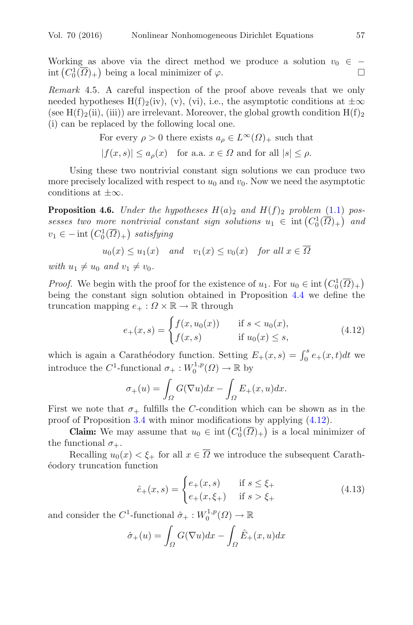Working as above via the direct method we produce a solution  $v_0 \in -$ <br>int  $(C^1_{\sigma}(\overline{O})_0)$  being a local minimizer of  $\varphi$ int  $(C_0^1(\overline{\Omega})_+)$  being a local minimizer of  $\varphi$ .

*Remark* 4.5*.* A careful inspection of the proof above reveals that we only needed hypotheses H(f)<sub>2</sub>(iv), (v), (vi), i.e., the asymptotic conditions at  $\pm \infty$ (see H(f)<sub>2</sub>(ii), (iii)) are irrelevant. Moreover, the global growth condition  $H(f)_2$ (i) can be replaced by the following local one.

> For every  $\rho > 0$  there exists  $a_{\rho} \in L^{\infty}(\Omega)_{+}$  such that  $|f(x, y)| \leq g(x)$  for an

$$
|f(x,s)| \le a_{\rho}(x) \quad \text{for a.a. } x \in \Omega \text{ and for all } |s| \le \rho.
$$

Using these two nontrivial constant sign solutions we can produce two more precisely localized with respect to  $u_0$  and  $v_0$ . Now we need the asymptotic conditions at  $\pm\infty$ .

<span id="page-26-2"></span>**Proposition 4.6.** *Under the hypotheses*  $H(a)_2$  *and*  $H(f)_2$  *problem* [\(1.1\)](#page-1-4) *possesses two more nontrivial constant sign solutions*  $u_1 \in \text{int}(C_0^1(\overline{\Omega})_+)$  and  $v_1 \in -\text{int}\left(C_0^1(\overline{\Omega})_+\right)$  satisfying

$$
u_0(x) \le u_1(x)
$$
 and  $v_1(x) \le v_0(x)$  for all  $x \in \overline{\Omega}$ 

*with*  $u_1 \neq u_0$  *and*  $v_1 \neq v_0$ *.* 

*Proof.* We begin with the proof for the existence of  $u_1$ . For  $u_0 \in \text{int}\left(C_0^1(\overline{\Omega})_+\right)$ being the constant sign solution obtained in Proposition [4.4](#page-23-4) we define the truncation mapping  $e_+ : \Omega \times \mathbb{R} \to \mathbb{R}$  through

<span id="page-26-0"></span>
$$
e_{+}(x,s) = \begin{cases} f(x, u_{0}(x)) & \text{if } s < u_{0}(x), \\ f(x,s) & \text{if } u_{0}(x) \le s, \end{cases}
$$
(4.12)

which is again a Carathéodory function. Setting  $E_+(x, s) = \int_0^s e_+(x, t)dt$  we introduce the  $C^1$ -functional  $\sigma_+ : W_0^{1,p}(\Omega) \to \mathbb{R}$  by

$$
\sigma_+(u) = \int_{\Omega} G(\nabla u) dx - \int_{\Omega} E_+(x, u) dx.
$$

First we note that  $\sigma_+$  fulfills the C-condition which can be shown as in the proof of Proposition [3.4](#page-9-2) with minor modifications by applying [\(4.12\)](#page-26-0).

**Claim:** We may assume that  $u_0 \in \text{int}\left( C_0^1(\overline{\Omega})_+ \right)$  is a local minimizer of the functional  $\sigma_{+}$ .

Recalling  $u_0(x) < \xi_+$  for all  $x \in \overline{\Omega}$  we introduce the subsequent Carath-´eodory truncation function

<span id="page-26-1"></span>
$$
\hat{e}_{+}(x,s) = \begin{cases} e_{+}(x,s) & \text{if } s \leq \xi_{+} \\ e_{+}(x,\xi_{+}) & \text{if } s > \xi_{+} \end{cases}
$$
(4.13)

and consider the  $C^1$ -functional  $\hat{\sigma}_+ : W_0^{1,p}(\Omega) \to \mathbb{R}$ 

$$
\hat{\sigma}_+(u) = \int_{\Omega} G(\nabla u) dx - \int_{\Omega} \hat{E}_+(x, u) dx
$$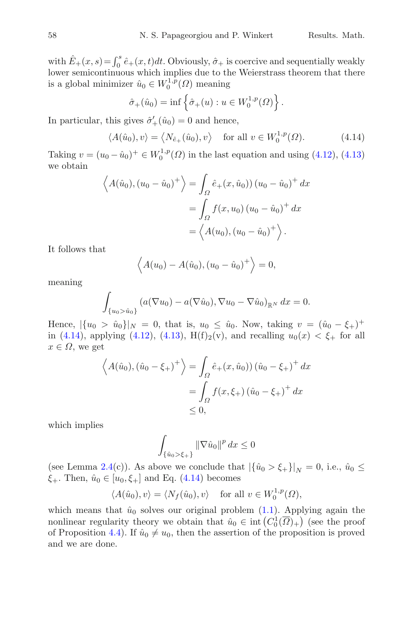with  $\hat{E}_+(x,s) = \int_0^s \hat{e}_+(x,t)dt$ . Obviously,  $\hat{\sigma}_+$  is coercive and sequentially weakly lower semicontinuous which implies due to the Weierstrass theorem that there is a global minimizer  $\hat{u}_0 \in W_0^{1,p}(\Omega)$  meaning

<span id="page-27-0"></span>
$$
\hat{\sigma}_+(\hat{u}_0) = \inf \left\{ \hat{\sigma}_+(u) : u \in W_0^{1,p}(\Omega) \right\}.
$$

In particular, this gives  $\hat{\sigma}'_+(\hat{u}_0) = 0$  and hence,

$$
\langle A(\hat{u}_0), v \rangle = \langle N_{\hat{e}_+}(\hat{u}_0), v \rangle \quad \text{for all } v \in W_0^{1,p}(\Omega). \tag{4.14}
$$

Taking  $v = (u_0 - \hat{u}_0)^+ \in W_0^{1,p}(\Omega)$  in the last equation and using [\(4.12\)](#page-26-0), [\(4.13\)](#page-26-1) we obtain

$$
\langle A(\hat{u}_0), (u_0 - \hat{u}_0)^+ \rangle = \int_{\Omega} \hat{e}_+(x, \hat{u}_0)) (u_0 - \hat{u}_0)^+ dx
$$
  
= 
$$
\int_{\Omega} f(x, u_0) (u_0 - \hat{u}_0)^+ dx
$$
  
= 
$$
\langle A(u_0), (u_0 - \hat{u}_0)^+ \rangle.
$$

It follows that

$$
\langle A(u_0) - A(\hat{u}_0), (u_0 - \hat{u}_0)^+ \rangle = 0,
$$

meaning

$$
\int_{\{u_0 > \hat{u}_0\}} (a(\nabla u_0) - a(\nabla \hat{u}_0), \nabla u_0 - \nabla \hat{u}_0)_{\mathbb{R}^N} dx = 0.
$$

Hence,  $|\{u_0 > \hat{u}_0\}|_N = 0$ , that is,  $u_0 \leq \hat{u}_0$ . Now, taking  $v = (\hat{u}_0 - \xi_+)^+$ in [\(4.14\)](#page-27-0), applying [\(4.12\)](#page-26-0), [\(4.13\)](#page-26-1), H(f)<sub>2</sub>(v), and recalling  $u_0(x) < \xi_{+}$  for all  $x \in \Omega$ , we get

$$
\langle A(\hat{u}_0), (\hat{u}_0 - \xi_+)^\dagger \rangle = \int_{\Omega} \hat{e}_+(x, \hat{u}_0)) (\hat{u}_0 - \xi_+)^\dagger dx
$$
  
= 
$$
\int_{\Omega} f(x, \xi_+) (\hat{u}_0 - \xi_+)^\dagger dx
$$
  
\$\leq 0\$,

which implies

$$
\int_{\{\hat{u}_0>\xi_+\}} \|\nabla \hat{u}_0\|^p dx \le 0
$$

(see Lemma [2.4\(](#page-3-0)c)). As above we conclude that  $|\{\hat{u}_0 > \xi_{+}\}|_N = 0$ , i.e.,  $\hat{u}_0 \leq$  $\xi_+$ . Then,  $\hat{u}_0 \in [u_0, \xi_+]$  and Eq. [\(4.14\)](#page-27-0) becomes

$$
\langle A(\hat{u}_0), v \rangle = \langle N_f(\hat{u}_0), v \rangle \quad \text{ for all } v \in W_0^{1,p}(\Omega),
$$

which means that  $\hat{u}_0$  solves our original problem [\(1.1\)](#page-1-4). Applying again the nonlinear regularity theory we obtain that  $\hat{u}_0 \in \text{int}\left(C_0^1(\overline{\Omega})_+\right)$  (see the proof of Proposition [4.4\)](#page-23-4). If  $\hat{u}_0 \neq u_0$ , then the assertion of the proposition is proved and we are done.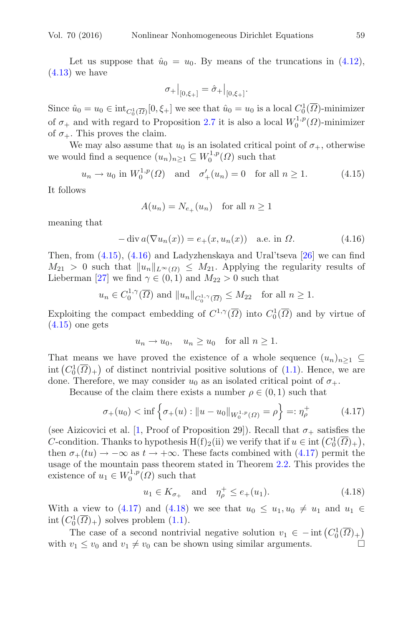Let us suppose that  $\hat{u}_0 = u_0$ . By means of the truncations in [\(4.12\)](#page-26-0),  $(4.13)$  we have

<span id="page-28-0"></span>
$$
\sigma_+|_{[0,\xi_+]} = \hat{\sigma}_+|_{[0,\xi_+]}.
$$

Since  $\hat{u}_0 = u_0 \in \text{int}_{C_0^1(\overline{\Omega})}[0, \xi_+]$  we see that  $\hat{u}_0 = u_0$  is a local  $C_0^1(\overline{\Omega})$ -minimizer of  $\sigma_+$  and with regard to Proposition [2.7](#page-4-1) it is also a local  $W_0^{1,p}(\Omega)$ -minimizer of  $\sigma_{+}$ . This proves the claim.

We may also assume that  $u_0$  is an isolated critical point of  $\sigma_+$ , otherwise we would find a sequence  $(u_n)_{n\geq 1} \subseteq W_0^{1,p}(\Omega)$  such that

$$
u_n \to u_0
$$
 in  $W_0^{1,p}(\Omega)$  and  $\sigma'_+(u_n) = 0$  for all  $n \ge 1$ . (4.15)

It follows

<span id="page-28-1"></span>
$$
A(u_n) = N_{e_+}(u_n) \quad \text{for all } n \ge 1
$$

meaning that

$$
-\operatorname{div} a(\nabla u_n(x)) = e_+(x, u_n(x)) \quad \text{a.e. in } \Omega.
$$
 (4.16)

Then, from  $(4.15)$ ,  $(4.16)$  and Ladyzhenskaya and Ural'tseva [\[26](#page-47-9)] we can find  $M_{21} > 0$  such that  $||u_n||_{L^{\infty}(\Omega)} \leq M_{21}$ . Applying the regularity results of Lieberman [\[27\]](#page-47-10) we find  $\gamma \in (0,1)$  and  $M_{22} > 0$  such that

$$
u_n \in C_0^{1,\gamma}(\overline{\Omega})
$$
 and  $||u_n||_{C_0^{1,\gamma}(\overline{\Omega})} \le M_{22}$  for all  $n \ge 1$ .

Exploiting the compact embedding of  $C^{1,\gamma}(\overline{\Omega})$  into  $C_0^1(\overline{\Omega})$  and by virtue of  $(4.15)$  one gets

<span id="page-28-2"></span>
$$
u_n \to u_0
$$
,  $u_n \ge u_0$  for all  $n \ge 1$ .

That means we have proved the existence of a whole sequence  $(u_n)_{n\geq 1} \subseteq$ int  $(C_0^1(\overline{\Omega})_+)$  of distinct nontrivial positive solutions of [\(1.1\)](#page-1-4). Hence, we are done. Therefore, we may consider  $u_0$  as an isolated critical point of  $\sigma_+$ .

Because of the claim there exists a number  $\rho \in (0,1)$  such that

$$
\sigma_+(u_0) < \inf \left\{ \sigma_+(u) : \|u - u_0\|_{W_0^{1,p}(\Omega)} = \rho \right\} =: \eta_\rho^+ \tag{4.17}
$$

(see Aizicovici et al. [\[1,](#page-46-5) Proof of Proposition 29]). Recall that  $\sigma_{+}$  satisfies the C-condition. Thanks to hypothesis  $H(f)_2(i)$  we verify that if  $u \in \text{int}(C_0^1(\overline{\Omega})_+)$ , then  $\sigma_+(tu) \to -\infty$  as  $t \to +\infty$ . These facts combined with [\(4.17\)](#page-28-2) permit the usage of the mountain pass theorem stated in Theorem [2.2.](#page-2-0) This provides the existence of  $u_1 \in W_0^{1,p}(\Omega)$  such that

<span id="page-28-3"></span>
$$
u_1 \in K_{\sigma_+}
$$
 and  $\eta_{\rho}^+ \le e_+(u_1).$  (4.18)

With a view to [\(4.17\)](#page-28-2) and [\(4.18\)](#page-28-3) we see that  $u_0 \leq u_1, u_0 \neq u_1$  and  $u_1 \in$ int  $(C_0^1(\overline{\Omega})_+)$  solves problem [\(1.1\)](#page-1-4).

The case of a second nontrivial negative solution  $v_1 \in -\text{int}\left(C_0^1(\overline{\Omega})_+\right)$ with  $v_1 \le v_0$  and  $v_1 \ne v_0$  can be shown using similar arguments.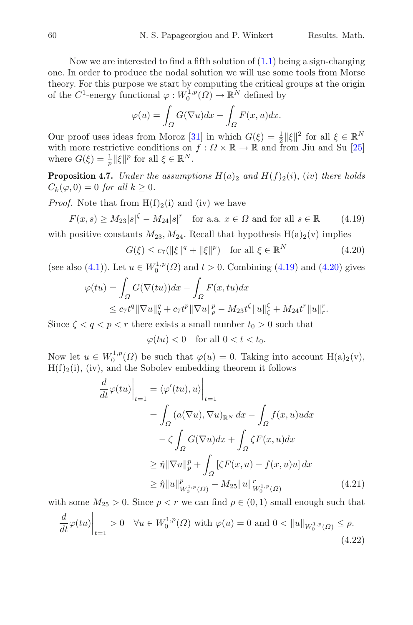Now we are interested to find a fifth solution of  $(1.1)$  being a sign-changing one. In order to produce the nodal solution we will use some tools from Morse theory. For this purpose we start by computing the critical groups at the origin of the  $C^1$ -energy functional  $\varphi: W_0^{1,p}(\Omega) \to \mathbb{R}^N$  defined by

$$
\varphi(u) = \int_{\Omega} G(\nabla u) dx - \int_{\Omega} F(x, u) dx.
$$

Our proof uses ideas from Moroz [\[31](#page-48-10)] in which  $G(\xi) = \frac{1}{2} ||\xi||^2$  for all  $\xi \in \mathbb{R}^N$ with more restrictive conditions on  $f: \Omega \times \mathbb{R} \to \mathbb{R}$  and from Jiu and Su [\[25\]](#page-47-13) where  $G(\xi) = \frac{1}{p} ||\xi||^p$  for all  $\xi \in \mathbb{R}^N$ .

<span id="page-29-3"></span>**Proposition 4.7.** *Under the assumptions*  $H(a)_2$  *and*  $H(f)_2(i)$ *, (iv) there holds*  $C_k(\varphi, 0) = 0$  *for all*  $k \geq 0$ *.* 

*Proof.* Note that from  $H(f)_2(i)$  and (iv) we have

$$
F(x,s) \ge M_{23}|s|^{\zeta} - M_{24}|s|^r \quad \text{for a.a. } x \in \Omega \text{ and for all } s \in \mathbb{R} \tag{4.19}
$$

with positive constants  $M_{23}$ ,  $M_{24}$ . Recall that hypothesis  $H(a)_2(v)$  implies

<span id="page-29-1"></span><span id="page-29-0"></span>
$$
G(\xi) \le c_7(||\xi||^q + ||\xi||^p) \quad \text{for all } \xi \in \mathbb{R}^N \tag{4.20}
$$

(see also [\(4.1\)](#page-22-0)). Let  $u \in W_0^{1,p}(\Omega)$  and  $t > 0$ . Combining [\(4.19\)](#page-29-0) and [\(4.20\)](#page-29-1) gives

$$
\varphi(tu) = \int_{\Omega} G(\nabla(tu))dx - \int_{\Omega} F(x, tu)dx
$$
  

$$
\leq c_7 t^q \|\nabla u\|_{q}^{q} + c_7 t^p \|\nabla u\|_{p}^{p} - M_{23} t^{\zeta} \|u\|_{\zeta}^{2} + M_{24} t^r \|u\|_{r}^{r}.
$$

Since  $\zeta < q < p < r$  there exists a small number  $t_0 > 0$  such that

$$
\varphi(tu) < 0 \quad \text{for all } 0 < t < t_0.
$$

Now let  $u \in W_0^{1,p}(\Omega)$  be such that  $\varphi(u) = 0$ . Taking into account  $H(a)_2(v)$ ,  $H(f)_2(i)$ , (iv), and the Sobolev embedding theorem it follows

$$
\frac{d}{dt}\varphi(tu)\Big|_{t=1} = \langle \varphi'(tu), u \rangle \Big|_{t=1}
$$
\n
$$
= \int_{\Omega} (a(\nabla u), \nabla u)_{\mathbb{R}^N} dx - \int_{\Omega} f(x, u)u dx
$$
\n
$$
- \zeta \int_{\Omega} G(\nabla u) dx + \int_{\Omega} \zeta F(x, u) dx
$$
\n
$$
\geq \hat{\eta} \|\nabla u\|_{p}^{p} + \int_{\Omega} [\zeta F(x, u) - f(x, u)u] dx
$$
\n
$$
\geq \hat{\eta} \|u\|_{W_{0}^{1,p}(\Omega)}^{p} - M_{25} \|u\|_{W_{0}^{1,p}(\Omega)}^{r}
$$
\n(4.21)

with some  $M_{25} > 0$ . Since  $p < r$  we can find  $\rho \in (0, 1)$  small enough such that

<span id="page-29-2"></span>
$$
\frac{d}{dt}\varphi(tu)\Big|_{t=1} > 0 \quad \forall u \in W_0^{1,p}(\Omega) \text{ with } \varphi(u) = 0 \text{ and } 0 < \|u\|_{W_0^{1,p}(\Omega)} \le \rho. \tag{4.22}
$$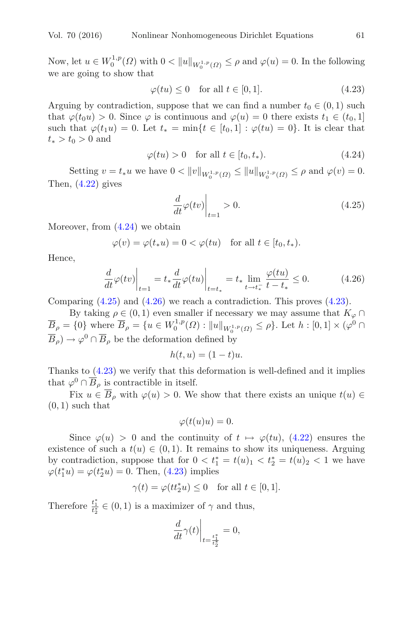Now, let  $u \in W_0^{1,p}(\Omega)$  with  $0 < ||u||_{W_0^{1,p}(\Omega)} \le \rho$  and  $\varphi(u) = 0$ . In the following we are going to show that

<span id="page-30-3"></span>
$$
\varphi(tu) \le 0 \quad \text{for all } t \in [0, 1]. \tag{4.23}
$$

Arguing by contradiction, suppose that we can find a number  $t_0 \in (0, 1)$  such that  $\varphi(t_0u) > 0$ . Since  $\varphi$  is continuous and  $\varphi(u) = 0$  there exists  $t_1 \in (t_0, 1]$ such that  $\varphi(t_1u) = 0$ . Let  $t_* = \min\{t \in [t_0,1] : \varphi(tu) = 0\}$ . It is clear that  $t_* > t_0 > 0$  and

$$
\varphi(tu) > 0 \quad \text{for all } t \in [t_0, t_*). \tag{4.24}
$$

Setting  $v = t_* u$  we have  $0 < ||v||_{W_0^{1,p}(\Omega)} \le ||u||_{W_0^{1,p}(\Omega)} \le \rho$  and  $\varphi(v) = 0$ . Then,  $(4.22)$  gives

<span id="page-30-2"></span><span id="page-30-1"></span><span id="page-30-0"></span>
$$
\left. \frac{d}{dt}\varphi(tv)\right|_{t=1} > 0. \tag{4.25}
$$

Moreover, from  $(4.24)$  we obtain

$$
\varphi(v) = \varphi(t_*u) = 0 < \varphi(tu) \quad \text{for all } t \in [t_0, t_*).
$$

Hence,

$$
\frac{d}{dt}\varphi(tv)\bigg|_{t=1} = t_*\frac{d}{dt}\varphi(tu)\bigg|_{t=t_*} = t_*\lim_{t \to t_*^-}\frac{\varphi(tu)}{t-t_*} \le 0. \tag{4.26}
$$

Comparing  $(4.25)$  and  $(4.26)$  we reach a contradiction. This proves  $(4.23)$ .

By taking  $\rho \in (0,1)$  even smaller if necessary we may assume that  $K_{\varphi} \cap$  $\overline{B}_{\rho} = \{0\}$  where  $\overline{B}_{\rho} = \{u \in W_0^{1,p}(\Omega) : ||u||_{W_0^{1,p}(\Omega)} \le \rho\}$ . Let  $h : [0,1] \times (\varphi^0 \cap$  $\overline{B}_{\rho}$ )  $\rightarrow \varphi^0 \cap \overline{B}_{\rho}$  be the deformation defined by

$$
h(t, u) = (1 - t)u.
$$

Thanks to [\(4.23\)](#page-30-3) we verify that this deformation is well-defined and it implies that  $\varphi^0 \cap \overline{B}_{\rho}$  is contractible in itself.

Fix  $u \in \overline{B}_{\rho}$  with  $\varphi(u) > 0$ . We show that there exists an unique  $t(u) \in$  $(0, 1)$  such that

$$
\varphi(t(u)u) = 0.
$$

Since  $\varphi(u) > 0$  and the continuity of  $t \mapsto \varphi(tu)$ , [\(4.22\)](#page-29-2) ensures the existence of such a  $t(u) \in (0,1)$ . It remains to show its uniqueness. Arguing by contradiction, suppose that for  $0 < t_1^* = t(u)_1 < t_2^* = t(u)_2 < 1$  we have  $\varphi(t_1^*u) = \varphi(t_2^*u) = 0.$  Then, [\(4.23\)](#page-30-3) implies

$$
\gamma(t)=\varphi(tt_2^*u)\leq 0\quad\text{for all }t\in[0,1].
$$

Therefore  $\frac{t_1^*}{t_2^*} \in (0, 1)$  is a maximizer of  $\gamma$  and thus,

$$
\left.\frac{d}{dt}\gamma(t)\right|_{t=\frac{t_1^*}{t_2^*}}=0,
$$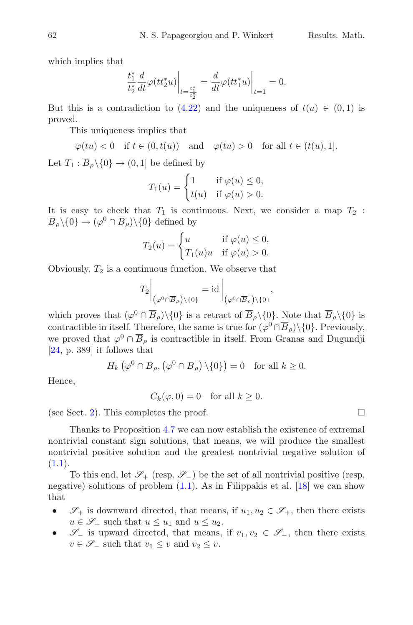which implies that

$$
\frac{t_1^*}{t_2^*} \frac{d}{dt} \varphi(t t_2^* u) \bigg|_{t = \frac{t_1^*}{t_2^*}} = \frac{d}{dt} \varphi(t t_1^* u) \bigg|_{t=1} = 0.
$$

But this is a contradiction to  $(4.22)$  and the uniqueness of  $t(u) \in (0,1)$  is proved.

This uniqueness implies that

$$
\varphi(tu) < 0 \quad \text{if } t \in (0, t(u)) \quad \text{and} \quad \varphi(tu) > 0 \quad \text{for all } t \in (t(u), 1].
$$

Let  $T_1 : \overline{B}_0 \setminus \{0\} \to (0, 1]$  be defined by

$$
T_1(u) = \begin{cases} 1 & \text{if } \varphi(u) \le 0, \\ t(u) & \text{if } \varphi(u) > 0. \end{cases}
$$

It is easy to check that  $T_1$  is continuous. Next, we consider a map  $T_2$ :  $\overline{B}_{\rho}\backslash\{0\} \rightarrow (\varphi^0 \cap \overline{B}_{\rho})\backslash\{0\}$  defined by

$$
T_2(u) = \begin{cases} u & \text{if } \varphi(u) \le 0, \\ T_1(u)u & \text{if } \varphi(u) > 0. \end{cases}
$$

Obviously,  $T_2$  is a continuous function. We observe that

$$
T_2\bigg|_{\left(\varphi^0\cap\overline{B}_\rho\right)\setminus\{0\}} = \mathrm{id}\bigg|_{\left(\varphi^0\cap\overline{B}_\rho\right)\setminus\{0\}},
$$

which proves that  $(\varphi^0 \cap \overline{B}_{\rho}) \setminus \{0\}$  is a retract of  $\overline{B}_{\rho} \setminus \{0\}$ . Note that  $\overline{B}_{\rho} \setminus \{0\}$  is contractible in itself. Therefore, the same is true for  $(\varphi^0 \cap \overline{B}_o) \setminus \{0\}$ . Previously, we proved that  $\varphi^0 \cap \overline{B}_\rho$  is contractible in itself. From Granas and Dugundji [\[24,](#page-47-12) p. 389] it follows that

$$
H_k\left(\varphi^0 \cap \overline{B}_{\rho}, \left(\varphi^0 \cap \overline{B}_{\rho}\right) \setminus \{0\}\right) = 0 \quad \text{for all } k \ge 0.
$$

Hence,

 $C_k(\varphi, 0) = 0$  for all  $k \geq 0$ .

(see Sect. [2\)](#page-2-1). This completes the proof.  $\Box$ 

Thanks to Proposition [4.7](#page-29-3) we can now establish the existence of extremal nontrivial constant sign solutions, that means, we will produce the smallest nontrivial positive solution and the greatest nontrivial negative solution of  $(1.1).$  $(1.1).$ 

To this end, let  $\mathscr{S}_+$  (resp.  $\mathscr{S}_-$ ) be the set of all nontrivial positive (resp. negative) solutions of problem  $(1.1)$ . As in Filippakis et al. [\[18\]](#page-47-14) we can show that

- $\mathscr{S}_+$  is downward directed, that means, if  $u_1, u_2 \in \mathscr{S}_+$ , then there exists  $u \in \mathscr{S}_+$  such that  $u \leq u_1$  and  $u \leq u_2$ .
- $\mathscr{S}_-$  is upward directed, that means, if  $v_1, v_2 \in \mathscr{S}_-$ , then there exists  $v \in \mathscr{S}_-$  such that  $v_1 \leq v$  and  $v_2 \leq v$ .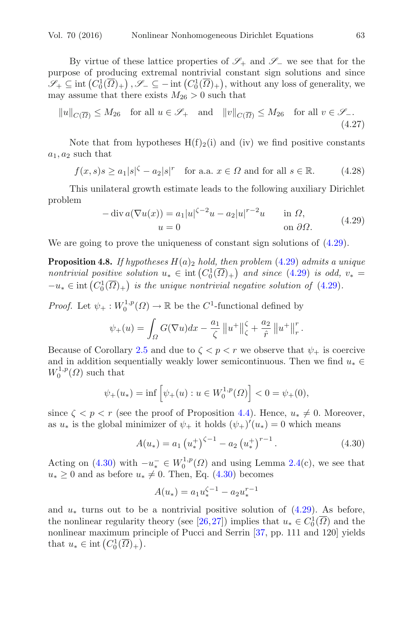By virtue of these lattice properties of *S*<sup>+</sup> and *S*<sup>−</sup> we see that for the purpose of producing extremal nontrivial constant sign solutions and since  $\mathscr{S}_+ \subseteq \text{int}\left(C_0^1(\overline{\Omega})_+\right), \mathscr{S}_- \subseteq -\text{int}\left(C_0^1(\overline{\Omega})_+\right)$ , without any loss of generality, we may assume that there exists  $M_{26} > 0$  such that

$$
||u||_{C(\overline{\Omega})} \le M_{26} \quad \text{for all } u \in \mathcal{S}_+ \quad \text{and} \quad ||v||_{C(\overline{\Omega})} \le M_{26} \quad \text{for all } v \in \mathcal{S}_-\,. \tag{4.27}
$$

Note that from hypotheses  $H(f)_{2}(i)$  and (iv) we find positive constants  $a_1, a_2$  such that

$$
f(x,s)s \ge a_1|s|^{\zeta} - a_2|s|^r \quad \text{for a.a. } x \in \Omega \text{ and for all } s \in \mathbb{R}.\tag{4.28}
$$

This unilateral growth estimate leads to the following auxiliary Dirichlet problem

<span id="page-32-4"></span><span id="page-32-3"></span>
$$
-\operatorname{div} a(\nabla u(x)) = a_1 |u|^{\zeta - 2} u - a_2 |u|^{r-2} u \quad \text{in } \Omega,
$$
  
\n
$$
u = 0 \quad \text{on } \partial\Omega.
$$
 (4.29)

<span id="page-32-2"></span><span id="page-32-0"></span>We are going to prove the uniqueness of constant sign solutions of  $(4.29)$ .

**Proposition 4.8.** *If hypotheses*  $H(a)_2$  *hold, then problem* [\(4.29\)](#page-32-0) *admits a unique nontrivial positive solution*  $u_* \in \text{int}\left(C_0^1(\overline{\Omega})_+\right)$  *and since* [\(4.29\)](#page-32-0) *is odd,*  $v_* =$  $-u_* \in \text{int}\left(C_0^1(\overline{\Omega})_+\right)$  *is the unique nontrivial negative solution of* [\(4.29\)](#page-32-0)*.* 

*Proof.* Let  $\psi_+ : W_0^{1,p}(\Omega) \to \mathbb{R}$  be the  $C^1$ -functional defined by

$$
\psi_{+}(u) = \int_{\Omega} G(\nabla u) dx - \frac{a_1}{\zeta} ||u^{+}||_{\zeta}^{\zeta} + \frac{a_2}{\hat{r}} ||u^{+}||_{r}^{r}.
$$

Because of Corollary [2.5](#page-3-2) and due to  $\zeta < p < r$  we observe that  $\psi_+$  is coercive and in addition sequentially weakly lower semicontinuous. Then we find  $u_* \in$  $W_0^{1,p}(\Omega)$  such that

$$
\psi_+(u_*) = \inf \left[ \psi_+(u) : u \in W_0^{1,p}(\Omega) \right] < 0 = \psi_+(0),
$$

since  $\zeta < p < r$  (see the proof of Proposition [4.4\)](#page-23-4). Hence,  $u_* \neq 0$ . Moreover, as  $u_*$  is the global minimizer of  $\psi_+$  it holds  $(\psi_+)'(u_*)=0$  which means

$$
A(u_*) = a_1 \left(u_*^+\right)^{\zeta - 1} - a_2 \left(u_*^+\right)^{r - 1}.
$$
\n(4.30)

Acting on [\(4.30\)](#page-32-1) with  $-u_*^- \in W_0^{1,p}(\Omega)$  and using Lemma [2.4\(](#page-3-0)c), we see that  $u_* \geq 0$  and as before  $u_* \neq 0$ . Then, Eq. [\(4.30\)](#page-32-1) becomes

<span id="page-32-1"></span>
$$
A(u_*) = a_1 u_*^{\zeta - 1} - a_2 u_*^{r - 1}
$$

and  $u_*$  turns out to be a nontrivial positive solution of [\(4.29\)](#page-32-0). As before, the nonlinear regularity theory (see [\[26,](#page-47-9)[27](#page-47-10)]) implies that  $u_* \in C_0^1(\overline{\Omega})$  and the nonlinear maximum principle of Pucci and Serrin [\[37](#page-48-9), pp. 111 and 120] yields that  $u_* \in \text{int}\left(C_0^1(\overline{\Omega})_+\right)$ .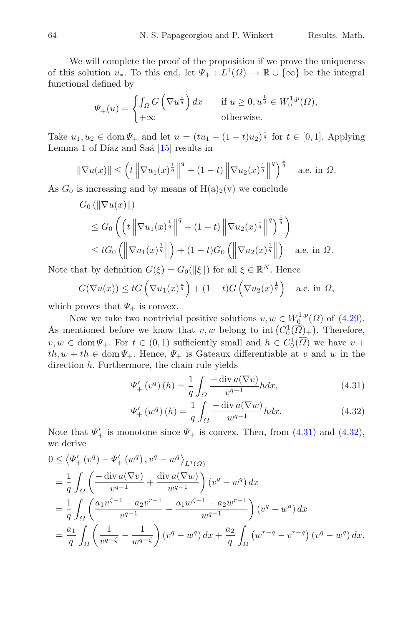We will complete the proof of the proposition if we prove the uniqueness of this solution  $u_*$ . To this end, let  $\Psi_+ : L^1(\Omega) \to \mathbb{R} \cup {\infty}$  be the integral functional defined by

$$
\Psi_{+}(u) = \begin{cases} \int_{\Omega} G\left(\nabla u^{\frac{1}{q}}\right) dx & \text{if } u \ge 0, u^{\frac{1}{q}} \in W_0^{1,p}(\Omega), \\ +\infty & \text{otherwise.} \end{cases}
$$

Take  $u_1, u_2 \in \text{dom}\Psi_+$  and let  $u = (tu_1 + (1-t)u_2)^{\frac{1}{q}}$  for  $t \in [0,1]$ . Applying Lemma 1 of Díaz and Saá  $[15]$  $[15]$  results in

$$
\|\nabla u(x)\| \le \left(t \left\|\nabla u_1(x)^{\frac{1}{q}}\right\|^q + (1-t) \left\|\nabla u_2(x)^{\frac{1}{q}}\right\|^q\right)^{\frac{1}{q}} \quad \text{a.e. in } \Omega.
$$

As  $G_0$  is increasing and by means of  $H(a)_2(v)$  we conclude

$$
G_0(||\nabla u(x)||)
$$
  
\n
$$
\leq G_0 \left( \left( t \left\| \nabla u_1(x)^{\frac{1}{q}} \right\|^q + (1-t) \left\| \nabla u_2(x)^{\frac{1}{q}} \right\|^q \right)^{\frac{1}{q}} \right)
$$
  
\n
$$
\leq tG_0 \left( \left\| \nabla u_1(x)^{\frac{1}{q}} \right\| \right) + (1-t)G_0 \left( \left\| \nabla u_2(x)^{\frac{1}{q}} \right\| \right) \quad \text{a.e. in } \Omega.
$$

Note that by definition  $G(\xi) = G_0(\|\xi\|)$  for all  $\xi \in \mathbb{R}^N$ . Hence

$$
G(\nabla u(x)) \leq tG\left(\nabla u_1(x)^{\frac{1}{q}}\right) + (1-t)G\left(\nabla u_2(x)^{\frac{1}{q}}\right) \quad \text{a.e. in } \Omega,
$$

which proves that  $\Psi_+$  is convex.

Now we take two nontrivial positive solutions  $v, w \in W_0^{1,p}(\Omega)$  of [\(4.29\)](#page-32-0). As mentioned before we know that  $v, w$  belong to int  $(C_0^1(\overline{\Omega})_+)$ . Therefore,  $v, w \in \text{dom}\Psi_+$ . For  $t \in (0,1)$  sufficiently small and  $h \in C_0^1(\overline{\Omega})$  we have  $v +$  $th, w + th \in \text{dom } \Psi_+$ . Hence,  $\Psi_+$  is Gateaux differentiable at v and w in the direction  $h$ . Furthermore, the chain rule yields

<span id="page-33-0"></span>
$$
\Psi'_{+}\left(v^{q}\right)(h) = \frac{1}{q} \int_{\Omega} \frac{-\operatorname{div} a(\nabla v)}{v^{q-1}} h dx, \tag{4.31}
$$

<span id="page-33-1"></span>
$$
\Psi'_{+}\left(w^{q}\right)(h) = \frac{1}{q} \int_{\Omega} \frac{-\operatorname{div} a(\nabla w)}{w^{q-1}} h dx. \tag{4.32}
$$

Note that  $\Psi'_{+}$  is monotone since  $\Psi_{+}$  is convex. Then, from [\(4.31\)](#page-33-0) and [\(4.32\)](#page-33-1), we derive

$$
0 \leq \langle \Psi_+^{\prime}(v^q) - \Psi_+^{\prime}(w^q), v^q - w^q \rangle_{L^1(\Omega)}
$$
  
=  $\frac{1}{q} \int_{\Omega} \left( \frac{-\operatorname{div} a(\nabla v)}{v^{q-1}} + \frac{\operatorname{div} a(\nabla w)}{w^{q-1}} \right) (v^q - w^q) dx$   
=  $\frac{1}{q} \int_{\Omega} \left( \frac{a_1 v^{\zeta - 1} - a_2 v^{r-1}}{v^{q-1}} - \frac{a_1 w^{\zeta - 1} - a_2 w^{r-1}}{w^{q-1}} \right) (v^q - w^q) dx$   
=  $\frac{a_1}{q} \int_{\Omega} \left( \frac{1}{v^{q-\zeta}} - \frac{1}{w^{q-\zeta}} \right) (v^q - w^q) dx + \frac{a_2}{q} \int_{\Omega} (w^{r-q} - v^{r-q}) (v^q - w^q) dx.$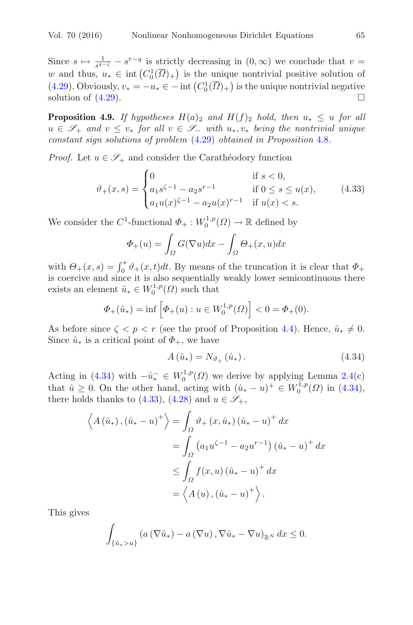Since  $s \mapsto \frac{1}{s^{q-\zeta}} - s^{r-q}$  is strictly decreasing in  $(0,\infty)$  we conclude that  $v =$ w and thus,  $u_* \in \text{int}(C_0^1(\overline{\Omega})_+)$  is the unique nontrivial positive solution of [\(4.29\)](#page-32-0). Obviously,  $v_* = -u_* \in -\text{int}\left(C_0^1(\overline{\Omega})_+\right)$  is the unique nontrivial negative solution of  $(4.29)$ .

<span id="page-34-2"></span>**Proposition 4.9.** *If hypotheses*  $H(a)_2$  *and*  $H(f)_2$  *hold, then*  $u_* \leq u$  *for all* <sup>u</sup> <sup>∈</sup> *<sup>S</sup>*<sup>+</sup> *and* <sup>v</sup> <sup>≤</sup> <sup>v</sup><sup>∗</sup> *for all* <sup>v</sup> <sup>∈</sup> *<sup>S</sup>*<sup>−</sup> *with* <sup>u</sup>∗, v<sup>∗</sup> *being the nontrivial unique constant sign solutions of problem* [\(4.29\)](#page-32-0) *obtained in Proposition* [4.8](#page-32-2)*.*

*Proof.* Let  $u \in \mathscr{S}_+$  and consider the Carathéodory function

$$
\vartheta_{+}(x,s) = \begin{cases} 0 & \text{if } s < 0, \\ a_1 s^{\zeta - 1} - a_2 s^{r - 1} & \text{if } 0 \le s \le u(x), \\ a_1 u(x)^{\zeta - 1} - a_2 u(x)^{r - 1} & \text{if } u(x) < s. \end{cases}
$$
(4.33)

We consider the  $C^1$ -functional  $\Phi_+ : W_0^{1,p}(\Omega) \to \mathbb{R}$  defined by

<span id="page-34-1"></span>
$$
\Phi_{+}(u) = \int_{\Omega} G(\nabla u) dx - \int_{\Omega} \Theta_{+}(x, u) dx
$$

with  $\Theta_+(x,s) = \int_0^s \vartheta_+(x,t)dt$ . By means of the truncation it is clear that  $\Phi_+$ is coercive and since it is also sequentially weakly lower semicontinuous there exists an element  $\hat{u}_* \in W_0^{1,p}(\Omega)$  such that

$$
\Phi_+(\hat{u}_*) = \inf \left[ \Phi_+(u) : u \in W_0^{1,p}(\Omega) \right] < 0 = \Phi_+(0).
$$

As before since  $\zeta < p < r$  (see the proof of Proposition [4.4\)](#page-23-4). Hence,  $\hat{u}_* \neq 0$ . Since  $\hat{u}_*$  is a critical point of  $\Phi_+$ , we have

<span id="page-34-0"></span>
$$
A\left(\hat{u}_*\right) = N_{\vartheta_+}\left(\hat{u}_*\right). \tag{4.34}
$$

Acting in [\(4.34\)](#page-34-0) with  $-\hat{u}_*^- \in W_0^{1,p}(\Omega)$  we derive by applying Lemma [2.4\(](#page-3-0)c) that  $\hat{u} \geq 0$ . On the other hand, acting with  $(\hat{u}_* - u)^+ \in W_0^{1,p}(\Omega)$  in [\(4.34\)](#page-34-0), there holds thanks to [\(4.33\)](#page-34-1), [\(4.28\)](#page-32-3) and  $u \in \mathscr{S}_+$ ,

$$
\left\langle A\left(\hat{u}_{*}\right),\left(\hat{u}_{*}-u\right)^{+}\right\rangle = \int_{\Omega}\vartheta_{+}\left(x,\hat{u}_{*}\right)\left(\hat{u}_{*}-u\right)^{+}dx
$$

$$
=\int_{\Omega}\left(a_{1}u^{\zeta-1}-a_{2}u^{r-1}\right)\left(\hat{u}_{*}-u\right)^{+}dx
$$

$$
\leq \int_{\Omega}f(x,u)\left(\hat{u}_{*}-u\right)^{+}dx
$$

$$
=\left\langle A\left(u\right),\left(\hat{u}_{*}-u\right)^{+}\right\rangle.
$$

This gives

$$
\int_{\{\hat{u}_\ast > u\}} \left( a\left(\nabla \hat{u}_\ast\right) - a\left(\nabla u\right), \nabla \hat{u}_\ast - \nabla u\right)_{\mathbb{R}^N} dx \le 0.
$$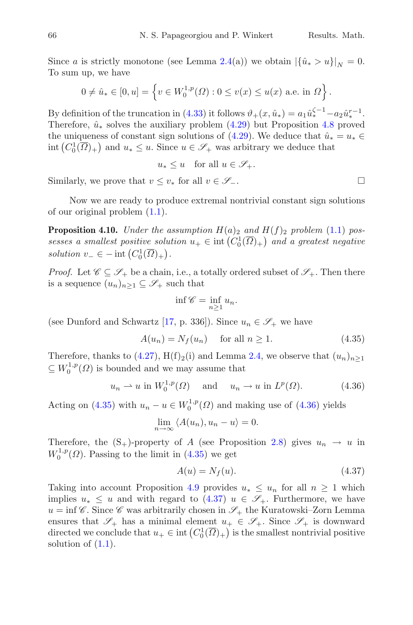Since a is strictly monotone (see Lemma [2.4\(](#page-3-0)a)) we obtain  $|\{\hat{u}_* > u\}|_N = 0$ . To sum up, we have

$$
0 \neq \hat{u}_* \in [0, u] = \left\{ v \in W_0^{1, p}(\Omega) : 0 \le v(x) \le u(x) \text{ a.e. in } \Omega \right\}.
$$

By definition of the truncation in [\(4.33\)](#page-34-1) it follows  $\vartheta_+(x, \hat{u}_*) = a_1 \hat{u}_*^{\zeta-1} - a_2 \hat{u}_*^{r-1}$ . Therefore,  $\hat{u}_*$  solves the auxiliary problem [\(4.29\)](#page-32-0) but Proposition [4.8](#page-32-2) proved the uniqueness of constant sign solutions of [\(4.29\)](#page-32-0). We deduce that  $\hat{u}_* = u_* \in$ int  $(C_0^1(\overline{\Omega})_+)$  and  $u_* \leq u$ . Since  $u \in \mathscr{S}_+$  was arbitrary we deduce that

$$
u_* \le u \quad \text{for all } u \in \mathscr{S}_+.
$$

Similarly, we prove that  $v \leq v_*$  for all  $v \in \mathscr{S}_-$ .  $\Box$ 

<span id="page-35-3"></span>Now we are ready to produce extremal nontrivial constant sign solutions of our original problem [\(1.1\)](#page-1-4).

**Proposition 4.10.** *Under the assumption*  $H(a)$ <sub>2</sub> *and*  $H(f)$ <sub>2</sub> *problem* [\(1.1\)](#page-1-4) *possesses a smallest positive solution*  $u_+ \in \text{int}(C_0^1(\overline{\Omega})_+)$  and a greatest negative *solution*  $v_-\in$  - int  $(C_0^1(\overline{\Omega})_+)$ .

*Proof.* Let  $\mathscr{C} \subseteq \mathscr{S}_+$  be a chain, i.e., a totally ordered subset of  $\mathscr{S}_+$ . Then there is a sequence  $(u_n)_{n\geq 1} \subseteq \mathscr{S}_+$  such that

<span id="page-35-0"></span>
$$
\inf \mathscr{C} = \inf_{n \ge 1} u_n.
$$

(see Dunford and Schwartz [\[17](#page-47-16), p. 336]). Since  $u_n \in \mathscr{S}_+$  we have

$$
A(u_n) = N_f(u_n) \quad \text{ for all } n \ge 1.
$$
 (4.35)

Therefore, thanks to [\(4.27\)](#page-32-4),  $H(f)_2(i)$  and Lemma [2.4,](#page-3-0) we observe that  $(u_n)_{n\geq 1}$  $\subseteq W_0^{1,p}(\Omega)$  is bounded and we may assume that

$$
u_n \rightharpoonup u
$$
 in  $W_0^{1,p}(\Omega)$  and  $u_n \rightharpoonup u$  in  $L^p(\Omega)$ . (4.36)

Acting on [\(4.35\)](#page-35-0) with  $u_n - u \in W_0^{1,p}(\Omega)$  and making use of [\(4.36\)](#page-35-1) yields

<span id="page-35-1"></span>
$$
\lim_{n \to \infty} \langle A(u_n), u_n - u \rangle = 0.
$$

Therefore, the  $(S_+)$ -property of A (see Proposition [2.8\)](#page-5-2) gives  $u_n \to u$  in  $W_0^{1,p}(\Omega)$ . Passing to the limit in [\(4.35\)](#page-35-0) we get

<span id="page-35-2"></span>
$$
A(u) = N_f(u). \tag{4.37}
$$

Taking into account Proposition [4.9](#page-34-2) provides  $u_* \leq u_n$  for all  $n \geq 1$  which implies  $u_* \leq u$  and with regard to [\(4.37\)](#page-35-2)  $u \in \mathscr{S}_+$ . Furthermore, we have  $u = \inf \mathscr{C}$ . Since  $\mathscr{C}$  was arbitrarily chosen in  $\mathscr{S}_+$  the Kuratowski–Zorn Lemma ensures that  $\mathscr{S}_+$  has a minimal element  $u_+ \in \mathscr{S}_+$ . Since  $\mathscr{S}_+$  is downward directed we conclude that  $u_+ \in \text{int}\left(C_0^1(\overline{\Omega})_+\right)$  is the smallest nontrivial positive solution of  $(1.1)$ .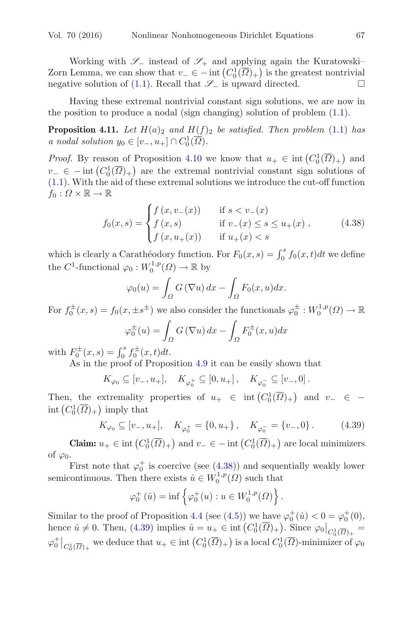Working with *S*<sup>−</sup> instead of *S*<sup>+</sup> and applying again the Kuratowski– Zorn Lemma, we can show that  $v_-\in$  − int  $(C_0^1(\overline{\Omega})_+)$  is the greatest nontrivial negative solution of  $(1.1)$ . Recall that  $\mathscr{S}_-$  is upward directed.  $\Box$ 

<span id="page-36-2"></span>Having these extremal nontrivial constant sign solutions, we are now in the position to produce a nodal (sign changing) solution of problem  $(1.1)$ .

**Proposition 4.11.** Let  $H(a)_2$  and  $H(f)_2$  be satisfied. Then problem [\(1.1\)](#page-1-4) has *a* nodal solution  $y_0 \in [v_-, u_+] \cap C_0^1(\overline{\Omega})$ .

*Proof.* By reason of Proposition [4.10](#page-35-3) we know that  $u_+ \in \text{int}(C_0^1(\overline{\Omega})_+)$  and  $v_-\in$  − int  $(C_0^1(\overline{\Omega})_+)$  are the extremal nontrivial constant sign solutions of [\(1.1\)](#page-1-4). With the aid of these extremal solutions we introduce the cut-off function  $f_0: \Omega \times \mathbb{R} \to \mathbb{R}$ 

$$
f_0(x,s) = \begin{cases} f(x,v_-(x)) & \text{if } s < v_-(x) \\ f(x,s) & \text{if } v_-(x) \le s \le u_+(x) \\ f(x,u_+(x)) & \text{if } u_+(x) < s \end{cases}
$$
(4.38)

which is clearly a Carathéodory function. For  $F_0(x, s) = \int_0^s f_0(x, t)dt$  we define the  $C^1$ -functional  $\varphi_0: W_0^{1,p}(\Omega) \to \mathbb{R}$  by

<span id="page-36-0"></span>
$$
\varphi_0(u) = \int_{\Omega} G(\nabla u) dx - \int_{\Omega} F_0(x, u) dx.
$$

For  $f_0^{\pm}(x,s) = f_0(x, \pm s^{\pm})$  we also consider the functionals  $\varphi_0^{\pm}: W_0^{1,p}(\Omega) \to \mathbb{R}$ 

$$
\varphi_0^{\pm}(u) = \int_{\Omega} G(\nabla u) dx - \int_{\Omega} F_0^{\pm}(x, u) dx
$$

with  $F_0^{\pm}(x, s) = \int_0^s f_0^{\pm}(x, t) dt$ .

As in the proof of Proposition [4.9](#page-34-2) it can be easily shown that

$$
K_{\varphi_0} \subseteq [v_-, u_+], \quad K_{\varphi_0^+} \subseteq [0, u_+] \,, \quad K_{\varphi_0^-} \subseteq [v_-, 0] \,.
$$

Then, the extremality properties of  $u_+ \in \text{int}(C_0^1(\overline{\Omega})_+)$  and  $v_- \in$ int  $(C_0^1(\overline{\Omega})_+)$  imply that

$$
K_{\varphi_0} \subseteq [v_-, u_+], \quad K_{\varphi_0^+} = \{0, u_+\}, \quad K_{\varphi_0^-} = \{v_-, 0\}.
$$
 (4.39)

**Claim:**  $u_+ \in \text{int}\left(C_0^1(\overline{\Omega})_+\right)$  and  $v_-\in \text{--}$  int  $\left(C_0^1(\overline{\Omega})_+\right)$  are local minimizers of  $\varphi_0$ .

First note that  $\varphi_0^+$  is coercive (see [\(4.38\)](#page-36-0)) and sequentially weakly lower semicontinuous. Then there exists  $\hat{u} \in W_0^{1,p}(\Omega)$  such that

<span id="page-36-1"></span>
$$
\varphi_0^+(\hat{u}) = \inf \left\{ \varphi_0^+(u) : u \in W_0^{1,p}(\Omega) \right\}.
$$

Similar to the proof of Proposition [4.4](#page-23-4) (see [\(4.5\)](#page-23-3)) we have  $\varphi_0^+(\hat{u}) < 0 = \varphi_0^+(0)$ , hence  $\hat{u} \neq 0$ . Then, [\(4.39\)](#page-36-1) implies  $\hat{u} = u_+ \in \text{int}\left(C_0^1(\overline{\Omega})_+\right)$ . Since  $\varphi_0|_{C_0^1(\overline{\Omega})_+} =$  $\varphi_0^+|_{C_0^1(\overline{\Omega})_+}$  we deduce that  $u_+ \in \text{int}\left(C_0^1(\overline{\Omega})_+\right)$  is a local  $C_0^1(\overline{\Omega})$ -minimizer of  $\varphi_0$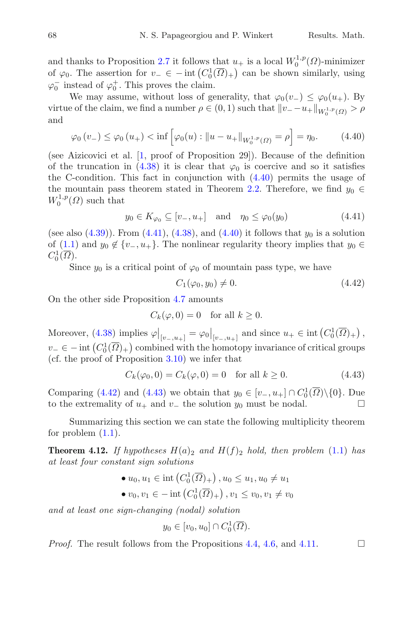# and thanks to Proposition [2.7](#page-4-1) it follows that  $u_+$  is a local  $W_0^{1,p}(\Omega)$ -minimizer of  $\varphi_0$ . The assertion for  $v_-\in$  - int  $(C_0^1(\overline{\Omega})_+)$  can be shown similarly, using  $\varphi_0^-$  instead of  $\varphi_0^+$ . This proves the claim.

We may assume, without loss of generality, that  $\varphi_0(v_+) \leq \varphi_0(u_+)$ . By virtue of the claim, we find a number  $\rho \in (0,1)$  such that  $||v_--u_+||_{W_0^{1,p}(\Omega)} > \rho$ and

$$
\varphi_0(v_-) \le \varphi_0(u_+) < \inf \left[ \varphi_0(u) : \|u - u_+\|_{W_0^{1,p}(\Omega)} = \rho \right] = \eta_0. \tag{4.40}
$$

(see Aizicovici et al. [\[1](#page-46-5), proof of Proposition 29]). Because of the definition of the truncation in [\(4.38\)](#page-36-0) it is clear that  $\varphi_0$  is coercive and so it satisfies the C-condition. This fact in conjunction with  $(4.40)$  permits the usage of the mountain pass theorem stated in Theorem [2.2.](#page-2-0) Therefore, we find  $y_0 \in$  $W_0^{1,p}(\Omega)$  such that

<span id="page-37-0"></span>
$$
y_0 \in K_{\varphi_0} \subseteq [v_-, u_+] \quad \text{and} \quad \eta_0 \le \varphi_0(y_0) \tag{4.41}
$$

(see also  $(4.39)$ ). From  $(4.41)$ ,  $(4.38)$ , and  $(4.40)$  it follows that  $y_0$  is a solution of [\(1.1\)](#page-1-4) and  $y_0 \notin \{v_-, u_+\}$ . The nonlinear regularity theory implies that  $y_0 \in$  $C_0^1(\overline{\Omega}).$ 

Since  $y_0$  is a critical point of  $\varphi_0$  of mountain pass type, we have

<span id="page-37-3"></span><span id="page-37-2"></span><span id="page-37-1"></span>
$$
C_1(\varphi_0, y_0) \neq 0. \tag{4.42}
$$

On the other side Proposition [4.7](#page-29-3) amounts

$$
C_k(\varphi, 0) = 0 \quad \text{for all } k \ge 0.
$$

Moreover,  $(4.38)$  implies  $\varphi|_{[v_-,u_+]} = \varphi_0|_{[v_-,u_+]}$  and since  $u_+ \in \text{int}(C_0^1(\overline{\Omega})_+)$ ,  $v_-\in$  – int  $(C_0^1(\overline{\Omega})_+)$  combined with the homotopy invariance of critical groups (cf. the proof of Proposition [3.10\)](#page-19-4) we infer that

$$
C_k(\varphi_0, 0) = C_k(\varphi, 0) = 0 \quad \text{for all } k \ge 0.
$$
 (4.43)

Comparing [\(4.42\)](#page-37-2) and [\(4.43\)](#page-37-3) we obtain that  $y_0 \in [v_-, u_+] \cap C_0^1(\overline{\Omega}) \setminus \{0\}$ . Due to the extremality of  $u_+$  and  $v_-$  the solution  $y_0$  must be nodal.  $□$ 

<span id="page-37-4"></span>Summarizing this section we can state the following multiplicity theorem for problem  $(1.1)$ .

**Theorem 4.12.** If hypotheses  $H(a)_2$  and  $H(f)_2$  hold, then problem [\(1.1\)](#page-1-4) has *at least four constant sign solutions*

• 
$$
u_0, u_1 \in \text{int}(C_0^1(\overline{\Omega})_+), u_0 \le u_1, u_0 \ne u_1
$$
  
\n•  $v_0, v_1 \in -\text{int}(C_0^1(\overline{\Omega})_+), v_1 \le v_0, v_1 \ne v_0$ 

*and at least one sign-changing (nodal) solution*

$$
y_0 \in [v_0, u_0] \cap C_0^1(\overline{\Omega}).
$$

*Proof.* The result follows from the Propositions [4.4,](#page-23-4) [4.6,](#page-26-2) and [4.11.](#page-36-2)  $\Box$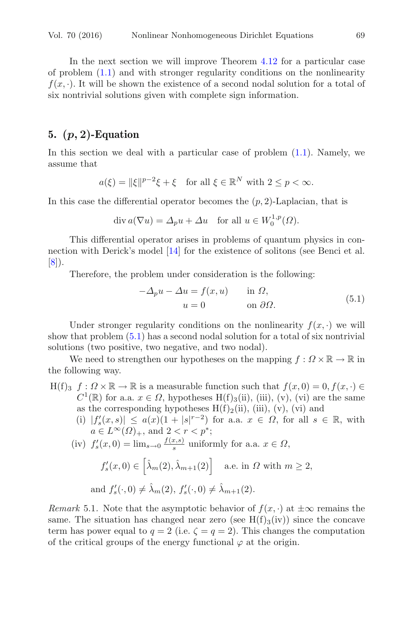In the next section we will improve Theorem [4.12](#page-37-4) for a particular case of problem [\(1.1\)](#page-1-4) and with stronger regularity conditions on the nonlinearity  $f(x, \cdot)$ . It will be shown the existence of a second nodal solution for a total of six nontrivial solutions given with complete sign information.

### **5. (***p,* **2)-Equation**

In this section we deal with a particular case of problem  $(1.1)$ . Namely, we assume that

$$
a(\xi) = ||\xi||^{p-2}\xi + \xi \quad \text{for all } \xi \in \mathbb{R}^N \text{ with } 2 \le p < \infty.
$$

In this case the differential operator becomes the  $(p, 2)$ -Laplacian, that is

$$
\operatorname{div} a(\nabla u) = \varDelta_p u + \varDelta u \quad \text{for all } u \in W^{1,p}_0(\varOmega).
$$

This differential operator arises in problems of quantum physics in connection with Derick's model [\[14\]](#page-47-17) for the existence of solitons (see Benci et al. [\[8\]](#page-46-3)).

<span id="page-38-0"></span>Therefore, the problem under consideration is the following:

$$
-\Delta_p u - \Delta u = f(x, u) \quad \text{in } \Omega,
$$
  
 
$$
u = 0 \quad \text{on } \partial\Omega.
$$
 (5.1)

Under stronger regularity conditions on the nonlinearity  $f(x, \cdot)$  we will show that problem [\(5.1\)](#page-38-0) has a second nodal solution for a total of six nontrivial solutions (two positive, two negative, and two nodal).

We need to strengthen our hypotheses on the mapping  $f : \Omega \times \mathbb{R} \to \mathbb{R}$  in the following way.

- $H(f)_3$   $f: \Omega \times \mathbb{R} \to \mathbb{R}$  is a measurable function such that  $f(x, 0) = 0, f(x, \cdot) \in$  $C^1(\mathbb{R})$  for a.a.  $x \in \Omega$ , hypotheses H(f)<sub>3</sub>(ii), (iii), (v), (vi) are the same as the corresponding hypotheses  $H(f)_2(ii)$ , (iii), (v), (vi) and
	- (i)  $|f'_s(x,s)| \leq a(x)(1+|s|^{r-2})$  for a.a.  $x \in \Omega$ , for all  $s \in \mathbb{R}$ , with  $a \in L^{\infty}(\Omega)_{+}$ , and  $2 < r < p^*$ ;

(iv) 
$$
f'_s(x,0) = \lim_{s \to 0} \frac{f(x,s)}{s}
$$
 uniformly for a.a.  $x \in \Omega$ ,

$$
f'_{s}(x,0) \in \left[\hat{\lambda}_{m}(2), \hat{\lambda}_{m+1}(2)\right] \quad \text{a.e. in } \Omega \text{ with } m \ge 2,
$$
  
and  $f'_{s}(\cdot,0) \neq \hat{\lambda}_{m}(2), f'_{s}(\cdot,0) \neq \hat{\lambda}_{m+1}(2).$ 

*Remark* 5.1. Note that the asymptotic behavior of  $f(x, \cdot)$  at  $\pm \infty$  remains the same. The situation has changed near zero (see  $H(f)_{3}(iv)$ ) since the concave term has power equal to  $q = 2$  (i.e.  $\zeta = q = 2$ ). This changes the computation of the critical groups of the energy functional  $\varphi$  at the origin.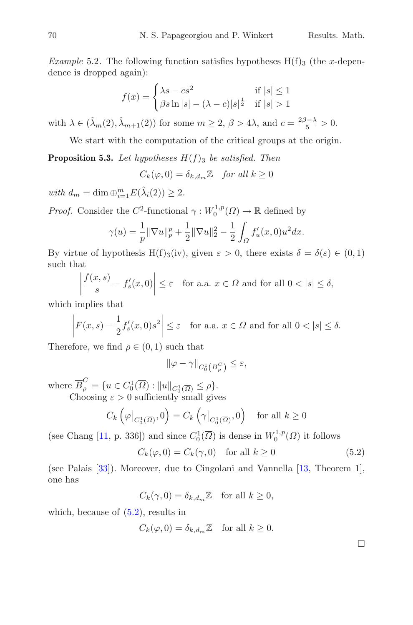*Example* 5.2. The following function satisfies hypotheses  $H(f)$ <sub>3</sub> (the x-dependence is dropped again):

$$
f(x) = \begin{cases} \lambda s - cs^2 & \text{if } |s| \le 1\\ \beta s \ln |s| - (\lambda - c)|s|^{\frac{1}{2}} & \text{if } |s| > 1 \end{cases}
$$

with  $\lambda \in (\hat{\lambda}_m(2), \hat{\lambda}_{m+1}(2))$  for some  $m \ge 2$ ,  $\beta > 4\lambda$ , and  $c = \frac{2\beta - \lambda}{5} > 0$ .

We start with the computation of the critical groups at the origin.

<span id="page-39-1"></span>**Proposition 5.3.** Let hypotheses  $H(f)$ <sub>3</sub> be satisfied. Then

 $C_k(\varphi, 0) = \delta_{k,d_m} \mathbb{Z}$  *for all*  $k \geq 0$ 

*with*  $d_m = \dim \bigoplus_{i=1}^m E(\hat{\lambda}_i(2)) \geq 2$ .

*Proof.* Consider the  $C^2$ -functional  $\gamma : W_0^{1,p}(\Omega) \to \mathbb{R}$  defined by

$$
\gamma(u) = \frac{1}{p} \|\nabla u\|_p^p + \frac{1}{2} \|\nabla u\|_2^2 - \frac{1}{2} \int_{\Omega} f'_u(x,0) u^2 dx.
$$

By virtue of hypothesis H(f)<sub>3</sub>(iv), given  $\varepsilon > 0$ , there exists  $\delta = \delta(\varepsilon) \in (0, 1)$ such that

$$
\left| \frac{f(x,s)}{s} - f'_s(x,0) \right| \le \varepsilon \quad \text{for a.a. } x \in \Omega \text{ and for all } 0 < |s| \le \delta,
$$

which implies that

$$
\left| F(x,s) - \frac{1}{2} f_s'(x,0)s^2 \right| \le \varepsilon \quad \text{for a.a. } x \in \Omega \text{ and for all } 0 < |s| \le \delta.
$$

Therefore, we find  $\rho \in (0,1)$  such that

$$
\|\varphi-\gamma\|_{C^1_0\left(\overline{B}_{\rho}^C\right)}\leq\varepsilon,
$$

where  $\overline{B}_{\rho}^C = \{u \in C_0^1(\overline{\Omega}) : ||u||_{C_0^1(\overline{\Omega})} \le \rho\}.$ Choosing  $\varepsilon > 0$  sufficiently small gives

$$
C_k\left(\varphi\big|_{C_0^1(\overline{\Omega})},0\right) = C_k\left(\gamma\big|_{C_0^1(\overline{\Omega})},0\right) \quad \text{for all } k \ge 0
$$

(see Chang [\[11](#page-47-7), p. 336]) and since  $C_0^1(\overline{\Omega})$  is dense in  $W_0^{1,p}(\Omega)$  it follows

$$
C_k(\varphi, 0) = C_k(\gamma, 0) \quad \text{for all } k \ge 0 \tag{5.2}
$$

(see Palais [\[33\]](#page-48-11)). Moreover, due to Cingolani and Vannella [\[13](#page-47-18), Theorem 1], one has

$$
C_k(\gamma, 0) = \delta_{k, d_m} \mathbb{Z} \quad \text{for all } k \ge 0,
$$

which, because of  $(5.2)$ , results in

$$
C_k(\varphi, 0) = \delta_{k,d_m} \mathbb{Z} \quad \text{for all } k \ge 0.
$$

<span id="page-39-0"></span> $\Box$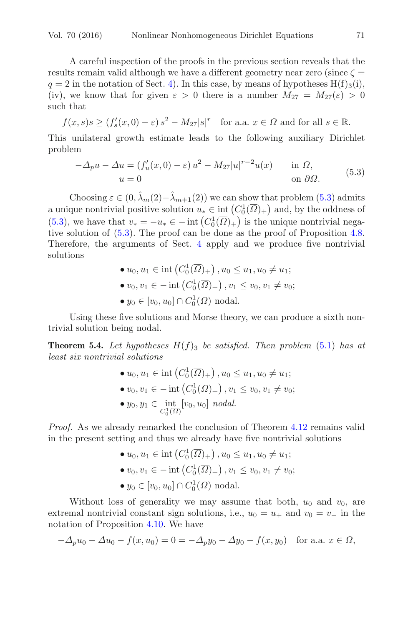A careful inspection of the proofs in the previous section reveals that the results remain valid although we have a different geometry near zero (since  $\zeta =$  $q = 2$  in the notation of Sect. [4\)](#page-21-2). In this case, by means of hypotheses  $H(f)_{3}(i)$ , (iv), we know that for given  $\varepsilon > 0$  there is a number  $M_{27} = M_{27}(\varepsilon) > 0$ such that

$$
f(x, s)s \ge (f'_s(x, 0) - \varepsilon) s^2 - M_{27} |s|^r
$$
 for a.a.  $x \in \Omega$  and for all  $s \in \mathbb{R}$ .

This unilateral growth estimate leads to the following auxiliary Dirichlet problem

$$
-\Delta_p u - \Delta u = (f'_u(x,0) - \varepsilon) u^2 - M_{27} |u|^{r-2} u(x) \quad \text{in } \Omega,
$$
  
 
$$
u = 0 \quad \text{on } \partial\Omega.
$$
 (5.3)

<span id="page-40-0"></span>Choosing  $\varepsilon \in (0, \lambda_m(2)-\lambda_{m+1}(2))$  we can show that problem [\(5.3\)](#page-40-0) admits a unique nontrivial positive solution  $u_* \in \text{int}(C_0^1(\overline{\Omega})_+)$  and, by the oddness of [\(5.3\)](#page-40-0), we have that  $v_* = -u_* \in -\text{int}\left(C_0^1(\overline{\Omega})_+\right)$  is the unique nontrivial negative solution of [\(5.3\)](#page-40-0). The proof can be done as the proof of Proposition [4.8.](#page-32-2) Therefore, the arguments of Sect. [4](#page-21-2) apply and we produce five nontrivial solutions

> •  $u_0, u_1 \in \text{int}\left( C_0^1(\overline{\Omega})_+ \right), u_0 \leq u_1, u_0 \neq u_1;$ •  $v_0, v_1 \in -\text{int}\left(C_0^1(\overline{\Omega})_+\right), v_1 \le v_0, v_1 \ne v_0;$ •  $y_0 \in [v_0, u_0] \cap C_0^1(\overline{\Omega})$  nodal.

Using these five solutions and Morse theory, we can produce a sixth nontrivial solution being nodal.

**Theorem 5.4.** Let hypotheses  $H(f)$ <sub>3</sub> be satisfied. Then problem [\(5.1\)](#page-38-0) has at *least six nontrivial solutions*

\n- \n
$$
\bullet u_0, u_1 \in \text{int}\left(C_0^1(\overline{\Omega})_+\right), u_0 \leq u_1, u_0 \neq u_1;
$$
\n
\n- \n $v_0, v_1 \in -\text{int}\left(C_0^1(\overline{\Omega})_+\right), v_1 \leq v_0, v_1 \neq v_0;$ \n
\n- \n $y_0, y_1 \in \text{int}\left[v_0, u_0\right] \text{ nodal}.$ \n
\n

*Proof.* As we already remarked the conclusion of Theorem [4.12](#page-37-4) remains valid in the present setting and thus we already have five nontrivial solutions

\n- \n
$$
u_0, u_1 \in \text{int}\left(C_0^1(\overline{\Omega})_+\right), u_0 \leq u_1, u_0 \neq u_1;
$$
\n
\n- \n $v_0, v_1 \in -\text{int}\left(C_0^1(\overline{\Omega})_+\right), v_1 \leq v_0, v_1 \neq v_0;$ \n
\n- \n $y_0 \in [v_0, u_0] \cap C_0^1(\overline{\Omega}) \text{ nodal}.$ \n
\n

Without loss of generality we may assume that both,  $u_0$  and  $v_0$ , are extremal nontrivial constant sign solutions, i.e.,  $u_0 = u_+$  and  $v_0 = v_-$  in the notation of Proposition [4.10.](#page-35-3) We have

$$
-\Delta_p u_0 - \Delta u_0 - f(x, u_0) = 0 = -\Delta_p y_0 - \Delta y_0 - f(x, y_0) \text{ for a.a. } x \in \Omega,
$$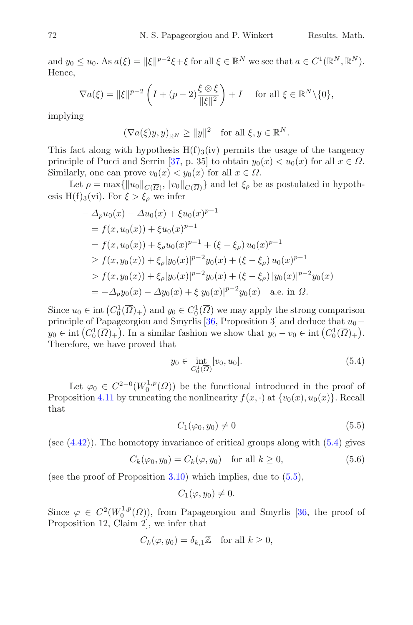and  $y_0 \leq u_0$ . As  $a(\xi) = ||\xi||^{p-2}\xi + \xi$  for all  $\xi \in \mathbb{R}^N$  we see that  $a \in C^1(\mathbb{R}^N, \mathbb{R}^N)$ . Hence,

$$
\nabla a(\xi) = ||\xi||^{p-2} \left( I + (p-2) \frac{\xi \otimes \xi}{||\xi||^2} \right) + I \quad \text{ for all } \xi \in \mathbb{R}^N \setminus \{0\},
$$

implying

$$
(\nabla a(\xi)y, y)_{\mathbb{R}^N} \ge ||y||^2 \text{ for all } \xi, y \in \mathbb{R}^N.
$$

This fact along with hypothesis  $H(f)_{3}(iv)$  permits the usage of the tangency principle of Pucci and Serrin [\[37,](#page-48-9) p. 35] to obtain  $y_0(x) < u_0(x)$  for all  $x \in \Omega$ . Similarly, one can prove  $v_0(x) < y_0(x)$  for all  $x \in \Omega$ .

Let  $\rho = \max\{\|u_0\|_{C(\overline{\Omega})}, \|v_0\|_{C(\overline{\Omega})}\}\$ and let  $\xi_\rho$  be as postulated in hypothesis H(f)<sub>3</sub>(vi). For  $\xi > \xi_o$  we infer

$$
- \Delta_p u_0(x) - \Delta u_0(x) + \xi u_0(x)^{p-1}
$$
  
=  $f(x, u_0(x)) + \xi u_0(x)^{p-1}$   
=  $f(x, u_0(x)) + \xi_\rho u_0(x)^{p-1} + (\xi - \xi_\rho) u_0(x)^{p-1}$   
 $\geq f(x, y_0(x)) + \xi_\rho |y_0(x)|^{p-2} y_0(x) + (\xi - \xi_\rho) u_0(x)^{p-1}$   
 $> f(x, y_0(x)) + \xi_\rho |y_0(x)|^{p-2} y_0(x) + (\xi - \xi_\rho) |y_0(x)|^{p-2} y_0(x)$   
=  $-\Delta_p y_0(x) - \Delta y_0(x) + \xi |y_0(x)|^{p-2} y_0(x)$  a.e. in  $\Omega$ .

Since  $u_0 \in \text{int}(C_0^1(\overline{\Omega})_+)$  and  $y_0 \in C_0^1(\overline{\Omega})$  we may apply the strong comparison principle of Papageorgiou and Smyrlis [\[36](#page-48-12), Proposition 3] and deduce that  $u_0$  –  $y_0 \in \text{int}(C_0^1(\overline{\Omega})_+)$ . In a similar fashion we show that  $y_0 - v_0 \in \text{int}(C_0^1(\overline{\Omega})_+)$ . Therefore, we have proved that

<span id="page-41-0"></span>
$$
y_0 \in \inf_{C_0^1(\overline{\Omega})} [v_0, u_0]. \tag{5.4}
$$

Let  $\varphi_0 \in C^{2-0}(W_0^{1,p}(\Omega))$  be the functional introduced in the proof of Proposition [4.11](#page-36-2) by truncating the nonlinearity  $f(x, \cdot)$  at  $\{v_0(x), u_0(x)\}\)$ . Recall that

<span id="page-41-2"></span><span id="page-41-1"></span>
$$
C_1(\varphi_0, y_0) \neq 0 \tag{5.5}
$$

(see  $(4.42)$ ). The homotopy invariance of critical groups along with  $(5.4)$  gives

$$
C_k(\varphi_0, y_0) = C_k(\varphi, y_0) \quad \text{for all } k \ge 0,
$$
\n
$$
(5.6)
$$

(see the proof of Proposition  $3.10$ ) which implies, due to  $(5.5)$ ,

$$
C_1(\varphi, y_0) \neq 0.
$$

Since  $\varphi \in C^2(W_0^{1,p}(\Omega))$ , from Papageorgiou and Smyrlis [\[36,](#page-48-12) the proof of Proposition 12, Claim 2], we infer that

$$
C_k(\varphi, y_0) = \delta_{k,1} \mathbb{Z} \quad \text{for all } k \ge 0,
$$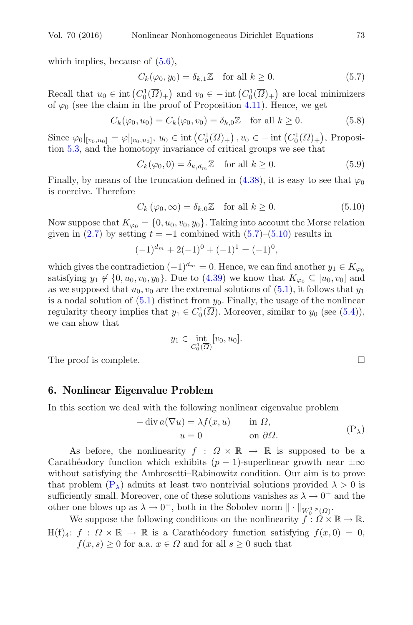which implies, because of  $(5.6)$ ,

<span id="page-42-0"></span>
$$
C_k(\varphi_0, y_0) = \delta_{k,1} \mathbb{Z} \quad \text{for all } k \ge 0.
$$
 (5.7)

Recall that  $u_0 \in \text{int}\left(C_0^1(\overline{\Omega})_+\right)$  and  $v_0 \in -\text{int}\left(C_0^1(\overline{\Omega})_+\right)$  are local minimizers of  $\varphi_0$  (see the claim in the proof of Proposition [4.11\)](#page-36-2). Hence, we get

$$
C_k(\varphi_0, u_0) = C_k(\varphi_0, v_0) = \delta_{k,0} \mathbb{Z} \quad \text{for all } k \ge 0.
$$
 (5.8)

Since  $\varphi_0|_{[v_0, u_0]} = \varphi|_{[v_0, u_0]}$ ,  $u_0 \in \text{int}\left(C_0^1(\overline{\Omega})_+\right)$ ,  $v_0 \in -\text{int}\left(C_0^1(\overline{\Omega})_+\right)$ , Proposition [5.3,](#page-39-1) and the homotopy invariance of critical groups we see that

$$
C_k(\varphi_0, 0) = \delta_{k, d_m} \mathbb{Z} \quad \text{for all } k \ge 0.
$$
 (5.9)

Finally, by means of the truncation defined in [\(4.38\)](#page-36-0), it is easy to see that  $\varphi_0$ is coercive. Therefore

<span id="page-42-1"></span>
$$
C_k(\varphi_0, \infty) = \delta_{k,0} \mathbb{Z} \quad \text{for all } k \ge 0.
$$
 (5.10)

Now suppose that  $K_{\varphi_0} = \{0, u_0, v_0, y_0\}$ . Taking into account the Morse relation given in [\(2.7\)](#page-7-1) by setting  $t = -1$  combined with [\(5.7\)](#page-42-0)–[\(5.10\)](#page-42-1) results in

$$
(-1)^{d_m} + 2(-1)^0 + (-1)^1 = (-1)^0,
$$

which gives the contradiction  $(-1)^{d_m} = 0$ . Hence, we can find another  $y_1 \in K_{\varphi_0}$ satisfying  $y_1 \notin \{0, u_0, v_0, y_0\}$ . Due to  $(4.39)$  we know that  $K_{\varphi_0} \subseteq [u_0, v_0]$  and as we supposed that  $u_0, v_0$  are the extremal solutions of  $(5.1)$ , it follows that  $y_1$ is a nodal solution of  $(5.1)$  distinct from  $y_0$ . Finally, the usage of the nonlinear regularity theory implies that  $y_1 \in C_0^1(\overline{\Omega})$ . Moreover, similar to  $y_0$  (see [\(5.4\)](#page-41-0)), we can show that

$$
y_1 \in \inf_{C_0^1(\overline{\Omega})}[v_0, u_0].
$$

The proof is complete.  $\Box$ 

### **6. Nonlinear Eigenvalue Problem**

<span id="page-42-2"></span>In this section we deal with the following nonlinear eigenvalue problem

$$
-\operatorname{div} a(\nabla u) = \lambda f(x, u) \quad \text{in } \Omega,
$$
  

$$
u = 0 \quad \text{on } \partial\Omega.
$$
 (P<sub>\lambda</sub>)

As before, the nonlinearity  $f : \Omega \times \mathbb{R} \to \mathbb{R}$  is supposed to be a Carathéodory function which exhibits  $(p - 1)$ -superlinear growth near  $\pm \infty$ without satisfying the Ambrosetti–Rabinowitz condition. Our aim is to prove that problem  $(P_{\lambda})$  $(P_{\lambda})$  admits at least two nontrivial solutions provided  $\lambda > 0$  is sufficiently small. Moreover, one of these solutions vanishes as  $\lambda \to 0^+$  and the other one blows up as  $\lambda \to 0^+$ , both in the Sobolev norm  $\|\cdot\|_{W_0^{1,p}(\Omega)}$ .

We suppose the following conditions on the nonlinearity  $f: \Omega \times \mathbb{R} \to \mathbb{R}$ .  $H(f)_4$ :  $f : \Omega \times \mathbb{R} \to \mathbb{R}$  is a Caratheodory function satisfying  $f(x, 0) = 0$ ,  $f(x, s) \geq 0$  for a.a.  $x \in \Omega$  and for all  $s \geq 0$  such that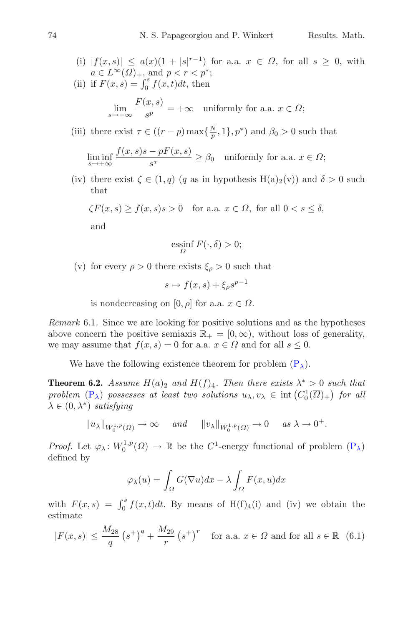(i) 
$$
|f(x, s)| \leq a(x)(1 + |s|^{r-1})
$$
 for a.a.  $x \in \Omega$ , for all  $s \geq 0$ , with  $a \in L^{\infty}(\Omega)_{+}$ , and  $p < r < p^*$ ;

(ii) if  $F(x, s) = \int_0^s f(x, t) dt$ , then

$$
\lim_{s \to +\infty} \frac{F(x, s)}{s^p} = +\infty \quad \text{uniformly for a.a. } x \in \Omega;
$$

(iii) there exist  $\tau \in ((r-p)\max\{\frac{N}{p},1\},p^*)$  and  $\beta_0 > 0$  such that

$$
\liminf_{s \to +\infty} \frac{f(x,s)s - pF(x,s)}{s^{\tau}} \ge \beta_0 \quad \text{uniformly for a.a. } x \in \Omega;
$$

(iv) there exist  $\zeta \in (1,q)$  (q as in hypothesis H(a)<sub>2</sub>(v)) and  $\delta > 0$  such that

$$
\zeta F(x,s) \ge f(x,s)s > 0 \quad \text{for a.a. } x \in \Omega, \text{ for all } 0 < s \le \delta,
$$

and

$$
\operatorname*{ess\!inf}_{\Omega} F(\cdot,\delta) > 0;
$$

(v) for every  $\rho > 0$  there exists  $\xi_{\rho} > 0$  such that

 $s \mapsto f(x, s) + \xi_0 s^{p-1}$ 

is nondecreasing on [0,  $\rho$ ] for a.a.  $x \in \Omega$ .

*Remark* 6.1*.* Since we are looking for positive solutions and as the hypotheses above concern the positive semiaxis  $\mathbb{R}_+ = [0, \infty)$ , without loss of generality, we may assume that  $f(x, s) = 0$  for a.a.  $x \in \Omega$  and for all  $s \leq 0$ .

We have the following existence theorem for problem  $(P_{\lambda})$  $(P_{\lambda})$ .

**Theorem 6.2.** *Assume*  $H(a)_2$  *and*  $H(f)_4$ *. Then there exists*  $\lambda^* > 0$  *such that problem*  $(P_{\lambda})$  $(P_{\lambda})$  *possesses at least two solutions*  $u_{\lambda}, v_{\lambda} \in \text{int}(C_0^1(\overline{\Omega})_+)$  *for all*  $\lambda \in (0, \lambda^*)$  *satisfying* 

$$
||u_\lambda||_{W_0^{1,p}(\Omega)} \to \infty
$$
 and  $||v_\lambda||_{W_0^{1,p}(\Omega)} \to 0$  as  $\lambda \to 0^+$ .

*Proof.* Let  $\varphi_\lambda \colon W_0^{1,p}(\Omega) \to \mathbb{R}$  be the C<sup>1</sup>-energy functional of problem  $(P_\lambda)$  $(P_\lambda)$ defined by

$$
\varphi_{\lambda}(u) = \int_{\Omega} G(\nabla u) dx - \lambda \int_{\Omega} F(x, u) dx
$$

with  $F(x, s) = \int_0^s f(x, t)dt$ . By means of H(f)<sub>4</sub>(i) and (iv) we obtain the estimate

$$
|F(x,s)| \le \frac{M_{28}}{q} (s^+)^q + \frac{M_{29}}{r} (s^+)^r
$$
 for a.a.  $x \in \Omega$  and for all  $s \in \mathbb{R}$  (6.1)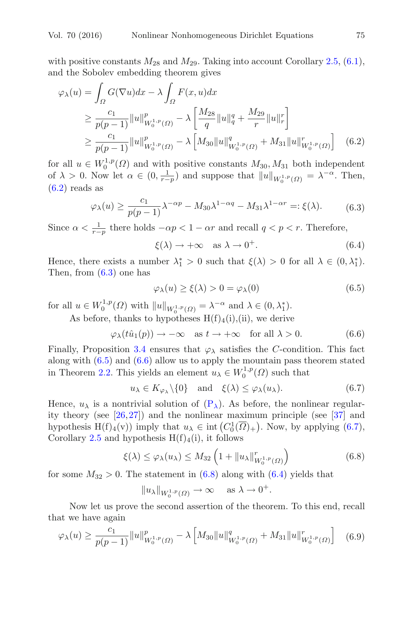with positive constants  $M_{28}$  and  $M_{29}$ . Taking into account Corollary [2.5,](#page-3-2) [\(6.1\)](#page-42-2), and the Sobolev embedding theorem gives

$$
\varphi_{\lambda}(u) = \int_{\Omega} G(\nabla u) dx - \lambda \int_{\Omega} F(x, u) dx
$$
  
\n
$$
\geq \frac{c_1}{p(p-1)} \|u\|_{W_0^{1, p}(\Omega)}^p - \lambda \left[ \frac{M_{28}}{q} \|u\|_q^q + \frac{M_{29}}{r} \|u\|_r^r \right]
$$
  
\n
$$
\geq \frac{c_1}{p(p-1)} \|u\|_{W_0^{1, p}(\Omega)}^p - \lambda \left[ M_{30} \|u\|_{W_0^{1, p}(\Omega)}^q + M_{31} \|u\|_{W_0^{1, p}(\Omega)}^r \right] \quad (6.2)
$$

for all  $u \in W_0^{1,p}(\Omega)$  and with positive constants  $M_{30}, M_{31}$  both independent of  $\lambda > 0$ . Now let  $\alpha \in (0, \frac{1}{r-p})$  and suppose that  $||u||_{W_0^{1,p}(\Omega)} = \lambda^{-\alpha}$ . Then,  $(6.2)$  reads as

$$
\varphi_{\lambda}(u) \ge \frac{c_1}{p(p-1)} \lambda^{-\alpha p} - M_{30} \lambda^{1-\alpha q} - M_{31} \lambda^{1-\alpha r} =: \xi(\lambda). \tag{6.3}
$$

Since  $\alpha < \frac{1}{r-p}$  there holds  $-\alpha p < 1 - \alpha r$  and recall  $q < p < r$ . Therefore,

<span id="page-44-6"></span><span id="page-44-1"></span><span id="page-44-0"></span>
$$
\xi(\lambda) \to +\infty \quad \text{as } \lambda \to 0^+.
$$
 (6.4)

Hence, there exists a number  $\lambda_1^* > 0$  such that  $\xi(\lambda) > 0$  for all  $\lambda \in (0, \lambda_1^*)$ . Then, from  $(6.3)$  one has

<span id="page-44-3"></span><span id="page-44-2"></span>
$$
\varphi_{\lambda}(u) \ge \xi(\lambda) > 0 = \varphi_{\lambda}(0) \tag{6.5}
$$

for all  $u \in W_0^{1,p}(\Omega)$  with  $||u||_{W_0^{1,p}(\Omega)} = \lambda^{-\alpha}$  and  $\lambda \in (0, \lambda_1^*)$ .

As before, thanks to hypotheses  $H(f)_4(i)$ , (ii), we derive

$$
\varphi_{\lambda}(t\hat{u}_1(p)) \to -\infty \quad \text{as } t \to +\infty \quad \text{for all } \lambda > 0. \tag{6.6}
$$

Finally, Proposition [3.4](#page-9-2) ensures that  $\varphi_{\lambda}$  satisfies the C-condition. This fact along with [\(6.5\)](#page-44-2) and [\(6.6\)](#page-44-3) allow us to apply the mountain pass theorem stated in Theorem [2.2.](#page-2-0) This yields an element  $u_{\lambda} \in W_0^{1,p}(\Omega)$  such that

<span id="page-44-4"></span>
$$
u_{\lambda} \in K_{\varphi_{\lambda}} \setminus \{0\} \text{ and } \xi(\lambda) \leq \varphi_{\lambda}(u_{\lambda}).
$$
 (6.7)

Hence,  $u_{\lambda}$  is a nontrivial solution of  $(P_{\lambda})$  $(P_{\lambda})$ . As before, the nonlinear regularity theory (see  $[26,27]$  $[26,27]$  $[26,27]$ ) and the nonlinear maximum principle (see  $[37]$  $[37]$  and hypothesis  $H(f)_4(v)$  imply that  $u_\lambda \in \text{int}(C_0^1(\overline{\Omega})_+)$ . Now, by applying  $(6.7)$ , Corollary [2.5](#page-3-2) and hypothesis  $H(f)_4(i)$ , it follows

$$
\xi(\lambda) \le \varphi_{\lambda}(u_{\lambda}) \le M_{32} \left( 1 + \|u_{\lambda}\|_{W_0^{1,p}(\Omega)}^r \right) \tag{6.8}
$$

for some  $M_{32} > 0$ . The statement in  $(6.8)$  along with  $(6.4)$  yields that

<span id="page-44-7"></span><span id="page-44-5"></span>
$$
||u_\lambda||_{W_0^{1,p}(\Omega)} \to \infty \quad \text{ as } \lambda \to 0^+.
$$

Now let us prove the second assertion of the theorem. To this end, recall that we have again

$$
\varphi_{\lambda}(u) \ge \frac{c_1}{p(p-1)} \|u\|_{W_0^{1,p}(\Omega)}^p - \lambda \left[ M_{30} \|u\|_{W_0^{1,p}(\Omega)}^q + M_{31} \|u\|_{W_0^{1,p}(\Omega)}^r \right] \tag{6.9}
$$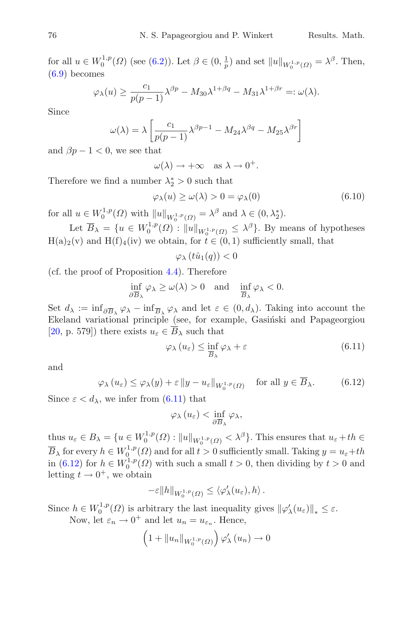for all  $u \in W_0^{1,p}(\Omega)$  (see [\(6.2\)](#page-44-0)). Let  $\beta \in (0, \frac{1}{p})$  and set  $||u||_{W_0^{1,p}(\Omega)} = \lambda^{\beta}$ . Then, [\(6.9\)](#page-44-7) becomes

$$
\varphi_{\lambda}(u) \ge \frac{c_1}{p(p-1)} \lambda^{\beta p} - M_{30} \lambda^{1+\beta q} - M_{31} \lambda^{1+\beta r} =: \omega(\lambda).
$$

Since

$$
\omega(\lambda) = \lambda \left[ \frac{c_1}{p(p-1)} \lambda^{\beta p-1} - M_{24} \lambda^{\beta q} - M_{25} \lambda^{\beta r} \right]
$$

and  $\beta p - 1 < 0$ , we see that

$$
\omega(\lambda) \to +\infty \quad \text{as } \lambda \to 0^+.
$$

Therefore we find a number  $\lambda_2^* > 0$  such that

$$
\varphi_{\lambda}(u) \ge \omega(\lambda) > 0 = \varphi_{\lambda}(0) \tag{6.10}
$$

for all  $u \in W_0^{1,p}(\Omega)$  with  $||u||_{W_0^{1,p}(\Omega)} = \lambda^{\beta}$  and  $\lambda \in (0, \lambda_2^*)$ .

Let  $\overline{B}_{\lambda} = \{u \in W_0^{1,p}(\Omega) : ||u||_{W_0^{1,p}(\Omega)} \leq \lambda^{\beta}\}\$ . By means of hypotheses  $H(a)<sub>2</sub>(v)$  and  $H(f)<sub>4</sub>(iv)$  we obtain, for  $t \in (0,1)$  sufficiently small, that

$$
\varphi_{\lambda}\left(t\hat{u}_{1}(q)\right) < 0
$$

(cf. the proof of Proposition [4.4\)](#page-23-4). Therefore

$$
\inf_{\partial \overline{B}_\lambda} \varphi_\lambda \geq \omega(\lambda) > 0 \quad \text{and} \quad \inf_{\overline{B}_\lambda} \varphi_\lambda < 0.
$$

Set  $d_{\lambda} := \inf_{\partial \overline{B}_{\lambda}} \varphi_{\lambda} - \inf_{\overline{B}_{\lambda}} \varphi_{\lambda}$  and let  $\varepsilon \in (0, d_{\lambda})$ . Taking into account the Ekeland variational principle (see, for example, Gasiński and Papageorgiou [\[20,](#page-47-6) p. 579]) there exists  $u_{\varepsilon} \in \overline{B}_{\lambda}$  such that

<span id="page-45-0"></span>
$$
\varphi_{\lambda}\left(u_{\varepsilon}\right) \leq \inf_{\overline{B}_{\lambda}} \varphi_{\lambda} + \varepsilon \tag{6.11}
$$

and

$$
\varphi_{\lambda}(u_{\varepsilon}) \le \varphi_{\lambda}(y) + \varepsilon \|y - u_{\varepsilon}\|_{W_0^{1,p}(\Omega)} \quad \text{for all } y \in \overline{B}_{\lambda}.
$$
 (6.12)

Since  $\varepsilon < d_{\lambda}$ , we infer from [\(6.11\)](#page-45-0) that

<span id="page-45-1"></span>
$$
\varphi_{\lambda}(u_{\varepsilon}) < \inf_{\partial \overline{B}_{\lambda}} \varphi_{\lambda},
$$

thus  $u_{\varepsilon} \in B_{\lambda} = \{u \in W_0^{1,p}(\Omega) : ||u||_{W_0^{1,p}(\Omega)} < \lambda^{\beta}\}\)$ . This ensures that  $u_{\varepsilon} + th \in$  $\overline{B}_{\lambda}$  for every  $h \in W_0^{1,p}(\Omega)$  and for all  $t > 0$  sufficiently small. Taking  $y = u_{\varepsilon} + th$ in [\(6.12\)](#page-45-1) for  $h \in W_0^{1,p}(\Omega)$  with such a small  $t > 0$ , then dividing by  $t > 0$  and letting  $t \to 0^+$ , we obtain

$$
-\varepsilon||h||_{W_0^{1,p}(\varOmega)} \leq \langle \varphi_\lambda'(u_\varepsilon),h\rangle\,.
$$

Since  $h \in W_0^{1,p}(\Omega)$  is arbitrary the last inequality gives  $\|\varphi_\lambda'(u_\varepsilon)\|_* \leq \varepsilon$ .

Now, let  $\varepsilon_n \to 0^+$  and let  $u_n = u_{\varepsilon_n}$ . Hence,

$$
\left(1+\|u_n\|_{W_0^{1,p}(\Omega)}\right)\varphi_\lambda'(u_n)\to 0
$$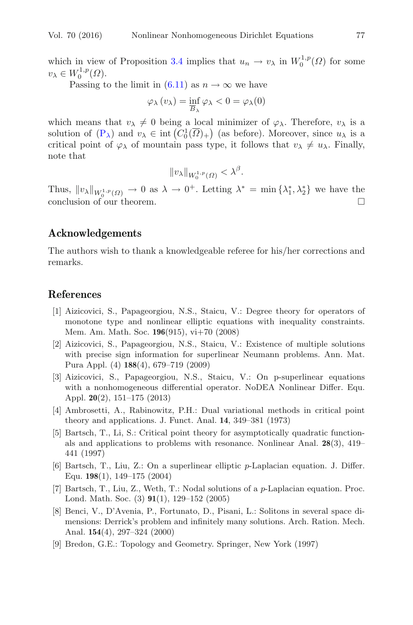which in view of Proposition [3.4](#page-9-2) implies that  $u_n \to v_\lambda$  in  $W_0^{1,p}(\Omega)$  for some  $v_{\lambda} \in W_0^{1,p}(\Omega).$ 

Passing to the limit in  $(6.11)$  as  $n \to \infty$  we have

$$
\varphi_{\lambda}(v_{\lambda}) = \inf_{\overline{B}_{\lambda}} \varphi_{\lambda} < 0 = \varphi_{\lambda}(0)
$$

which means that  $v_{\lambda} \neq 0$  being a local minimizer of  $\varphi_{\lambda}$ . Therefore,  $v_{\lambda}$  is a solution of  $(P_{\lambda})$  $(P_{\lambda})$  and  $v_{\lambda} \in \text{int}\left(C_0^1(\overline{\Omega})_+\right)$  (as before). Moreover, since  $u_{\lambda}$  is a critical point of  $\varphi_{\lambda}$  of mountain pass type, it follows that  $v_{\lambda} \neq u_{\lambda}$ . Finally, note that

$$
\|v_\lambda\|_{W^{1,p}_0(\varOmega)}<\lambda^\beta.
$$

Thus,  $||v_\lambda||_{W_0^{1,p}(\Omega)} \to 0$  as  $\lambda \to 0^+$ . Letting  $\lambda^* = \min \{\lambda_1^*, \lambda_2^*\}$  we have the conclusion of our theorem.  $\Box$ 

### **Acknowledgements**

The authors wish to thank a knowledgeable referee for his/her corrections and remarks.

### <span id="page-46-5"></span>**References**

- [1] Aizicovici, S., Papageorgiou, N.S., Staicu, V.: Degree theory for operators of monotone type and nonlinear elliptic equations with inequality constraints. Mem. Am. Math. Soc. **196**(915), vi+70 (2008)
- <span id="page-46-7"></span>[2] Aizicovici, S., Papageorgiou, N.S., Staicu, V.: Existence of multiple solutions with precise sign information for superlinear Neumann problems. Ann. Mat. Pura Appl. (4) **188**(4), 679–719 (2009)
- <span id="page-46-8"></span>[3] Aizicovici, S., Papageorgiou, N.S., Staicu, V.: On p-superlinear equations with a nonhomogeneous differential operator. NoDEA Nonlinear Differ. Equ. Appl. **20**(2), 151–175 (2013)
- <span id="page-46-2"></span>[4] Ambrosetti, A., Rabinowitz, P.H.: Dual variational methods in critical point theory and applications. J. Funct. Anal. **14**, 349–381 (1973)
- <span id="page-46-4"></span>[5] Bartsch, T., Li, S.: Critical point theory for asymptotically quadratic functionals and applications to problems with resonance. Nonlinear Anal. **28**(3), 419– 441 (1997)
- <span id="page-46-0"></span>[6] Bartsch, T., Liu, Z.: On a superlinear elliptic p-Laplacian equation. J. Differ. Equ. **198**(1), 149–175 (2004)
- <span id="page-46-1"></span>[7] Bartsch, T., Liu, Z., Weth, T.: Nodal solutions of a p-Laplacian equation. Proc. Lond. Math. Soc. (3) **91**(1), 129–152 (2005)
- <span id="page-46-3"></span>[8] Benci, V., D'Avenia, P., Fortunato, D., Pisani, L.: Solitons in several space dimensions: Derrick's problem and infinitely many solutions. Arch. Ration. Mech. Anal. **154**(4), 297–324 (2000)
- <span id="page-46-6"></span>[9] Bredon, G.E.: Topology and Geometry. Springer, New York (1997)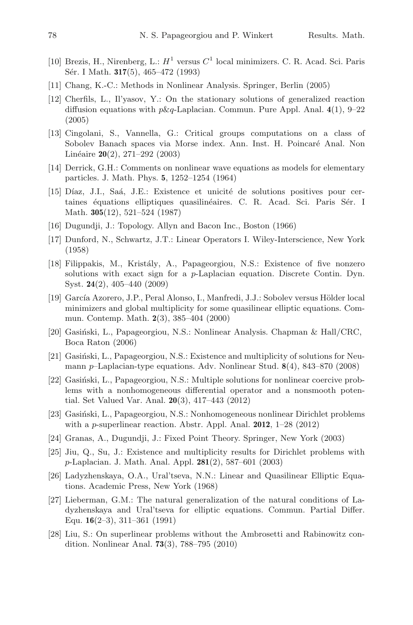- <span id="page-47-2"></span>[10] Brezis, H., Nirenberg, L.:  $H^1$  versus  $C^1$  local minimizers. C. R. Acad. Sci. Paris Sér. I Math. **317**(5), 465–472 (1993)
- <span id="page-47-7"></span>[11] Chang, K.-C.: Methods in Nonlinear Analysis. Springer, Berlin (2005)
- <span id="page-47-1"></span>[12] Cherfils, L., Il'yasov, Y.: On the stationary solutions of generalized reaction diffusion equations with p&q-Laplacian. Commun. Pure Appl. Anal. **4**(1), 9–22 (2005)
- <span id="page-47-18"></span>[13] Cingolani, S., Vannella, G.: Critical groups computations on a class of Sobolev Banach spaces via Morse index. Ann. Inst. H. Poincaré Anal. Non Lin´eaire **20**(2), 271–292 (2003)
- <span id="page-47-17"></span>[14] Derrick, G.H.: Comments on nonlinear wave equations as models for elementary particles. J. Math. Phys. **5**, 1252–1254 (1964)
- <span id="page-47-15"></span>[15] Díaz, J.I., Saá, J.E.: Existence et unicité de solutions positives pour certaines équations elliptiques quasilinéaires. C. R. Acad. Sci. Paris Sér. I Math. **305**(12), 521–524 (1987)
- <span id="page-47-11"></span>[16] Dugundji, J.: Topology. Allyn and Bacon Inc., Boston (1966)
- <span id="page-47-16"></span>[17] Dunford, N., Schwartz, J.T.: Linear Operators I. Wiley-Interscience, New York (1958)
- <span id="page-47-14"></span>[18] Filippakis, M., Kristály, A., Papageorgiou, N.S.: Existence of five nonzero solutions with exact sign for a p-Laplacian equation. Discrete Contin. Dyn. Syst. **24**(2), 405–440 (2009)
- <span id="page-47-4"></span>[19] García Azorero, J.P., Peral Alonso, I., Manfredi, J.J.: Sobolev versus Hölder local minimizers and global multiplicity for some quasilinear elliptic equations. Commun. Contemp. Math. **2**(3), 385–404 (2000)
- <span id="page-47-6"></span>[20] Gasiński, L., Papageorgiou, N.S.: Nonlinear Analysis. Chapman  $\&$  Hall/CRC, Boca Raton (2006)
- <span id="page-47-5"></span>[21] Gasinski, L., Papageorgiou, N.S.: Existence and multiplicity of solutions for Neumann p–Laplacian-type equations. Adv. Nonlinear Stud. **8**(4), 843–870 (2008)
- <span id="page-47-3"></span>[22] Gasiński, L., Papageorgiou, N.S.: Multiple solutions for nonlinear coercive problems with a nonhomogeneous differential operator and a nonsmooth potential. Set Valued Var. Anal. **20**(3), 417–443 (2012)
- <span id="page-47-8"></span>[23] Gasiński, L., Papageorgiou, N.S.: Nonhomogeneous nonlinear Dirichlet problems with a p-superlinear reaction. Abstr. Appl. Anal. **2012**, 1–28 (2012)
- <span id="page-47-12"></span>[24] Granas, A., Dugundji, J.: Fixed Point Theory. Springer, New York (2003)
- <span id="page-47-13"></span>[25] Jiu, Q., Su, J.: Existence and multiplicity results for Dirichlet problems with p-Laplacian. J. Math. Anal. Appl. **281**(2), 587–601 (2003)
- <span id="page-47-9"></span>[26] Ladyzhenskaya, O.A., Ural'tseva, N.N.: Linear and Quasilinear Elliptic Equations. Academic Press, New York (1968)
- <span id="page-47-10"></span>[27] Lieberman, G.M.: The natural generalization of the natural conditions of Ladyzhenskaya and Ural'tseva for elliptic equations. Commun. Partial Differ. Equ. **16**(2–3), 311–361 (1991)
- <span id="page-47-0"></span>[28] Liu, S.: On superlinear problems without the Ambrosetti and Rabinowitz condition. Nonlinear Anal. **73**(3), 788–795 (2010)